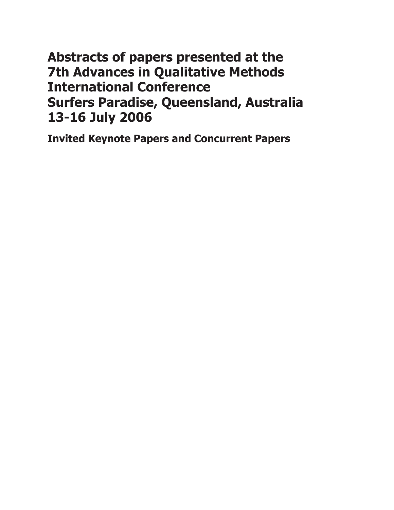**Abstracts of papers presented at the 7th Advances in Qualitative Methods International Conference Surfers Paradise, Queensland, Australia 13-16 July 2006**

**Invited Keynote Papers and Concurrent Papers**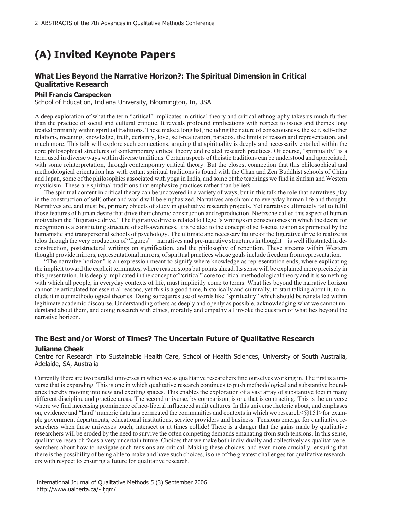# **(A) Invited Keynote Papers**

# **What Lies Beyond the Narrative Horizon?: The Spiritual Dimension in Critical Qualitative Research**

#### **Phil Francis Carspecken**

School of Education, Indiana University, Bloomington, In, USA

A deep exploration of what the term "critical" implicates in critical theory and critical ethnography takes us much further than the practice of social and cultural critique. It reveals profound implications with respect to issues and themes long treated primarily within spiritual traditions. These make a long list, including the nature of consciousness, the self, self-other relations, meaning, knowledge, truth, certainty, love, self-realization, paradox, the limits of reason and representation, and much more. This talk will explore such connections, arguing that spirituality is deeply and necessarily entailed within the core philosophical structures of contemporary critical theory and related research practices. Of course, "spirituality" is a term used in diverse ways within diverse traditions. Certain aspects of theistic traditions can be understood and appreciated, with some reinterpretation, through contemporary critical theory. But the closest connection that this philosophical and methodological orientation has with extant spiritual traditions is found with the Chan and Zen Buddhist schools of China and Japan, some of the philosophies associated with yoga in India, and some of the teachings we find in Sufism and Western mysticism. These are spiritual traditions that emphasize practices rather than beliefs.

The spiritual content in critical theory can be uncovered in a variety of ways, but in this talk the role that narratives play in the construction of self, other and world will be emphasized. Narratives are chronic to everyday human life and thought. Narratives are, and must be, primary objects of study in qualitative research projects. Yet narratives ultimately fail to fulfil those features of human desire that drive their chronic construction and reproduction. Nietzsche called this aspect of human motivation the "figurative drive." The figurative drive is related to Hegel's writings on consciousness in which the desire for recognition is a constituting structure of self-awareness. It is related to the concept of self-actualization as promoted by the humanistic and transpersonal schools of psychology. The ultimate and necessary failure of the figurative drive to realize its telos through the very production of "figures"—narratives and pre-narrative structures in thought—is well illustrated in deconstruction, poststructural writings on signification, and the philosophy of repetition. These streams within Western thought provide mirrors, representational mirrors, of spiritual practices whose goals include freedom from representation.

"The narrative horizon" is an expression meant to signify where knowledge as representation ends, where explicating the implicit toward the explicit terminates, where reason stops but points ahead. Its sense will be explained more precisely in this presentation. It is deeply implicated in the concept of "critical" core to critical methodological theory and it is something with which all people, in everyday contexts of life, must implicitly come to terms. What lies beyond the narrative horizon cannot be articulated for essential reasons, yet this is a good time, historically and culturally, to start talking about it, to include it in our methodological theories. Doing so requires use of words like "spirituality" which should be reinstalled within legitimate academic discourse. Understanding others as deeply and openly as possible, acknowledging what we cannot understand about them, and doing research with ethics, morality and empathy all invoke the question of what lies beyond the narrative horizon.

### **The Best and/or Worst of Times? The Uncertain Future of Qualitative Research**

#### **Julianne Cheek**

Centre for Research into Sustainable Health Care, School of Health Sciences, University of South Australia, Adelaide, SA, Australia

Currently there are two parallel universes in which we as qualitative researchers find ourselves working in. The first is a universe that is expanding. This is one in which qualitative research continues to push methodological and substantive boundaries thereby moving into new and exciting spaces. This enables the exploration of a vast array of substantive foci in many different discipline and practice areas. The second universe, by comparison, is one that is contracting. This is the universe where we find increasing prominence of neo-liberal influenced audit cultures. In this universe rhetoric about, and emphases on, evidence and "hard" numeric data has permeated the communities and contexts in which we research $\leq \alpha$ 151>for example government departments, educational institutions, service providers and business. Tensions emerge for qualitative researchers when these universes touch, intersect or at times collide! There is a danger that the gains made by qualitative researchers will be eroded by the need to survive the often competing demands emanating from such tensions. In this sense, qualitative research faces a very uncertain future. Choices that we make both individually and collectively as qualitative researchers about how to navigate such tensions are critical. Making these choices, and even more crucially, ensuring that there is the possibility of being able to make and have such choices, is one of the greatest challenges for qualitative researchers with respect to ensuring a future for qualitative research.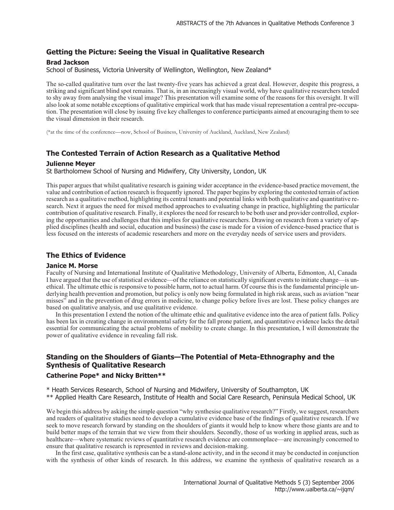# **Getting the Picture: Seeing the Visual in Qualitative Research**

### **Brad Jackson**

School of Business, Victoria University of Wellington, Wellington, New Zealand\*

The so-called qualitative turn over the last twenty-five years has achieved a great deal. However, despite this progress, a striking and significant blind spot remains. That is, in an increasingly visual world, why have qualitative researchers tended to shy away from analysing the visual image? This presentation will examine some of the reasons for this oversight. It will also look at some notable exceptions of qualitative empirical work that has made visual representation a central pre-occupation. The presentation will close by issuing five key challenges to conference participants aimed at encouraging them to see the visual dimension in their research.

(\*at the time of the conference—now, School of Business, University of Auckland, Auckland, New Zealand)

## **The Contested Terrain of Action Research as a Qualitative Method**

### **Julienne Meyer**

St Bartholomew School of Nursing and Midwifery, City University, London, UK

This paper argues that whilst qualitative research is gaining wider acceptance in the evidence-based practice movement, the value and contribution of action research is frequently ignored. The paper begins by exploring the contested terrain of action research as a qualitative method, highlighting its central tenants and potential links with both qualitative and quantitative research. Next it argues the need for mixed method approaches to evaluating change in practice, highlighting the particular contribution of qualitative research. Finally, it explores the need for research to be both user and provider controlled, exploring the opportunities and challenges that this implies for qualitative researchers. Drawing on research from a variety of applied disciplines (health and social, education and business) the case is made for a vision of evidence-based practice that is less focused on the interests of academic researchers and more on the everyday needs of service users and providers.

### **The Ethics of Evidence**

#### **Janice M. Morse**

Faculty of Nursing and International Institute of Qualitative Methodology, University of Alberta, Edmonton, Al, Canada I have argued that the use of statistical evidence—of the reliance on statistically significant events to initiate change—is unethical. The ultimate ethic is responsive to possible harm, not to actual harm. Of course this is the fundamental principle underlying health prevention and promotion, but policy is only now being formulated in high risk areas, such as aviation "near misses" and in the prevention of drug errors in medicine, to change policy before lives are lost. These policy changes are based on qualitative analysis, and use qualitative evidence.

In this presentation I extend the notion of the ultimate ethic and qualitative evidence into the area of patient falls. Policy has been lax in creating change in environmental safety for the fall prone patient, and quantitative evidence lacks the detail essential for communicating the actual problems of mobility to create change. In this presentation, I will demonstrate the power of qualitative evidence in revealing fall risk.

# **Standing on the Shoulders of Giants—The Potential of Meta-Ethnography and the Synthesis of Qualitative Research**

### **Catherine Pope\* and Nicky Britten\*\***

\* Heath Services Research, School of Nursing and Midwifery, University of Southampton, UK \*\* Applied Health Care Research, Institute of Health and Social Care Research, Peninsula Medical School, UK

We begin this address by asking the simple question "why synthesise qualitative research?" Firstly, we suggest, researchers and readers of qualitative studies need to develop a cumulative evidence base of the findings of qualitative research. If we seek to move research forward by standing on the shoulders of giants it would help to know where those giants are and to build better maps of the terrain that we view from their shoulders. Secondly, those of us working in applied areas, such as healthcare—where systematic reviews of quantitative research evidence are commonplace—are increasingly concerned to ensure that qualitative research is represented in reviews and decision-making.

In the first case, qualitative synthesis can be a stand-alone activity, and in the second it may be conducted in conjunction with the synthesis of other kinds of research. In this address, we examine the synthesis of qualitative research as a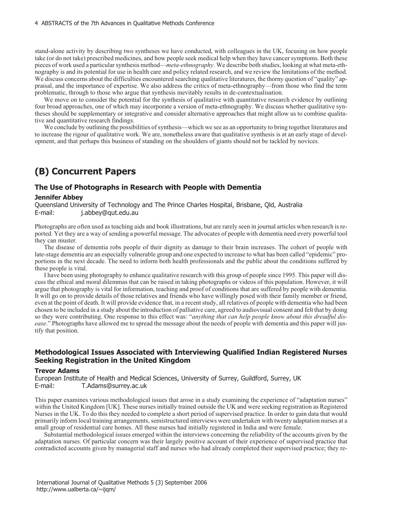stand-alone activity by describing two syntheses we have conducted, with colleagues in the UK, focusing on how people take (or do not take) prescribed medicines, and how people seek medical help when they have cancer symptoms. Both these pieces of work used a particular synthesis method—*meta-ethnography*. We describe both studies, looking at what meta-ethnography is and its potential for use in health care and policy related research, and we review the limitations of the method. We discuss concerns about the difficulties encountered searching qualitative literatures, the thorny question of "quality" appraisal, and the importance of expertise. We also address the critics of meta-ethnography—from those who find the term problematic, through to those who argue that synthesis inevitably results in de-contextualisation.

We move on to consider the potential for the synthesis of qualitative with quantitative research evidence by outlining four broad approaches, one of which may incorporate a version of meta-ethnography. We discuss whether qualitative syntheses should be supplementary or integrative and consider alternative approaches that might allow us to combine qualitative and quantitative research findings.

We conclude by outlining the possibilities of synthesis—which we see as an opportunity to bring together literatures and to increase the rigour of qualitative work. We are, nonetheless aware that qualitative synthesis is at an early stage of development, and that perhaps this business of standing on the shoulders of giants should not be tackled by novices.

# **(B) Concurrent Papers**

### **The Use of Photographs in Research with People with Dementia**

### **Jennifer Abbey**

Queensland University of Technology and The Prince Charles Hospital, Brisbane, Qld, Australia E-mail: j.abbey@qut.edu.au

Photographs are often used as teaching aids and book illustrations, but are rarely seen in journal articles when research is reported. Yet they are a way of sending a powerful message. The advocates of people with dementia need every powerful tool they can muster.

The disease of dementia robs people of their dignity as damage to their brain increases. The cohort of people with late-stage dementia are an especially vulnerable group and one expected to increase to what has been called "epidemic" proportions in the next decade. The need to inform both health professionals and the public about the conditions suffered by these people is vital.

I have been using photography to enhance qualitative research with this group of people since 1995. This paper will discuss the ethical and moral dilemmas that can be raised in taking photographs or videos of this population. However, it will argue that photography is vital for information, teaching and proof of conditions that are suffered by people with dementia. It will go on to provide details of those relatives and friends who have willingly posed with their family member or friend, even at the point of death. It will provide evidence that, in a recent study, all relatives of people with dementia who had been chosen to be included in a study about the introduction of palliative care, agreed to audiovisual consent and felt that by doing so they were contributing. One response to this effect was: "*anything that can help people know about this dreadful disease*." Photographs have allowed me to spread the message about the needs of people with dementia and this paper will justify that position.

# **Methodological Issues Associated with Interviewing Qualified Indian Registered Nurses Seeking Registration in the United Kingdom**

### **Trevor Adams**

European Institute of Health and Medical Sciences, University of Surrey, Guildford, Surrey, UK E-mail: T.Adams@surrey.ac.uk

This paper examines various methodological issues that arose in a study examining the experience of "adaptation nurses" within the United Kingdom [UK]. These nurses initially trained outside the UK and were seeking registration as Registered Nurses in the UK. To do this they needed to complete a short period of supervised practice. In order to gain data that would primarily inform local training arrangements, semistructured interviews were undertaken with twenty adaptation nurses at a small group of residential care homes. All these nurses had initially registered in India and were female.

Substantial methodological issues emerged within the interviews concerning the reliability of the accounts given by the adaptation nurses. Of particular concern was their largely positive account of their experience of supervised practice that contradicted accounts given by managerial staff and nurses who had already completed their supervised practice; they re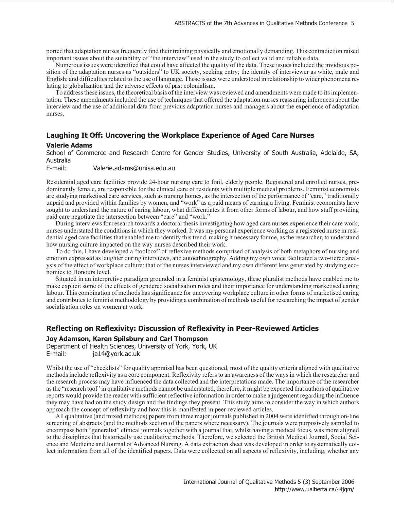ported that adaptation nurses frequently find their training physically and emotionally demanding. This contradiction raised important issues about the suitability of "the interview" used in the study to collect valid and reliable data.

Numerous issues were identified that could have affected the quality of the data. These issues included the invidious position of the adaptation nurses as "outsiders" to UK society, seeking entry; the identity of interviewer as white, male and English; and difficulties related to the use of language. These issues were understood in relationship to wider phenomena relating to globalization and the adverse effects of past colonialism.

To address these issues, the theoretical basis of the interview was reviewed and amendments were made to its implementation. These amendments included the use of techniques that offered the adaptation nurses reassuring inferences about the interview and the use of additional data from previous adaptation nurses and managers about the experience of adaptation nurses.

### **Laughing It Off: Uncovering the Workplace Experience of Aged Care Nurses**

### **Valerie Adams**

School of Commerce and Research Centre for Gender Studies, University of South Australia, Adelaide, SA, Australia

E-mail: Valerie.adams@unisa.edu.au

Residential aged care facilities provide 24-hour nursing care to frail, elderly people. Registered and enrolled nurses, predominantly female, are responsible for the clinical care of residents with multiple medical problems. Feminist economists are studying marketised care services, such as nursing homes, as the intersection of the performance of "care," traditionally unpaid and provided within families by women, and "work" as a paid means of earning a living. Feminist economists have sought to understand the nature of caring labour, what differentiates it from other forms of labour, and how staff providing paid care negotiate the intersection between "care" and "work."

During interviews for research towards a doctoral thesis investigating how aged care nurses experience their care work, nurses understated the conditions in which they worked. It was my personal experience working as a registered nurse in residential aged care facilities that enabled me to identify this trend, making it necessary for me, as the researcher, to understand how nursing culture impacted on the way nurses described their work.

To do this, I have developed a "toolbox" of reflexive methods comprised of analysis of both metaphors of nursing and emotion expressed as laughter during interviews, and autoethnography. Adding my own voice facilitated a two-tiered analysis of the effect of workplace culture: that of the nurses interviewed and my own different lens generated by studying economics to Honours level.

Situated in an interpretive paradigm grounded in a feminist epistemology, these pluralist methods have enabled me to make explicit some of the effects of gendered socialisation roles and their importance for understanding marketised caring labour. This combination of methods has significance for uncovering workplace culture in other forms of marketised caring and contributes to feminist methodology by providing a combination of methods useful for researching the impact of gender socialisation roles on women at work.

### **Reflecting on Reflexivity: Discussion of Reflexivity in Peer-Reviewed Articles**

#### **Joy Adamson, Karen Spilsbury and Carl Thompson**

Department of Health Sciences, University of York, York, UK E-mail: ja14@york.ac.uk

Whilst the use of "checklists" for quality appraisal has been questioned, most of the quality criteria aligned with qualitative methods include reflexivity as a core component. Reflexivity refers to an awareness of the ways in which the researcher and the research process may have influenced the data collected and the interpretations made. The importance of the researcher as the "research tool" in qualitative methods cannot be understated, therefore, it might be expected that authors of qualitative reports would provide the reader with sufficient reflective information in order to make a judgement regarding the influence they may have had on the study design and the findings they present. This study aims to consider the way in which authors approach the concept of reflexivity and how this is manifested in peer-reviewed articles.

All qualitative (and mixed methods) papers from three major journals published in 2004 were identified through on-line screening of abstracts (and the methods section of the papers where necessary). The journals were purposively sampled to encompass both "generalist" clinical journals together with a journal that, whilst having a medical focus, was more aligned to the disciplines that historically use qualitative methods. Therefore, we selected the British Medical Journal, Social Science and Medicine and Journal of Advanced Nursing. A data extraction sheet was developed in order to systematically collect information from all of the identified papers. Data were collected on all aspects of reflexivity, including, whether any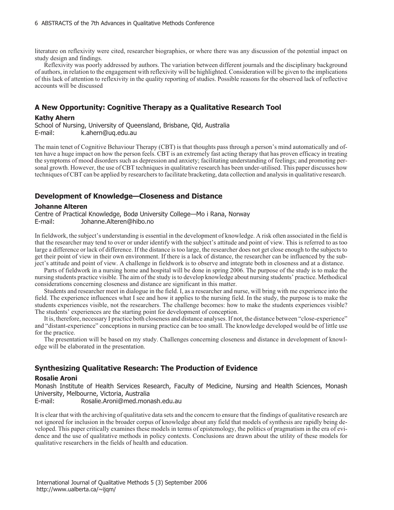literature on reflexivity were cited, researcher biographies, or where there was any discussion of the potential impact on study design and findings.

Reflexivity was poorly addressed by authors. The variation between different journals and the disciplinary background of authors, in relation to the engagement with reflexivity will be highlighted. Consideration will be given to the implications of this lack of attention to reflexivity in the quality reporting of studies. Possible reasons for the observed lack of reflective accounts will be discussed

# **A New Opportunity: Cognitive Therapy as a Qualitative Research Tool**

### **Kathy Ahern**

School of Nursing, University of Queensland, Brisbane, Qld, Australia E-mail: k.ahern@uq.edu.au

The main tenet of Cognitive Behaviour Therapy (CBT) is that thoughts pass through a person's mind automatically and often have a huge impact on how the person feels. CBT is an extremely fast acting therapy that has proven efficacy in treating the symptoms of mood disorders such as depression and anxiety; facilitating understanding of feelings; and promoting personal growth. However, the use of CBT techniques in qualitative research has been under-utilised. This paper discusses how techniques of CBT can be applied by researchers to facilitate bracketing, data collection and analysis in qualitative research.

### **Development of Knowledge—Closeness and Distance**

### **Johanne Alteren**

Centre of Practical Knowledge, Bodø University College—Mo i Rana, Norway E-mail: Johanne.Alteren@hibo.no

In fieldwork, the subject's understanding is essential in the development of knowledge. A risk often associated in the field is that the researcher may tend to over or under identify with the subject's attitude and point of view. This is referred to as too large a difference or lack of difference. If the distance is too large, the researcher does not get close enough to the subjects to get their point of view in their own environment. If there is a lack of distance, the researcher can be influenced by the subject's attitude and point of view. A challenge in fieldwork is to observe and integrate both in closeness and at a distance.

Parts of fieldwork in a nursing home and hospital will be done in spring 2006. The purpose of the study is to make the nursing students practice visible. The aim of the study is to develop knowledge about nursing students' practice. Methodical considerations concerning closeness and distance are significant in this matter.

Students and researcher meet in dialogue in the field. I, as a researcher and nurse, will bring with me experience into the field. The experience influences what I see and how it applies to the nursing field. In the study, the purpose is to make the students experiences visible, not the researchers. The challenge becomes: how to make the students experiences visible? The students' experiences are the starting point for development of conception.

It is, therefore, necessary I practice both closeness and distance analyses. If not, the distance between "close-experience" and "distant-experience" conceptions in nursing practice can be too small. The knowledge developed would be of little use for the practice.

The presentation will be based on my study. Challenges concerning closeness and distance in development of knowledge will be elaborated in the presentation.

### **Synthesizing Qualitative Research: The Production of Evidence**

### **Rosalie Aroni**

Monash Institute of Health Services Research, Faculty of Medicine, Nursing and Health Sciences, Monash University, Melbourne, Victoria, Australia

E-mail: Rosalie.Aroni@med.monash.edu.au

It is clear that with the archiving of qualitative data sets and the concern to ensure that the findings of qualitative research are not ignored for inclusion in the broader corpus of knowledge about any field that models of synthesis are rapidly being developed. This paper critically examines these models in terms of epistemology, the politics of pragmatism in the era of evidence and the use of qualitative methods in policy contexts. Conclusions are drawn about the utility of these models for qualitative researchers in the fields of health and education.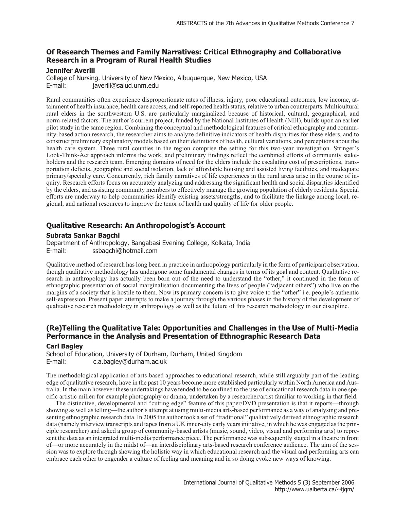# **Of Research Themes and Family Narratives: Critical Ethnography and Collaborative Research in a Program of Rural Health Studies**

### **Jennifer Averill**

College of Nursing. University of New Mexico, Albuquerque, New Mexico, USA E-mail: javerill@salud.unm.edu

Rural communities often experience disproportionate rates of illness, injury, poor educational outcomes, low income, attainment of health insurance, health care access, and self-reported health status, relative to urban counterparts. Multicultural rural elders in the southwestern U.S. are particularly marginalized because of historical, cultural, geographical, and norm-related factors. The author's current project, funded by the National Institutes of Health (NIH), builds upon an earlier pilot study in the same region. Combining the conceptual and methodological features of critical ethnography and community-based action research, the researcher aims to analyze definitive indicators of health disparities for these elders, and to construct preliminary explanatory models based on their definitions of health, cultural variations, and perceptions about the health care system. Three rural counties in the region comprise the setting for this two-year investigation. Stringer's Look-Think-Act approach informs the work, and preliminary findings reflect the combined efforts of community stakeholders and the research team. Emerging domains of need for the elders include the escalating cost of prescriptions, transportation deficits, geographic and social isolation, lack of affordable housing and assisted living facilities, and inadequate primary/specialty care. Concurrently, rich family narratives of life experiences in the rural areas arise in the course of inquiry. Research efforts focus on accurately analyzing and addressing the significant health and social disparities identified by the elders, and assisting community members to effectively manage the growing population of elderly residents. Special efforts are underway to help communities identify existing assets/strengths, and to facilitate the linkage among local, regional, and national resources to improve the tenor of health and quality of life for older people.

## **Qualitative Research: An Anthropologist's Account**

### **Subrata Sankar Bagchi**

Department of Anthropology, Bangabasi Evening College, Kolkata, India<br>E-mail: ssbagchi@hotmail.com ssbagchi@hotmail.com

Qualitative method of research has long been in practice in anthropology particularly in the form of participant observation, though qualitative methodology has undergone some fundamental changes in terms of its goal and content. Qualitative research in anthropology has actually been born out of the need to understand the "other," it continued in the form of ethnographic presentation of social marginalisation documenting the lives of people ("adjacent others") who live on the margins of a society that is hostile to them. Now its primary concern is to give voice to the "other" i.e. people's authentic self-expression. Present paper attempts to make a journey through the various phases in the history of the development of qualitative research methodology in anthropology as well as the future of this research methodology in our discipline.

# **(Re)Telling the Qualitative Tale: Opportunities and Challenges in the Use of Multi-Media Performance in the Analysis and Presentation of Ethnographic Research Data**

### **Carl Bagley**

School of Education, University of Durham, Durham, United Kingdom E-mail: c.a.bagley@durham.ac.uk

The methodological application of arts-based approaches to educational research, while still arguably part of the leading edge of qualitative research, have in the past 10 years become more established particularly within North America and Australia. In the main however these undertakings have tended to be confined to the use of educational research data in one specific artistic milieu for example photography or drama, undertaken by a researcher/artist familiar to working in that field.

The distinctive, developmental and "cutting edge" feature of this paper/DVD presentation is that it reports—through showing as well as telling—the author's attempt at using multi-media arts-based performance as a way of analysing and presenting ethnographic research data. In 2005 the author took a set of "traditional" qualitatively derived ethnographic research data (namely interview transcripts and tapes from a UK inner-city early years initiative, in which he was engaged as the principle researcher) and asked a group of community-based artists (music, sound, video, visual and performing arts) to represent the data as an integrated multi-media performance piece. The performance was subsequently staged in a theatre in front of—or more accurately in the midst of—an interdisciplinary arts-based research conference audience. The aim of the session was to explore through showing the holistic way in which educational research and the visual and performing arts can embrace each other to engender a culture of feeling and meaning and in so doing evoke new ways of knowing.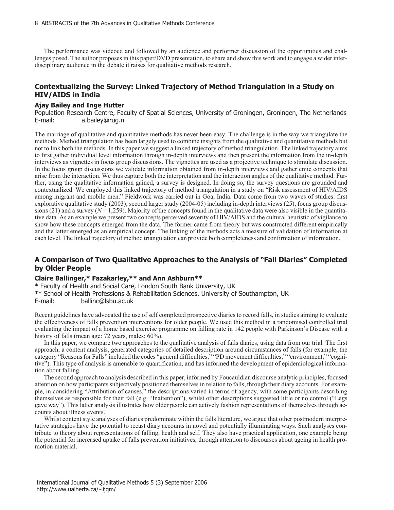The performance was videoed and followed by an audience and performer discussion of the opportunities and challenges posed. The author proposes in this paper/DVD presentation, to share and show this work and to engage a wider interdisciplinary audience in the debate it raises for qualitative methods research.

# **Contextualizing the Survey: Linked Trajectory of Method Triangulation in a Study on HIV/AIDS in India**

### **Ajay Bailey and Inge Hutter**

Population Research Centre, Faculty of Spatial Sciences, University of Groningen, Groningen, The Netherlands E-mail: a.bailey@rug.nl

The marriage of qualitative and quantitative methods has never been easy. The challenge is in the way we triangulate the methods. Method triangulation has been largely used to combine insights from the qualitative and quantitative methods but not to link both the methods. In this paper we suggest a linked trajectory of method triangulation. The linked trajectory aims to first gather individual level information through in-depth interviews and then present the information from the in-depth interviews as vignettes in focus group discussions. The vignettes are used as a projective technique to stimulate discussion. In the focus group discussions we validate information obtained from in-depth interviews and gather emic concepts that arise from the interaction. We thus capture both the interpretation and the interaction angles of the qualitative method. Further, using the qualitative information gained, a survey is designed. In doing so, the survey questions are grounded and contextualized. We employed this linked trajectory of method triangulation in a study on "Risk assessment of HIV/AIDS among migrant and mobile men." Fieldwork was carried out in Goa, India. Data come from two waves of studies: first explorative qualitative study (2003); second larger study (2004-05) including in-depth interviews (25), focus group discussions (21) and a survey ( $N = 1.259$ ). Majority of the concepts found in the qualitative data were also visible in the quantitative data. As an example we present two concepts perceived severity of HIV/AIDS and the cultural heuristic of vigilance to show how these concepts emerged from the data. The former came from theory but was constructed different empirically and the latter emerged as an empirical concept. The linking of the methods acts a measure of validation of information at each level. The linked trajectory of method triangulation can provide both completeness and confirmation of information.

# **A Comparison of Two Qualitative Approaches to the Analysis of "Fall Diaries" Completed by Older People**

### **Claire Ballinger,\* Fazakarley,\*\* and Ann Ashburn\*\***

\* Faculty of Health and Social Care, London South Bank University, UK

\*\* School of Health Professions & Rehabilitation Sciences, University of Southampton, UK

E-mail: ballinc@lsbu.ac.uk

Recent guidelines have advocated the use of self completed prospective diaries to record falls, in studies aiming to evaluate the effectiveness of falls prevention interventions for older people. We used this method in a randomised controlled trial evaluating the impact of a home based exercise programme on falling rate in 142 people with Parkinson's Disease with a history of falls (mean age: 72 years, males: 60%).

In this paper, we compare two approaches to the qualitative analysis of falls diaries, using data from our trial. The first approach, a content analysis, generated categories of detailed description around circumstances of falls (for example, the category "Reasons for Falls" included the codes "general difficulties," "PD movement difficulties," "environment," "cognitive"). This type of analysis is amenable to quantification, and has informed the development of epidemiological information about falling.

The second approach to analysis described in this paper, informed by Foucauldian discourse analytic principles, focused attention on how participants subjectively positioned themselves in relation to falls, through their diary accounts. For example, in considering "Attribution of causes," the descriptions varied in terms of agency, with some participants describing themselves as responsible for their fall (e.g. "Inattention"), whilst other descriptions suggested little or no control ("Legs gave way"). This latter analysis illustrates how older people can actively fashion representations of themselves through accounts about illness events.

Whilst content style analyses of diaries predominate within the falls literature, we argue that other postmodern interpretative strategies have the potential to recast diary accounts in novel and potentially illuminating ways. Such analyses contribute to theory about representations of falling, health and self. They also have practical application, one example being the potential for increased uptake of falls prevention initiatives, through attention to discourses about ageing in health promotion material.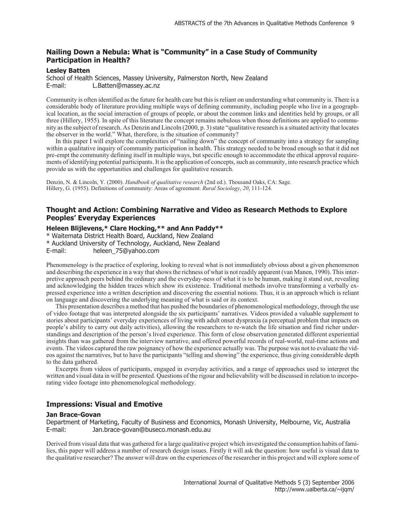# **Nailing Down a Nebula: What is "Community" in a Case Study of Community Participation in Health?**

### **Lesley Batten**

School of Health Sciences, Massey University, Palmerston North, New Zealand E-mail: L.Batten@massey.ac.nz

Community is often identified as the future for health care but this is reliant on understanding what community is. There is a considerable body of literature providing multiple ways of defining community, including people who live in a geographical location, as the social interaction of groups of people, or about the common links and identities held by groups, or all three (Hillery, 1955). In spite of this literature the concept remains nebulous when those definitions are applied to community as the subject of research. As Denzin and Lincoln (2000, p. 3) state "qualitative research is a situated activity that locates the observer in the world." What, therefore, is the situation of community?

In this paper I will explore the complexities of "nailing down" the concept of community into a strategy for sampling within a qualitative inquiry of community participation in health. This strategy needed to be broad enough so that it did not pre-empt the community defining itself in multiple ways, but specific enough to accommodate the ethical approval requirements of identifying potential participants. It is the application of concepts, such as community, into research practice which provide us with the opportunities and challenges for qualitative research.

Denzin, N. & Lincoln, Y. (2000). *Handbook of qualitative research* (2nd ed.). Thousand Oaks, CA: Sage. Hillery, G. (1955). Definitions of community: Areas of agreement. *Rural Sociology*, *20*, 111-124.

# **Thought and Action: Combining Narrative and Video as Research Methods to Explore Peoples' Everyday Experiences**

### **Heleen Blijlevens,\* Clare Hocking,\*\* and Ann Paddy\*\***

\* Waitemata District Health Board, Auckland, New Zealand \* Auckland University of Technology, Auckland, New Zealand E-mail: heleen\_75@yahoo.com

Phenomenology is the practice of exploring, looking to reveal what is not immediately obvious about a given phenomenon and describing the experience in a way that shows the richness of what is not readily apparent (van Manen, 1990). This interpretive approach peers behind the ordinary and the everyday-ness of what it is to be human, making it stand out, revealing and acknowledging the hidden traces which show its existence. Traditional methods involve transforming a verbally expressed experience into a written description and discovering the essential notions. Thus, it is an approach which is reliant on language and discovering the underlying meaning of what is said or its context.

This presentation describes a method that has pushed the boundaries of phenomenological methodology, through the use of video footage that was interpreted alongside the six participants' narratives. Videos provided a valuable supplement to stories about participants' everyday experiences of living with adult onset dyspraxia (a perceptual problem that impacts on people's ability to carry out daily activities), allowing the researchers to re-watch the life situation and find richer understandings and description of the person's lived experience. This form of close observation generated different experiential insights than was gathered from the interview narrative, and offered powerful records of real-world, real-time actions and events. The videos captured the raw poignancy of how the experience actually was. The purpose was not to evaluate the videos against the narratives, but to have the participants "telling and showing" the experience, thus giving considerable depth to the data gathered.

Excerpts from videos of participants, engaged in everyday activities, and a range of approaches used to interpret the written and visual data in will be presented. Questions of the rigour and believability will be discussed in relation to incorporating video footage into phenomenological methodology.

### **Impressions: Visual and Emotive**

### **Jan Brace-Govan**

Department of Marketing, Faculty of Business and Economics, Monash University, Melbourne, Vic, Australia E-mail: Jan.brace-govan@buseco.monash.edu.au

Derived from visual data that was gathered for a large qualitative project which investigated the consumption habits of families, this paper will address a number of research design issues. Firstly it will ask the question: how useful is visual data to the qualitative researcher? The answer will draw on the experiences of the researcher in this project and will explore some of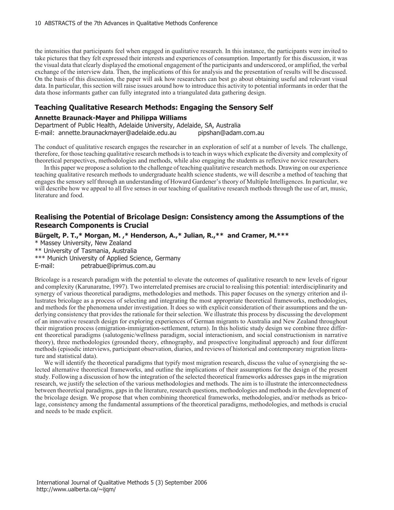the intensities that participants feel when engaged in qualitative research. In this instance, the participants were invited to take pictures that they felt expressed their interests and experiences of consumption. Importantly for this discussion, it was the visual data that clearly displayed the emotional engagement of the participants and underscored, or amplified, the verbal exchange of the interview data. Then, the implications of this for analysis and the presentation of results will be discussed. On the basis of this discussion, the paper will ask how researchers can best go about obtaining useful and relevant visual data. In particular, this section will raise issues around how to introduce this activity to potential informants in order that the data those informants gather can fully integrated into a triangulated data gathering design.

# **Teaching Qualitative Research Methods: Engaging the Sensory Self**

### **Annette Braunack-Mayer and Philippa Williams**

Department of Public Health, Adelaide University, Adelaide, SA, Australia E-mail: annette.braunackmayer@adelaide.edu.au pipshan@adam.com.au

The conduct of qualitative research engages the researcher in an exploration of self at a number of levels. The challenge, therefore, for those teaching qualitative research methods is to teach in ways which explicate the diversity and complexity of theoretical perspectives, methodologies and methods, while also engaging the students as reflexive novice researchers.

In this paper we propose a solution to the challenge of teaching qualitative research methods. Drawing on our experience teaching qualitative research methods to undergraduate health science students, we will describe a method of teaching that engages the sensory self through an understanding of Howard Gardener's theory of Multiple Intelligences. In particular, we will describe how we appeal to all five senses in our teaching of qualitative research methods through the use of art, music, literature and food.

# **Realising the Potential of Bricolage Design: Consistency among the Assumptions of the Research Components is Crucial**

**Bürgelt, P. T.,\* Morgan, M. ,\* Henderson, A.,\* Julian, R.,\*\* and Cramer, M.\*\*\***

\* Massey University, New Zealand

\*\* University of Tasmania, Australia

\*\*\* Munich University of Applied Science, Germany

E-mail: petrabue@iprimus.com.au

Bricolage is a research paradigm with the potential to elevate the outcomes of qualitative research to new levels of rigour and complexity (Karunaratne, 1997). Two interrelated premises are crucial to realising this potential: interdisciplinarity and synergy of various theoretical paradigms, methodologies and methods. This paper focuses on the synergy criterion and illustrates bricolage as a process of selecting and integrating the most appropriate theoretical frameworks, methodologies, and methods for the phenomena under investigation. It does so with explicit consideration of their assumptions and the underlying consistency that provides the rationale for their selection. We illustrate this process by discussing the development of an innovative research design for exploring experiences of German migrants to Australia and New Zealand throughout their migration process (emigration-immigration-settlement, return). In this holistic study design we combine three different theoretical paradigms (salutogenic/wellness paradigm, social interactionism, and social constructionism in narrative theory), three methodologies (grounded theory, ethnography, and prospective longitudinal approach) and four different methods (episodic interviews, participant observation, diaries, and reviews of historical and contemporary migration literature and statistical data).

We will identify the theoretical paradigms that typify most migration research, discuss the value of synergising the selected alternative theoretical frameworks, and outline the implications of their assumptions for the design of the present study. Following a discussion of how the integration of the selected theoretical frameworks addresses gaps in the migration research, we justify the selection of the various methodologies and methods. The aim is to illustrate the interconnectedness between theoretical paradigms, gaps in the literature, research questions, methodologies and methods in the development of the bricolage design. We propose that when combining theoretical frameworks, methodologies, and/or methods as bricolage, consistency among the fundamental assumptions of the theoretical paradigms, methodologies, and methods is crucial and needs to be made explicit.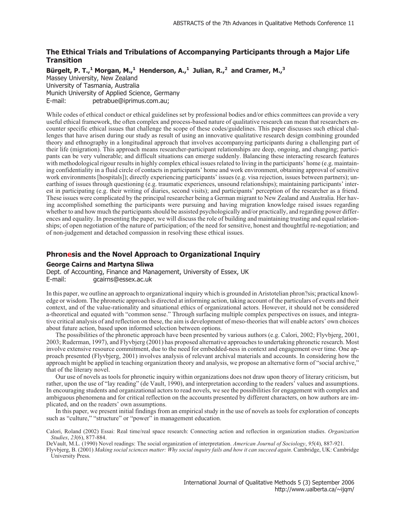# **The Ethical Trials and Tribulations of Accompanying Participants through a Major Life Transition**

**Bürgelt, P. T.,<sup>1</sup> Morgan, M.,<sup>1</sup> Henderson, A.,<sup>1</sup> Julian, R.,<sup>2</sup> and Cramer, M.,<sup>3</sup>**

Massey University, New Zealand University of Tasmania, Australia Munich University of Applied Science, Germany E-mail: petrabue@iprimus.com.au;

While codes of ethical conduct or ethical guidelines set by professional bodies and/or ethics committees can provide a very useful ethical framework, the often complex and process-based nature of qualitative research can mean that researchers encounter specific ethical issues that challenge the scope of these codes/guidelines. This paper discusses such ethical challenges that have arisen during our study as result of using an innovative qualitative research design combining grounded theory and ethnography in a longitudinal approach that involves accompanying participants during a challenging part of their life (migration). This approach means researcher-participant relationships are deep, ongoing, and changing; participants can be very vulnerable; and difficult situations can emerge suddenly. Balancing these interacting research features with methodological rigour results in highly complex ethical issues related to living in the participants' home (e.g. maintaining confidentiality in a fluid circle of contacts in participants' home and work environment, obtaining approval of sensitive work environments [hospitals]); directly experiencing participants' issues (e.g. visa rejection, issues between partners); unearthing of issues through questioning (e.g. traumatic experiences, unsound relationships); maintaining participants' interest in participating (e.g. their writing of diaries, second visits); and participants' perception of the researcher as a friend. These issues were complicated by the principal researcher being a German migrant to New Zealand and Australia. Her having accomplished something the participants were pursuing and having migration knowledge raised issues regarding whether to and how much the participants should be assisted psychologically and/or practically, and regarding power differences and equality. In presenting the paper, we will discuss the role of building and maintaining trusting and equal relationships; of open negotiation of the nature of participation; of the need for sensitive, honest and thoughtful re-negotiation; and of non-judgement and detached compassion in resolving these ethical issues.

# **Phronesis and the Novel Approach to Organizational Inquiry**

### **George Cairns and Martyna Sliwa**

Dept. of Accounting, Finance and Management, University of Essex, UK

E-mail: gcairns@essex.ac.uk

In this paper, we outline an approach to organizational inquiry which is grounded in Aristotelian phron?sis; practical knowledge or wisdom. The phronetic approach is directed at informing action, taking account of the particulars of events and their context, and of the value-rationality and situational ethics of organizational actors. However, it should not be considered a-theoretical and equated with "common sense." Through surfacing multiple complex perspectives on issues, and integrative critical analysis of and reflection on these, the aim is development of meso-theories that will enable actors' own choices about future action, based upon informed selection between options.

The possibilities of the phronetic approach have been presented by various authors (e.g. Calori, 2002; Flyvbjerg, 2001, 2003; Ruderman, 1997), and Flyvbjerg (2001) has proposed alternative approaches to undertaking phronetic research. Most involve extensive resource commitment, due to the need for embedded-ness in context and engagement over time. One approach presented (Flyvbjerg, 2001) involves analysis of relevant archival materials and accounts. In considering how the approach might be applied in teaching organization theory and analysis, we propose an alternative form of "social archive," that of the literary novel.

Our use of novels as tools for phronetic inquiry within organizations does not draw upon theory of literary criticism, but rather, upon the use of "lay reading" (de Vault, 1990), and interpretation according to the readers' values and assumptions. In encouraging students and organizational actors to read novels, we see the possibilities for engagement with complex and ambiguous phenomena and for critical reflection on the accounts presented by different characters, on how authors are implicated, and on the readers' own assumptions.

In this paper, we present initial findings from an empirical study in the use of novels as tools for exploration of concepts such as "culture," "structure" or "power" in management education.

Calori, Roland (2002) Essai: Real time/real space research: Connecting action and reflection in organization studies. *Organization Studies*, *23*(6), 877-884.

DeVault, M.L. (1990) Novel readings: The social organization of interpretation. *American Journal of Sociology*, *95*(4), 887-921.

Flyvbjerg, B. (2001) *Making social sciences matter: Why social inquiry fails and how it can succeed again*. Cambridge, UK: Cambridge University Press.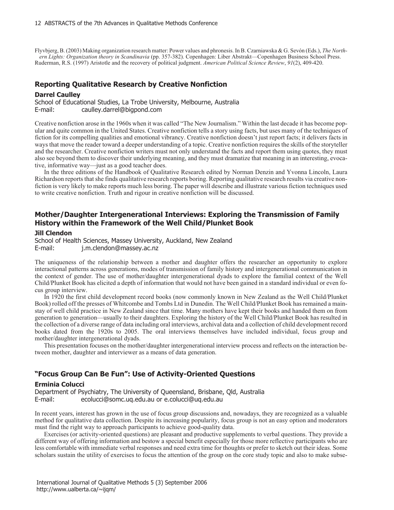Flyvbjerg, B. (2003) Making organization research matter: Power values and phronesis. In B. Czarniawska & G. Sevón (Eds.), *The Northern Lights: Organization theory in Scandinavia* (pp. 357-382). Copenhagen: Liber Abstrakt—Copenhagen Business School Press. Ruderman, R.S. (1997) Aristotle and the recovery of political judgment. *American Political Science Review*, *91*(2), 409-420.

### **Reporting Qualitative Research by Creative Nonfiction**

#### **Darrel Caulley**

School of Educational Studies, La Trobe University, Melbourne, Australia E-mail: caulley.darrel@bigpond.com

Creative nonfiction arose in the 1960s when it was called "The New Journalism." Within the last decade it has become popular and quite common in the United States. Creative nonfiction tells a story using facts, but uses many of the techniques of fiction for its compelling qualities and emotional vibrancy. Creative nonfiction doesn't just report facts; it delivers facts in ways that move the reader toward a deeper understanding of a topic. Creative nonfiction requires the skills of the storyteller and the researcher. Creative nonfiction writers must not only understand the facts and report them using quotes, they must also see beyond them to discover their underlying meaning, and they must dramatize that meaning in an interesting, evocative, informative way—just as a good teacher does.

In the three editions of the Handbook of Qualitative Research edited by Norman Denzin and Yvonna Lincoln, Laura Richardson reports that she finds qualitative research reports boring. Reporting qualitative research results via creative nonfiction is very likely to make reports much less boring. The paper will describe and illustrate various fiction techniques used to write creative nonfiction. Truth and rigour in creative nonfiction will be discussed.

# **Mother/Daughter Intergenerational Interviews: Exploring the Transmission of Family History within the Framework of the Well Child/Plunket Book**

### **Jill Clendon**

School of Health Sciences, Massey University, Auckland, New Zealand E-mail: j.m.clendon@massey.ac.nz

The uniqueness of the relationship between a mother and daughter offers the researcher an opportunity to explore interactional patterns across generations, modes of transmission of family history and intergenerational communication in the context of gender. The use of mother/daughter intergenerational dyads to explore the familial context of the Well Child/Plunket Book has elicited a depth of information that would not have been gained in a standard individual or even focus group interview.

In 1920 the first child development record books (now commonly known in New Zealand as the Well Child/Plunket Book) rolled off the presses of Whitcombe and Tombs Ltd in Dunedin. The Well Child/Plunket Book has remained a mainstay of well child practice in New Zealand since that time. Many mothers have kept their books and handed them on from generation to generation—usually to their daughters. Exploring the history of the Well Child/Plunket Book has resulted in the collection of a diverse range of data including oral interviews, archival data and a collection of child development record books dated from the 1920s to 2005. The oral interviews themselves have included individual, focus group and mother/daughter intergenerational dyads.

This presentation focuses on the mother/daughter intergenerational interview process and reflects on the interaction between mother, daughter and interviewer as a means of data generation.

### **"Focus Group Can Be Fun": Use of Activity-Oriented Questions**

### **Erminia Colucci**

Department of Psychiatry, The University of Queensland, Brisbane, Qld, Australia E-mail: ecolucci@somc.uq.edu.au or e.colucci@uq.edu.au

In recent years, interest has grown in the use of focus group discussions and, nowadays, they are recognized as a valuable method for qualitative data collection. Despite its increasing popularity, focus group is not an easy option and moderators must find the right way to approach participants to achieve good-quality data.

Exercises (or activity-oriented questions) are pleasant and productive supplements to verbal questions. They provide a different way of offering information and bestow a special benefit especially for those more reflective participants who are less comfortable with immediate verbal responses and need extra time for thoughts or prefer to sketch out their ideas. Some scholars sustain the utility of exercises to focus the attention of the group on the core study topic and also to make subse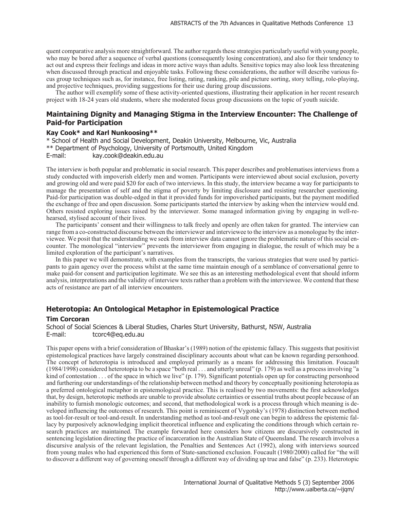quent comparative analysis more straightforward. The author regards these strategies particularly useful with young people, who may be bored after a sequence of verbal questions (consequently losing concentration), and also for their tendency to act out and express their feelings and ideas in more active ways than adults. Sensitive topics may also look less threatening when discussed through practical and enjoyable tasks. Following these considerations, the author will describe various focus group techniques such as, for instance, free listing, rating, ranking, pile and picture sorting, story telling, role-playing, and projective techniques, providing suggestions for their use during group discussions.

The author will exemplify some of these activity-oriented questions, illustrating their application in her recent research project with 18-24 years old students, where she moderated focus group discussions on the topic of youth suicide.

# **Maintaining Dignity and Managing Stigma in the Interview Encounter: The Challenge of Paid-for Participation**

#### **Kay Cook\* and Karl Nunkoosing\*\***

\* School of Health and Social Development, Deakin University, Melbourne, Vic, Australia \*\* Department of Psychology, University of Portsmouth, United Kingdom E-mail: kay.cook@deakin.edu.au

The interview is both popular and problematic in social research. This paper describes and problematises interviews from a study conducted with impoverish elderly men and women. Participants were interviewed about social exclusion, poverty and growing old and were paid \$20 for each of two interviews. In this study, the interview became a way for participants to manage the presentation of self and the stigma of poverty by limiting disclosure and resisting researcher questioning. Paid-for participation was double-edged in that it provided funds for impoverished participants, but the payment modified the exchange of free and open discussion. Some participants started the interview by asking when the interview would end. Others resisted exploring issues raised by the interviewer. Some managed information giving by engaging in well-rehearsed, stylised account of their lives.

The participants' consent and their willingness to talk freely and openly are often taken for granted. The interview can range from a co-constructed discourse between the interviewer and interviewee to the interview as a monologue by the interviewee. We posit that the understanding we seek from interview data cannot ignore the problematic nature of this social encounter. The monological "interview" prevents the interviewer from engaging in dialogue, the result of which may be a limited exploration of the participant's narratives.

In this paper we will demonstrate, with examples from the transcripts, the various strategies that were used by participants to gain agency over the process whilst at the same time maintain enough of a semblance of conversational genre to make paid-for consent and participation legitimate. We see this as an interesting methodological event that should inform analysis, interpretations and the validity of interview texts rather than a problem with the interviewee. We contend that these acts of resistance are part of all interview encounters.

### **Heterotopia: An Ontological Metaphor in Epistemological Practice**

#### **Tim Corcoran**

School of Social Sciences & Liberal Studies, Charles Sturt University, Bathurst, NSW, Australia E-mail: tcorc4@eq.edu.au

This paper opens with a brief consideration of Bhaskar's (1989) notion of the epistemic fallacy. This suggests that positivist epistemological practices have largely constrained disciplinary accounts about what can be known regarding personhood. The concept of heterotopia is introduced and employed primarily as a means for addressing this limitation. Foucault (1984/1998) considered heterotopia to be a space "both real . . . and utterly unreal" (p. 179) as well as a process involving "a kind of contestation  $\dots$  of the space in which we live" (p. 179). Significant potentials open up for constructing personhood and furthering our understandings of the relationship between method and theory by conceptually positioning heterotopia as a preferred ontological metaphor in epistemological practice. This is realised by two movements: the first acknowledges that, by design, heterotopic methods are unable to provide absolute certainties or essential truths about people because of an inability to furnish monologic outcomes; and second, that methodological work is a process through which meaning is developed influencing the outcomes of research. This point is reminiscent of Vygotsky's (1978) distinction between method as tool-for-result or tool-and-result. In understanding method as tool-and-result one can begin to address the epistemic fallacy by purposively acknowledging implicit theoretical influence and explicating the conditions through which certain research practices are maintained. The example forwarded here considers how citizens are discursively constructed in sentencing legislation directing the practice of incarceration in the Australian State of Queensland. The research involves a discursive analysis of the relevant legislation, the Penalties and Sentences Act (1992), along with interviews sourced from young males who had experienced this form of State-sanctioned exclusion. Foucault (1980/2000) called for "the will to discover a different way of governing oneself through a different way of dividing up true and false" (p. 233). Heterotopic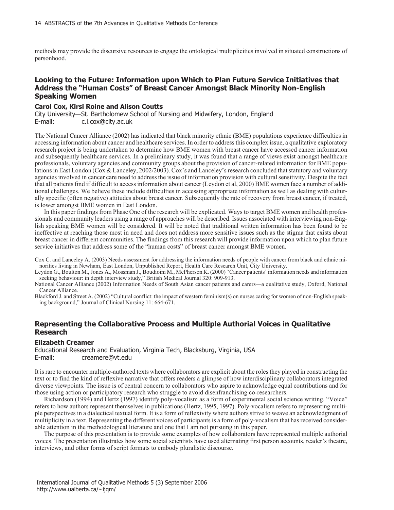methods may provide the discursive resources to engage the ontological multiplicities involved in situated constructions of personhood.

# **Looking to the Future: Information upon Which to Plan Future Service Initiatives that Address the "Human Costs" of Breast Cancer Amongst Black Minority Non-English Speaking Women**

### **Carol Cox, Kirsi Roine and Alison Coutts**

City University—St. Bartholomew School of Nursing and Midwifery, London, England E-mail: c.l.cox@city.ac.uk

The National Cancer Alliance (2002) has indicated that black minority ethnic (BME) populations experience difficulties in accessing information about cancer and healthcare services. In order to address this complex issue, a qualitative exploratory research project is being undertaken to determine how BME women with breast cancer have accessed cancer information and subsequently healthcare services. In a preliminary study, it was found that a range of views exist amongst healthcare professionals, voluntary agencies and community groups about the provision of cancer-related information for BME populations in East London (Cox & Lanceley, 2002/2003). Cox's and Lanceley's research concluded that statutory and voluntary agencies involved in cancer care need to address the issue of information provision with cultural sensitivity. Despite the fact that all patients find if difficult to access information about cancer (Leydon et al, 2000) BME women face a number of additional challenges. We believe these include difficulties in accessing appropriate information as well as dealing with culturally specific (often negative) attitudes about breast cancer. Subsequently the rate of recovery from breast cancer, if treated, is lower amongst BME women in East London.

In this paper findings from Phase One of the research will be explicated. Ways to target BME women and health professionals and community leaders using a range of approaches will be described. Issues associated with interviewing non-English speaking BME women will be considered. It will be noted that traditional written information has been found to be ineffective at reaching those most in need and does not address more sensitive issues such as the stigma that exists about breast cancer in different communities. The findings from this research will provide information upon which to plan future service initiatives that address some of the "human costs" of breast cancer amongst BME women.

Cox C. and Lanceley A. (2003) Needs assessment for addressing the information needs of people with cancer from black and ethnic minorities living in Newham, East London, Unpublished Report, Health Care Research Unit, City University.

Leydon G., Boulton M., Jones A., Mossman J., Boudioini M., McPherson K. (2000) "Cancer patients' information needs and information seeking behaviour: in depth interview study," British Medical Journal 320: 909-913.

National Cancer Alliance (2002) Information Needs of South Asian cancer patients and carers—a qualitative study, Oxford, National Cancer Alliance.

Blackford J. and Street A. (2002) "Cultural conflict: the impact of western feminism(s) on nurses caring for women of non-English speaking background," Journal of Clinical Nursing 11: 664-671.

# **Representing the Collaborative Process and Multiple Authorial Voices in Qualitative Research**

### **Elizabeth Creamer**

Educational Research and Evaluation, Virginia Tech, Blacksburg, Virginia, USA E-mail: creamere@vt.edu

It is rare to encounter multiple-authored texts where collaborators are explicit about the roles they played in constructing the text or to find the kind of reflexive narrative that offers readers a glimpse of how interdisciplinary collaborators integrated diverse viewpoints. The issue is of central concern to collaborators who aspire to acknowledge equal contributions and for those using action or participatory research who struggle to avoid disenfranchising co-researchers.

Richardson (1994) and Hertz (1997) identify poly-vocalism as a form of experimental social science writing. "Voice" refers to how authors represent themselves in publications (Hertz, 1995, 1997). Poly-vocalism refers to representing multiple perspectives in a dialectical textual form. It is a form of reflexivity where authors strive to weave an acknowledgment of multiplicity in a text. Representing the different voices of participants is a form of poly-vocalism that has received considerable attention in the methodological literature and one that I am not pursuing in this paper.

The purpose of this presentation is to provide some examples of how collaborators have represented multiple authorial voices. The presentation illustrates how some social scientists have used alternating first person accounts, reader's theatre, interviews, and other forms of script formats to embody pluralistic discourse.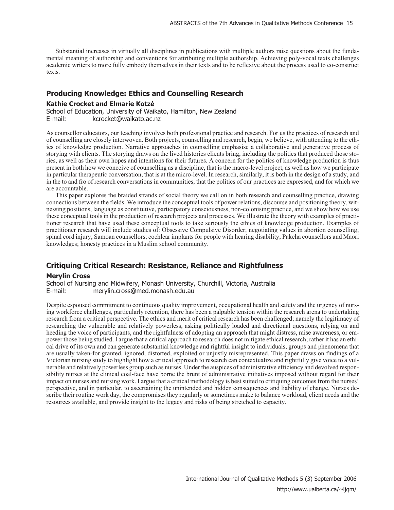Substantial increases in virtually all disciplines in publications with multiple authors raise questions about the fundamental meaning of authorship and conventions for attributing multiple authorship. Achieving poly-vocal texts challenges academic writers to more fully embody themselves in their texts and to be reflexive about the process used to co-construct texts.

### **Producing Knowledge: Ethics and Counselling Research**

#### **Kathie Crocket and Elmarie Kotzé**

School of Education, University of Waikato, Hamilton, New Zealand E-mail: kcrocket@waikato.ac.nz

As counsellor educators, our teaching involves both professional practice and research. For us the practices of research and of counselling are closely interwoven. Both projects, counselling and research, begin, we believe, with attending to the ethics of knowledge production. Narrative approaches in counselling emphasise a collaborative and generative process of storying with clients. The storying draws on the lived histories clients bring, including the politics that produced those stories, as well as their own hopes and intentions for their futures. A concern for the politics of knowledge production is thus present in both how we conceive of counselling as a discipline, that is the macro-level project, as well as how we participate in particular therapeutic conversation, that is at the micro-level. In research, similarly, it is both in the design of a study, and in the to and fro of research conversations in communities, that the politics of our practices are expressed, and for which we are accountable.

This paper explores the braided strands of social theory we call on in both research and counselling practice, drawing connections between the fields. We introduce the conceptual tools of power relations, discourse and positioning theory, witnessing positions, language as constitutive, participatory consciousness, non-colonising practice, and we show how we use these conceptual tools in the production of research projects and processes. We illustrate the theory with examples of practitioner research that have used these conceptual tools to take seriously the ethics of knowledge production. Examples of practitioner research will include studies of: Obsessive Compulsive Disorder; negotiating values in abortion counselling; spinal cord injury; Samoan counsellors; cochlear implants for people with hearing disability; Pakeha counsellors and Maori knowledges; honesty practices in a Muslim school community.

### **Critiquing Critical Research: Resistance, Reliance and Rightfulness**

### **Merylin Cross**

School of Nursing and Midwifery, Monash University, Churchill, Victoria, Australia E-mail: merylin.cross@med.monash.edu.au

Despite espoused commitment to continuous quality improvement, occupational health and safety and the urgency of nursing workforce challenges, particularly retention, there has been a palpable tension within the research arena to undertaking research from a critical perspective. The ethics and merit of critical research has been challenged; namely the legitimacy of researching the vulnerable and relatively powerless, asking politically loaded and directional questions, relying on and heeding the voice of participants, and the rightfulness of adopting an approach that might distress, raise awareness, or empower those being studied. I argue that a critical approach to research does not mitigate ethical research; rather it has an ethical drive of its own and can generate substantial knowledge and rightful insight to individuals, groups and phenomena that are usually taken-for granted, ignored, distorted, exploited or unjustly misrepresented. This paper draws on findings of a Victorian nursing study to highlight how a critical approach to research can contextualize and rightfully give voice to a vulnerable and relatively powerless group such as nurses. Under the auspices of administrative efficiency and devolved responsibility nurses at the clinical coal-face have borne the brunt of administrative initiatives imposed without regard for their impact on nurses and nursing work. I argue that a critical methodology is best suited to critiquing outcomes from the nurses' perspective, and in particular, to ascertaining the unintended and hidden consequences and liability of change. Nurses describe their routine work day, the compromises they regularly or sometimes make to balance workload, client needs and the resources available, and provide insight to the legacy and risks of being stretched to capacity.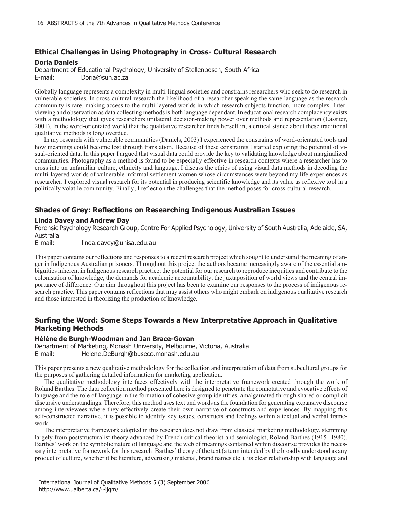# **Ethical Challenges in Using Photography in Cross- Cultural Research**

### **Doria Daniels**

Department of Educational Psychology, University of Stellenbosch, South Africa E-mail: Doria@sun.ac.za

Globally language represents a complexity in multi-lingual societies and constrains researchers who seek to do research in vulnerable societies. In cross-cultural research the likelihood of a researcher speaking the same language as the research community is rare, making access to the multi-layered worlds in which research subjects function, more complex. Interviewing and observation as data collecting methods is both language dependant. In educational research complacency exists with a methodology that gives researchers unilateral decision-making power over methods and representation (Lassiter, 2001). In the word-orientated world that the qualitative researcher finds herself in, a critical stance about these traditional qualitative methods is long overdue.

In my research with vulnerable communities (Daniels, 2003) I experienced the constraints of word-orientated tools and how meanings could become lost through translation. Because of these constraints I started exploring the potential of visual-oriented data. In this paper I argued that visual data could provide the key to validating knowledge about marginalized communities. Photography as a method is found to be especially effective in research contexts where a researcher has to cross into an unfamiliar culture, ethnicity and language. I discuss the ethics of using visual data methods in decoding the multi-layered worlds of vulnerable informal settlement women whose circumstances were beyond my life experiences as researcher. I explored visual research for its potential in producing scientific knowledge and its value as reflexive tool in a politically volatile community. Finally, I reflect on the challenges that the method poses for cross-cultural research.

# **Shades of Grey: Reflections on Researching Indigenous Australian Issues**

### **Linda Davey and Andrew Day**

Forensic Psychology Research Group, Centre For Applied Psychology, University of South Australia, Adelaide, SA, Australia

E-mail: linda.davey@unisa.edu.au

This paper contains our reflections and responses to a recent research project which sought to understand the meaning of anger in Indigenous Australian prisoners. Throughout this project the authors became increasingly aware of the essential ambiguities inherent in Indigenous research practice: the potential for our research to reproduce inequities and contribute to the colonisation of knowledge, the demands for academic accountability, the juxtaposition of world views and the central importance of difference. Our aim throughout this project has been to examine our responses to the process of indigenous research practice. This paper contains reflections that may assist others who might embark on indigenous qualitative research and those interested in theorizing the production of knowledge.

# **Surfing the Word: Some Steps Towards a New Interpretative Approach in Qualitative Marketing Methods**

### **Hélène de Burgh-Woodman and Jan Brace-Govan**

Department of Marketing, Monash University, Melbourne, Victoria, Australia E-mail: Helene.DeBurgh@buseco.monash.edu.au

This paper presents a new qualitative methodology for the collection and interpretation of data from subcultural groups for the purposes of gathering detailed information for marketing application.

The qualitative methodology interfaces effectively with the interpretative framework created through the work of Roland Barthes. The data collection method presented here is designed to penetrate the connotative and evocative effects of language and the role of language in the formation of cohesive group identities, amalgamated through shared or complicit discursive understandings. Therefore, this method uses text and words as the foundation for generating expansive discourse among interviewees where they effectively create their own narrative of constructs and experiences. By mapping this self-constructed narrative, it is possible to identify key issues, constructs and feelings within a textual and verbal framework.

The interpretative framework adopted in this research does not draw from classical marketing methodology, stemming largely from poststructuralist theory advanced by French critical theorist and semiologist, Roland Barthes (1915 -1980). Barthes' work on the symbolic nature of language and the web of meanings contained within discourse provides the necessary interpretative framework for this research. Barthes' theory of the text (a term intended by the broadly understood as any product of culture, whether it be literature, advertising material, brand names etc.), its clear relationship with language and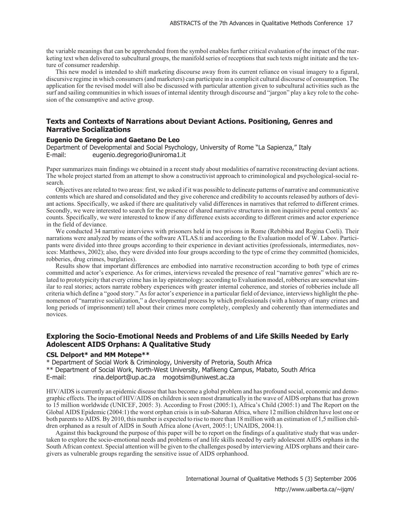the variable meanings that can be apprehended from the symbol enables further critical evaluation of the impact of the marketing text when delivered to subcultural groups, the manifold series of receptions that such texts might initiate and the texture of consumer readership.

This new model is intended to shift marketing discourse away from its current reliance on visual imagery to a figural, discursive regime in which consumers (and marketers) can participate in a complicit cultural discourse of consumption. The application for the revised model will also be discussed with particular attention given to subcultural activities such as the surf and sailing communities in which issues of internal identity through discourse and "jargon" play a key role to the cohesion of the consumptive and active group.

# **Texts and Contexts of Narrations about Deviant Actions. Positioning, Genres and Narrative Socializations**

#### **Eugenio De Gregorio and Gaetano De Leo**

Department of Developmental and Social Psychology, University of Rome "La Sapienza," Italy E-mail: eugenio.degregorio@uniroma1.it

Paper summarizes main findings we obtained in a recent study about modalities of narrative reconstructing deviant actions. The whole project started from an attempt to show a constructivist approach to criminological and psychological-social research.

Objectives are related to two areas: first, we asked if it was possible to delineate patterns of narrative and communicative contents which are shared and consolidated and they give coherence and credibility to accounts released by authors of deviant actions. Specifically, we asked if there are qualitatively valid differences in narratives that referred to different crimes. Secondly, we were interested to search for the presence of shared narrative structures in non inquisitive penal contexts' accounts. Specifically, we were interested to know if any difference exists according to different crimes and actor experience in the field of deviance.

We conducted 34 narrative interviews with prisoners held in two prisons in Rome (Rebibbia and Regina Coeli). Their narrations were analyzed by means of the software ATLAS.ti and according to the Evaluation model of W. Labov. Participants were divided into three groups according to their experience in deviant activities (professionals, intermediates, novices: Matthews, 2002); also, they were divided into four groups according to the type of crime they committed (homicides, robberies, drug crimes, burglaries).

Results show that important differences are embodied into narrative reconstruction according to both type of crimes committed and actor's experience. As for crimes, interviews revealed the presence of real "narrative genres" which are related to prototypicity that every crime has in lay epistemology: according to Evaluation model, robberies are somewhat similar to real stories; actors narrate robbery experiences with greater internal coherence, and stories of robberies include all criteria which define a "good story." As for actor's experience in a particular field of deviance, interviews highlight the phenomenon of "narrative socialization," a developmental process by which professionals (with a history of many crimes and long periods of imprisonment) tell about their crimes more completely, complexly and coherently than intermediates and novices.

### **Exploring the Socio-Emotional Needs and Problems of and Life Skills Needed by Early Adolescent AIDS Orphans: A Qualitative Study**

#### **CSL Delport\* and MM Motepe\*\***

\* Department of Social Work & Criminology, University of Pretoria, South Africa \*\* Department of Social Work, North-West University, Mafikeng Campus, Mabato, South Africa E-mail: rina.delport@up.ac.za mogotsim@uniwest.ac.za

HIV/AIDS is currently an epidemic disease that has become a global problem and has profound social, economic and demographic effects. The impact of HIV/AIDS on children is seen most dramatically in the wave of AIDS orphans that has grown to 15 million worldwide (UNICEF, 2005: 3). According to Frost (2005:1), Africa's Child (2005:1) and The Report on the Global AIDS Epidemic (2004:1) the worst orphan crisis is in sub-Saharan Africa, where 12 million children have lost one or both parents to AIDS. By 2010, this number is expected to rise to more than 18 million with an estimation of 1,5 million children orphaned as a result of AIDS in South Africa alone (Avert, 2005:1; UNAIDS, 2004:1).

Against this background the purpose of this paper will be to report on the findings of a qualitative study that was undertaken to explore the socio-emotional needs and problems of and life skills needed by early adolescent AIDS orphans in the South African context. Special attention will be given to the challenges posed by interviewing AIDS orphans and their caregivers as vulnerable groups regarding the sensitive issue of AIDS orphanhood.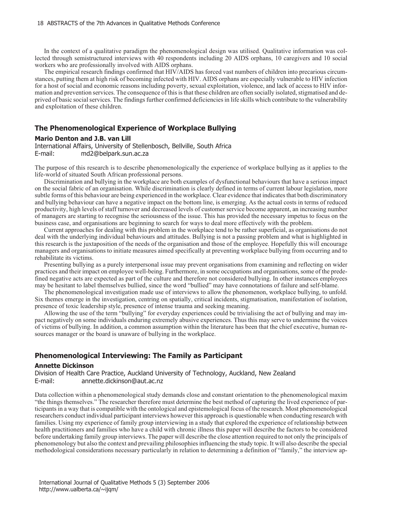In the context of a qualitative paradigm the phenomenological design was utilised. Qualitative information was collected through semistructured interviews with 40 respondents including 20 AIDS orphans, 10 caregivers and 10 social workers who are professionally involved with AIDS orphans.

The empirical research findings confirmed that HIV/AIDS has forced vast numbers of children into precarious circumstances, putting them at high risk of becoming infected with HIV. AIDS orphans are especially vulnerable to HIV infection for a host of social and economic reasons including poverty, sexual exploitation, violence, and lack of access to HIV information and prevention services. The consequence of this is that these children are often socially isolated, stigmatised and deprived of basic social services. The findings further confirmed deficiencies in life skills which contribute to the vulnerability and exploitation of these children.

### **The Phenomenological Experience of Workplace Bullying**

### **Mario Denton and J.B. van Lill**

International Affairs, University of Stellenbosch, Bellville, South Africa E-mail: md2@belpark.sun.ac.za

The purpose of this research is to describe phenomenologically the experience of workplace bullying as it applies to the life-world of situated South African professional persons.

Discrimination and bullying in the workplace are both examples of dysfunctional behaviours that have a serious impact on the social fabric of an organisation. While discrimination is clearly defined in terms of current labour legislation, more subtle forms of this behaviour are being experienced in the workplace. Clear evidence that indicates that both discriminatory and bullying behaviour can have a negative impact on the bottom line, is emerging. As the actual costs in terms of reduced productivity, high levels of staff turnover and decreased levels of customer service become apparent, an increasing number of managers are starting to recognise the seriousness of the issue. This has provided the necessary impetus to focus on the business case, and organisations are beginning to search for ways to deal more effectively with the problem.

Current approaches for dealing with this problem in the workplace tend to be rather superficial, as organisations do not deal with the underlying individual behaviours and attitudes. Bullying is not a passing problem and what is highlighted in this research is the juxtaposition of the needs of the organisation and those of the employee. Hopefully this will encourage managers and organisations to initiate measures aimed specifically at preventing workplace bullying from occurring and to rehabilitate its victims.

Presenting bullying as a purely interpersonal issue may prevent organisations from examining and reflecting on wider practices and their impact on employee well-being. Furthermore, in some occupations and organisations, some of the predefined negative acts are expected as part of the culture and therefore not considered bullying. In other instances employees may be hesitant to label themselves bullied, since the word "bullied" may have connotations of failure and self-blame.

The phenomenological investigation made use of interviews to allow the phenomenon, workplace bullying, to unfold. Six themes emerge in the investigation, centring on spatially, critical incidents, stigmatisation, manifestation of isolation, presence of toxic leadership style, presence of intense trauma and seeking meaning.

Allowing the use of the term "bullying" for everyday experiences could be trivialising the act of bullying and may impact negatively on some individuals enduring extremely abusive experiences. Thus this may serve to undermine the voices of victims of bullying. In addition, a common assumption within the literature has been that the chief executive, human resources manager or the board is unaware of bullying in the workplace.

### **Phenomenological Interviewing: The Family as Participant**

### **Annette Dickinson**

Division of Health Care Practice, Auckland University of Technology, Auckland, New Zealand E-mail: annette.dickinson@aut.ac.nz

Data collection within a phenomenological study demands close and constant orientation to the phenomenological maxim "the things themselves." The researcher therefore must determine the best method of capturing the lived experience of participants in a way that is compatible with the ontological and epistemological focus of the research. Most phenomenological researchers conduct individual participant interviews however this approach is questionable when conducting research with families. Using my experience of family group interviewing in a study that explored the experience of relationship between health practitioners and families who have a child with chronic illness this paper will describe the factors to be considered before undertaking family group interviews. The paper will describe the close attention required to not only the principals of phenomenology but also the context and prevailing philosophies influencing the study topic. It will also describe the special methodological considerations necessary particularly in relation to determining a definition of "family," the interview ap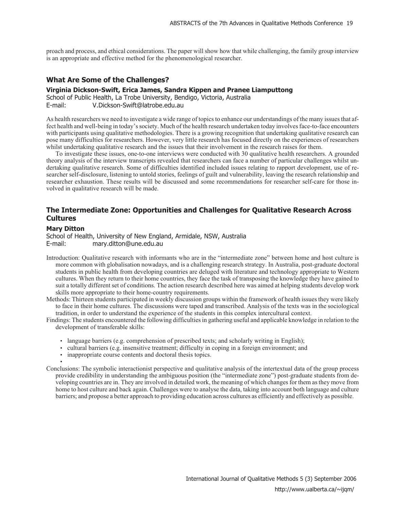proach and process, and ethical considerations. The paper will show how that while challenging, the family group interview is an appropriate and effective method for the phenomenological researcher.

## **What Are Some of the Challenges?**

### **Virginia Dickson-Swift, Erica James, Sandra Kippen and Pranee Liamputtong**

School of Public Health, La Trobe University, Bendigo, Victoria, Australia E-mail: V.Dickson-Swift@latrobe.edu.au

As health researchers we need to investigate a wide range of topics to enhance our understandings of the many issues that affect health and well-being in today's society. Much of the health research undertaken today involves face-to-face encounters with participants using qualitative methodologies. There is a growing recognition that undertaking qualitative research can pose many difficulties for researchers. However, very little research has focused directly on the experiences of researchers whilst undertaking qualitative research and the issues that their involvement in the research raises for them.

To investigate these issues, one-to-one interviews were conducted with 30 qualitative health researchers. A grounded theory analysis of the interview transcripts revealed that researchers can face a number of particular challenges whilst undertaking qualitative research. Some of difficulties identified included issues relating to rapport development, use of researcher self-disclosure, listening to untold stories, feelings of guilt and vulnerability, leaving the research relationship and researcher exhaustion. These results will be discussed and some recommendations for researcher self-care for those involved in qualitative research will be made.

# **The Intermediate Zone: Opportunities and Challenges for Qualitative Research Across Cultures**

### **Mary Ditton**

School of Health, University of New England, Armidale, NSW, Australia E-mail: mary.ditton@une.edu.au

- Introduction: Qualitative research with informants who are in the "intermediate zone" between home and host culture is more common with globalisation nowadays, and is a challenging research strategy. In Australia, post-graduate doctoral students in public health from developing countries are deluged with literature and technology appropriate to Western cultures. When they return to their home countries, they face the task of transposing the knowledge they have gained to suit a totally different set of conditions. The action research described here was aimed at helping students develop work skills more appropriate to their home-country requirements.
- Methods: Thirteen students participated in weekly discussion groups within the framework of health issues they were likely to face in their home cultures. The discussions were taped and transcribed. Analysis of the texts was in the sociological tradition, in order to understand the experience of the students in this complex intercultural context.
- Findings: The students encountered the following difficulties in gathering useful and applicable knowledge in relation to the development of transferable skills:
	- language barriers (e.g. comprehension of prescribed texts; and scholarly writing in English);
	- cultural barriers (e.g. insensitive treatment; difficulty in coping in a foreign environment; and
	- inappropriate course contents and doctoral thesis topics. •
- Conclusions: The symbolic interactionist perspective and qualitative analysis of the intertextual data of the group process provide credibility in understanding the ambiguous position (the "intermediate zone") post-graduate students from developing countries are in. They are involved in detailed work, the meaning of which changes for them as they move from home to host culture and back again. Challenges were to analyse the data, taking into account both language and culture barriers; and propose a better approach to providing education across cultures as efficiently and effectively as possible.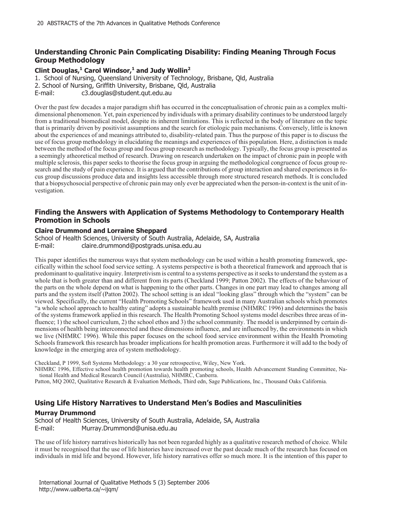# **Understanding Chronic Pain Complicating Disability: Finding Meaning Through Focus Group Methodology**

## **Clint Douglas,<sup>1</sup> Carol Windsor,<sup>1</sup> and Judy Wollin<sup>2</sup>**

1. School of Nursing, Queensland University of Technology, Brisbane, Qld, Australia

2. School of Nursing, Griffith University, Brisbane, Qld, Australia

E-mail: c3.douglas@student.qut.edu.au

Over the past few decades a major paradigm shift has occurred in the conceptualisation of chronic pain as a complex multidimensional phenomenon. Yet, pain experienced by individuals with a primary disability continues to be understood largely from a traditional biomedical model, despite its inherent limitations. This is reflected in the body of literature on the topic that is primarily driven by positivist assumptions and the search for etiologic pain mechanisms. Conversely, little is known about the experiences of and meanings attributed to, disability-related pain. Thus the purpose of this paper is to discuss the use of focus group methodology in elucidating the meanings and experiences of this population. Here, a distinction is made between the method of the focus group and focus group research as methodology. Typically, the focus group is presented as a seemingly atheoretical method of research. Drawing on research undertaken on the impact of chronic pain in people with multiple sclerosis, this paper seeks to theorise the focus group in arguing the methodological congruence of focus group research and the study of pain experience. It is argued that the contributions of group interaction and shared experiences in focus group discussions produce data and insights less accessible through more structured research methods. It is concluded that a biopsychosocial perspective of chronic pain may only ever be appreciated when the person-in-context is the unit of investigation.

# **Finding the Answers with Application of Systems Methodology to Contemporary Health Promotion in Schools**

### **Claire Drummond and Lorraine Sheppard**

School of Health Sciences, University of South Australia, Adelaide, SA, Australia E-mail: claire.drummond@postgrads.unisa.edu.au

This paper identifies the numerous ways that system methodology can be used within a health promoting framework, specifically within the school food service setting. A systems perspective is both a theoretical framework and approach that is predominant to qualitative inquiry. Interpretivism is central to a systems perspective as it seeks to understand the system as a whole that is both greater than and different from its parts (Checkland 1999; Patton 2002). The effects of the behaviour of the parts on the whole depend on what is happening to the other parts. Changes in one part may lead to changes among all parts and the system itself (Patton 2002). The school setting is an ideal "looking glass" through which the "system" can be viewed. Specifically, the current "Health Promoting Schools" framework used in many Australian schools which promotes "a whole school approach to healthy eating" adopts a sustainable health premise (NHMRC 1996) and determines the basis of the systems framework applied in this research. The Health Promoting School systems model describes three areas of influence; 1) the school curriculum, 2) the school ethos and 3) the school community. The model is underpinned by certain dimensions of health being interconnected and these dimensions influence, and are influenced by, the environments in which we live (NHMRC 1996). While this paper focuses on the school food service environment within the Health Promoting Schools framework this research has broader implications for health promotion areas. Furthermore it will add to the body of knowledge in the emerging area of system methodology.

Checkland, P 1999, Soft Systems Methodology: a 30 year retrospective, Wiley, New York.

NHMRC 1996, Effective school health promotion towards health promoting schools, Health Advancement Standing Committee, National Health and Medical Research Council (Australia), NHMRC, Canberra.

Patton, MQ 2002, Qualitative Research & Evaluation Methods, Third edn, Sage Publications, Inc., Thousand Oaks California.

# **Using Life History Narratives to Understand Men's Bodies and Masculinities**

### **Murray Drummond**

School of Health Sciences, University of South Australia, Adelaide, SA, Australia E-mail: Murray.Drummond@unisa.edu.au

The use of life history narratives historically has not been regarded highly as a qualitative research method of choice. While it must be recognised that the use of life histories have increased over the past decade much of the research has focused on individuals in mid life and beyond. However, life history narratives offer so much more. It is the intention of this paper to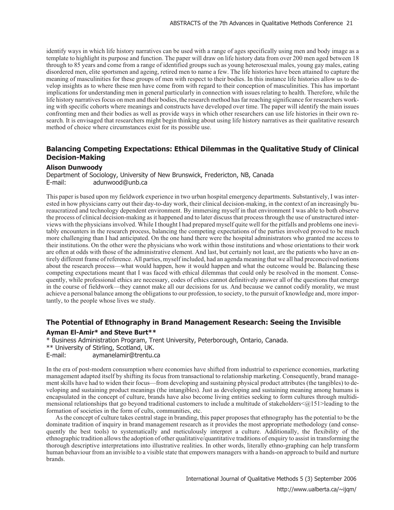identify ways in which life history narratives can be used with a range of ages specifically using men and body image as a template to highlight its purpose and function. The paper will draw on life history data from over 200 men aged between 18 through to 85 years and come from a range of identified groups such as young heterosexual males, young gay males, eating disordered men, elite sportsmen and ageing, retired men to name a few. The life histories have been attained to capture the meaning of masculinities for these groups of men with respect to their bodies. In this instance life histories allow us to develop insights as to where these men have come from with regard to their conception of masculinities. This has important implications for understanding men in general particularly in connection with issues relating to health. Therefore, while the life history narratives focus on men and their bodies, the research method has far reaching significance for researchers working with specific cohorts where meanings and constructs have developed over time. The paper will identify the main issues confronting men and their bodies as well as provide ways in which other researchers can use life histories in their own research. It is envisaged that researchers might begin thinking about using life history narratives as their qualitative research method of choice where circumstances exist for its possible use.

# **Balancing Competing Expectations: Ethical Dilemmas in the Qualitative Study of Clinical Decision-Making**

### **Alison Dunwoody**

Department of Sociology, University of New Brunswick, Fredericton, NB, Canada E-mail: adunwood@unb.ca

This paper is based upon my fieldwork experience in two urban hospital emergency departments. Substantively, I was interested in how physicians carry out their day-to-day work, their clinical decision-making, in the context of an increasingly bureaucratized and technology dependent environment. By immersing myself in that environment I was able to both observe the process of clinical decision-making as it happened and to later discuss that process through the use of unstructured interviews with the physicians involved. While I thought I had prepared myself quite well for the pitfalls and problems one inevitably encounters in the research process, balancing the competing expectations of the parties involved proved to be much more challenging than I had anticipated. On the one hand there were the hospital administrators who granted me access to their institutions. On the other were the physicians who work within those institutions and whose orientations to their work are often at odds with those of the administrative element. And last, but certainly not least, are the patients who have an entirely different frame of reference. All parties, myself included, had an agenda meaning that we all had preconceived notions about the research process—what would happen, how it would happen and what the outcome would be. Balancing these competing expectations meant that I was faced with ethical dilemmas that could only be resolved in the moment. Consequently, while professional ethics are necessary, codes of ethics cannot definitively answer all of the questions that emerge in the course of fieldwork—they cannot make all our decisions for us. And because we cannot codify morality, we must achieve a personal balance among the obligations to our profession, to society, to the pursuit of knowledge and, more importantly, to the people whose lives we study.

# **The Potential of Ethnography in Brand Management Research: Seeing the Invisible Ayman El-Amir\* and Steve Burt\*\***

\* Business Administration Program, Trent University, Peterborough, Ontario, Canada.

\*\* University of Stirling, Scotland, UK.

E-mail: aymanelamir@trentu.ca

In the era of post-modern consumption where economies have shifted from industrial to experience economies, marketing management adapted itself by shifting its focus from transactional to relationship marketing. Consequently, brand management skills have had to widen their focus—from developing and sustaining physical product attributes (the tangibles) to developing and sustaining product meanings (the intangibles). Just as developing and sustaining meaning among humans is encapsulated in the concept of culture, brands have also become living entities seeking to form cultures through multidimensional relationships that go beyond traditional customers to include a multitude of stakeholders $\leq$  (a)151>leading to the formation of societies in the form of cults, communities, etc.

As the concept of culture takes central stage in branding, this paper proposes that ethnography has the potential to be the dominate tradition of inquiry in brand management research as it provides the most appropriate methodology (and consequently the best tools) to systematically and meticulously interpret a culture. Additionally, the flexibility of the ethnographic tradition allows the adoption of other qualitative/quantitative traditions of enquiry to assist in transforming the thorough descriptive interpretations into illustrative realities. In other words, literally ethno-graphing can help transform human behaviour from an invisible to a visible state that empowers managers with a hands-on approach to build and nurture brands.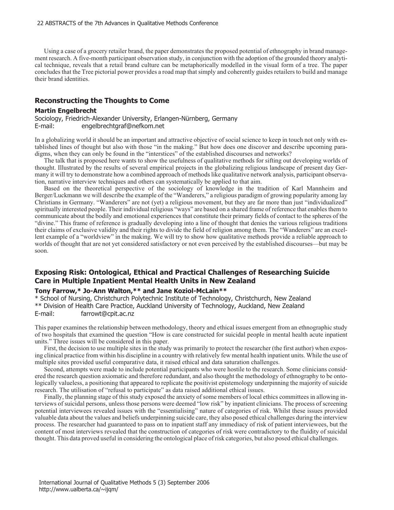Using a case of a grocery retailer brand, the paper demonstrates the proposed potential of ethnography in brand management research. A five-month participant observation study, in conjunction with the adoption of the grounded theory analytical technique, reveals that a retail brand culture can be metaphorically modelled in the visual form of a tree. The paper concludes that the Tree pictorial power provides a road map that simply and coherently guides retailers to build and manage their brand identities.

### **Reconstructing the Thoughts to Come**

### **Martin Engelbrecht**

Sociology, Friedrich-Alexander University, Erlangen-Nürnberg, Germany E-mail: engelbrechtgraf@nefkom.net

In a globalizing world it should be an important and attractive objective of social science to keep in touch not only with established lines of thought but also with those "in the making." But how does one discover and describe upcoming paradigms, when they can only be found in the "interstices" of the established discourses and networks?

The talk that is proposed here wants to show the usefulness of qualitative methods for sifting out developing worlds of thought. Illustrated by the results of several empirical projects in the globalizing religious landscape of present day Germany it will try to demonstrate how a combined approach of methods like qualitative network analysis, participant observation, narrative interview techniques and others can systematically be applied to that aim.

Based on the theoretical perspective of the sociology of knowledge in the tradition of Karl Mannheim and Berger/Luckmann we will describe the example of the "Wanderers," a religious paradigm of growing popularity among lay Christians in Germany. "Wanderers" are not (yet) a religious movement, but they are far more than just "individualized" spiritually interested people. Their individual religious "ways" are based on a shared frame of reference that enables them to communicate about the bodily and emotional experiences that constitute their primary fields of contact to the spheres of the "divine." This frame of reference is gradually developing into a line of thought that denies the various religious traditions their claims of exclusive validity and their rights to divide the field of religion among them. The "Wanderers" are an excellent example of a "worldview" in the making. We will try to show how qualitative methods provide a reliable approach to worlds of thought that are not yet considered satisfactory or not even perceived by the established discourses—but may be soon.

### **Exposing Risk: Ontological, Ethical and Practical Challenges of Researching Suicide Care in Multiple Inpatient Mental Health Units in New Zealand**

### **Tony Farrow,\* Jo-Ann Walton,\*\* and Jane Koziol-McLain\*\***

\* School of Nursing, Christchurch Polytechnic Institute of Technology, Christchurch, New Zealand \*\* Division of Health Care Practice, Auckland University of Technology, Auckland, New Zealand E-mail: farrowt@cpit.ac.nz

This paper examines the relationship between methodology, theory and ethical issues emergent from an ethnographic study of two hospitals that examined the question "How is care constructed for suicidal people in mental health acute inpatient units." Three issues will be considered in this paper.

First, the decision to use multiple sites in the study was primarily to protect the researcher (the first author) when exposing clinical practice from within his discipline in a country with relatively few mental health inpatient units. While the use of multiple sites provided useful comparative data, it raised ethical and data saturation challenges.

Second, attempts were made to include potential participants who were hostile to the research. Some clinicians considered the research question axiomatic and therefore redundant, and also thought the methodology of ethnography to be ontologically valueless, a positioning that appeared to replicate the positivist epistemology underpinning the majority of suicide research. The utilisation of "refusal to participate" as data raised additional ethical issues.

Finally, the planning stage of this study exposed the anxiety of some members of local ethics committees in allowing interviews of suicidal persons, unless those persons were deemed "low risk" by inpatient clinicians. The process of screening potential interviewees revealed issues with the "essentialising" nature of categories of risk. Whilst these issues provided valuable data about the values and beliefs underpinning suicide care, they also posed ethical challenges during the interview process. The researcher had guaranteed to pass on to inpatient staff any immediacy of risk of patient interviewees, but the content of most interviews revealed that the construction of categories of risk were contradictory to the fluidity of suicidal thought. This data proved useful in considering the ontological place of risk categories, but also posed ethical challenges.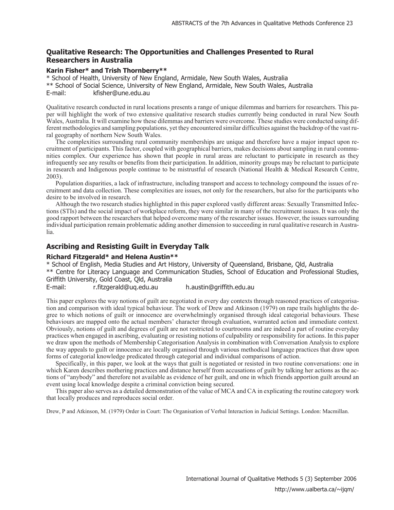# **Qualitative Research: The Opportunities and Challenges Presented to Rural Researchers in Australia**

### **Karin Fisher\* and Trish Thornberry\*\***

\* School of Health, University of New England, Armidale, New South Wales, Australia \*\* School of Social Science, University of New England, Armidale, New South Wales, Australia E-mail: kfisher@une.edu.au

Qualitative research conducted in rural locations presents a range of unique dilemmas and barriers for researchers. This paper will highlight the work of two extensive qualitative research studies currently being conducted in rural New South Wales, Australia. It will examine how these dilemmas and barriers were overcome. These studies were conducted using different methodologies and sampling populations, yet they encountered similar difficulties against the backdrop of the vast rural geography of northern New South Wales.

The complexities surrounding rural community memberships are unique and therefore have a major impact upon recruitment of participants. This factor, coupled with geographical barriers, makes decisions about sampling in rural communities complex. Our experience has shown that people in rural areas are reluctant to participate in research as they infrequently see any results or benefits from their participation. In addition, minority groups may be reluctant to participate in research and Indigenous people continue to be mistrustful of research (National Health & Medical Research Centre, 2003).

Population disparities, a lack of infrastructure, including transport and access to technology compound the issues of recruitment and data collection. These complexities are issues, not only for the researchers, but also for the participants who desire to be involved in research.

Although the two research studies highlighted in this paper explored vastly different areas: Sexually Transmitted Infections (STIs) and the social impact of workplace reform, they were similar in many of the recruitment issues. It was only the good rapport between the researchers that helped overcome many of the researcher issues. However, the issues surrounding individual participation remain problematic adding another dimension to succeeding in rural qualitative research in Australia.

## **Ascribing and Resisting Guilt in Everyday Talk**

### **Richard Fitzgerald\* and Helena Austin\*\***

\* School of English, Media Studies and Art History, University of Queensland, Brisbane, Qld, Australia \*\* Centre for Literacy Language and Communication Studies, School of Education and Professional Studies, Griffith University, Gold Coast, Qld, Australia E-mail: r.fitzgerald@uq.edu.au h.austin@griffith.edu.au

This paper explores the way notions of guilt are negotiated in every day contexts through reasoned practices of categorisation and comparison with ideal typical behaviour. The work of Drew and Atkinson (1979) on rape trails highlights the degree to which notions of guilt or innocence are overwhelmingly organised through ideal categorial behaviours. These behaviours are mapped onto the actual members' character through evaluation, warranted action and immediate context. Obviously, notions of guilt and degrees of guilt are not restricted to courtrooms and are indeed a part of routine everyday practices when engaged in ascribing, evaluating or resisting notions of culpability or responsibility for actions. In this paper we draw upon the methods of Membership Categorisation Analysis in combination with Conversation Analysis to explore the way appeals to guilt or innocence are locally organised through various methodical language practices that draw upon forms of categorial knowledge predicated through categorial and individual comparisons of action.

Specifically, in this paper, we look at the ways that guilt is negotiated or resisted in two routine conversations: one in which Karen describes mothering practices and distance herself from accusations of guilt by talking her actions as the actions of "anybody" and therefore not available as evidence of her guilt, and one in which friends apportion guilt around an event using local knowledge despite a criminal conviction being secured.

This paper also serves as a detailed demonstration of the value of MCA and CA in explicating the routine category work that locally produces and reproduces social order.

Drew, P and Atkinson, M. (1979) Order in Court: The Organisation of Verbal Interaction in Judicial Settings. London: Macmillan.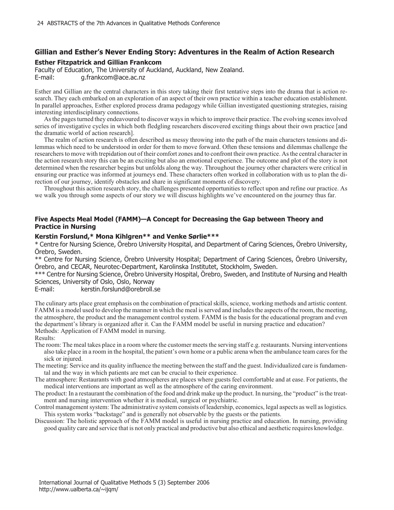# **Gillian and Esther's Never Ending Story: Adventures in the Realm of Action Research**

### **Esther Fitzpatrick and Gillian Frankcom**

Faculty of Education, The University of Auckland, Auckland, New Zealand. E-mail: g.frankcom@ace.ac.nz

Esther and Gillian are the central characters in this story taking their first tentative steps into the drama that is action research. They each embarked on an exploration of an aspect of their own practice within a teacher education establishment. In parallel approaches, Esther explored process drama pedagogy while Gillian investigated questioning strategies, raising interesting interdisciplinary connections.

As the pages turned they endeavoured to discover ways in which to improve their practice. The evolving scenes involved series of investigative cycles in which both fledgling researchers discovered exciting things about their own practice [and the dramatic world of action research].

The realm of action research is often described as messy throwing into the path of the main characters tensions and dilemmas which need to be understood in order for them to move forward. Often these tensions and dilemmas challenge the researchers to move with trepidation out of their comfort zones and to confront their own practice. As the central character in the action research story this can be an exciting but also an emotional experience. The outcome and plot of the story is not determined when the researcher begins but unfolds along the way. Throughout the journey other characters were critical in ensuring our practice was informed at journeys end. These characters often worked in collaboration with us to plan the direction of our journey, identify obstacles and share in significant moments of discovery.

Throughout this action research story, the challenges presented opportunities to reflect upon and refine our practice. As we walk you through some aspects of our story we will discuss highlights we've encountered on the journey thus far.

### **Five Aspects Meal Model (FAMM)—A Concept for Decreasing the Gap between Theory and Practice in Nursing**

#### **Kerstin Forslund,\* Mona Kihlgren\*\* and Venke Sørlie\*\*\***

\* Centre for Nursing Science, Örebro University Hospital, and Department of Caring Sciences, Örebro University, Örebro, Sweden.

\*\* Centre for Nursing Science, Örebro University Hospital; Department of Caring Sciences, Örebro University, Örebro, and CECAR, Neurotec-Department, Karolinska Institutet, Stockholm, Sweden.

\*\*\* Centre for Nursing Science, Örebro University Hospital, Örebro, Sweden, and Institute of Nursing and Health Sciences, University of Oslo, Oslo, Norway

E-mail: kerstin.forslund@orebroll.se

The culinary arts place great emphasis on the combination of practical skills, science, working methods and artistic content. FAMM is a model used to develop the manner in which the meal is served and includes the aspects of the room, the meeting, the atmosphere, the product and the management control system. FAMM is the basis for the educational program and even the department's library is organized after it. Can the FAMM model be useful in nursing practice and education? Methods: Application of FAMM model in nursing. Results:

The room: The meal takes place in a room where the customer meets the serving staff e.g. restaurants. Nursing interventions also take place in a room in the hospital, the patient's own home or a public arena when the ambulance team cares for the sick or injured.

- The meeting: Service and its quality influence the meeting between the staff and the guest. Individualized care is fundamental and the way in which patients are met can be crucial to their experience.
- The atmosphere: Restaurants with good atmospheres are places where guests feel comfortable and at ease. For patients, the medical interventions are important as well as the atmosphere of the caring environment.
- The product: In a restaurant the combination of the food and drink make up the product. In nursing, the "product" is the treatment and nursing intervention whether it is medical, surgical or psychiatric.
- Control management system: The administrative system consists of leadership, economics, legal aspects as well as logistics. This system works "backstage" and is generally not observable by the guests or the patients.
- Discussion: The holistic approach of the FAMM model is useful in nursing practice and education. In nursing, providing good quality care and service that is not only practical and productive but also ethical and aesthetic requires knowledge.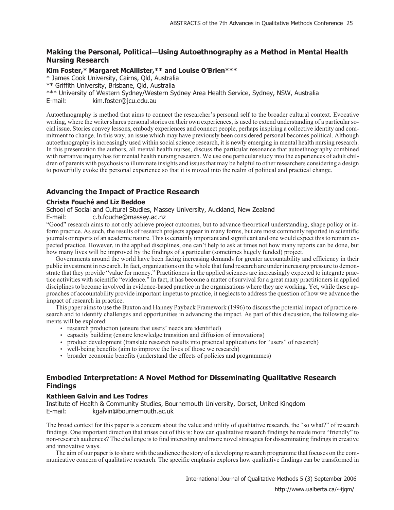# **Making the Personal, Political—Using Autoethnography as a Method in Mental Health Nursing Research**

### **Kim Foster,\* Margaret McAllister,\*\* and Louise O'Brien\*\*\***

\* James Cook University, Cairns, Qld, Australia \*\* Griffith University, Brisbane, Qld, Australia \*\*\* University of Western Sydney/Western Sydney Area Health Service, Sydney, NSW, Australia E-mail: kim.foster@jcu.edu.au

Autoethnography is method that aims to connect the researcher's personal self to the broader cultural context. Evocative writing, where the writer shares personal stories on their own experiences, is used to extend understanding of a particular social issue. Stories convey lessons, embody experiences and connect people, perhaps inspiring a collective identity and commitment to change. In this way, an issue which may have previously been considered personal becomes political. Although autoethnography is increasingly used within social science research, it is newly emerging in mental health nursing research. In this presentation the authors, all mental health nurses, discuss the particular resonance that autoethnography combined with narrative inquiry has for mental health nursing research. We use one particular study into the experiences of adult children of parents with psychosis to illuminate insights and issues that may be helpful to other researchers considering a design to powerfully evoke the personal experience so that it is moved into the realm of political and practical change.

# **Advancing the Impact of Practice Research**

### **Christa Fouché and Liz Beddoe**

School of Social and Cultural Studies, Massey University, Auckland, New Zealand

E-mail: c.b.fouche@massey.ac.nz

"Good" research aims to not only achieve project outcomes, but to advance theoretical understanding, shape policy or inform practice. As such, the results of research projects appear in many forms, but are most commonly reported in scientific journals or reports of an academic nature. This is certainly important and significant and one would expect this to remain expected practice. However, in the applied disciplines, one can't help to ask at times not how many reports can be done, but how many lives will be improved by the findings of a particular (sometimes hugely funded) project.

Governments around the world have been facing increasing demands for greater accountability and efficiency in their public investment in research. In fact, organizations on the whole that fund research are under increasing pressure to demonstrate that they provide "value for money." Practitioners in the applied sciences are increasingly expected to integrate practice activities with scientific "evidence." In fact, it has become a matter of survival for a great many practitioners in applied disciplines to become involved in evidence-based practice in the organisations where they are working. Yet, while these approaches of accountability provide important impetus to practice, it neglects to address the question of how we advance the impact of research in practice.

This paper aims to use the Buxton and Hanney Payback Framework (1996) to discuss the potential impact of practice research and to identify challenges and opportunities in advancing the impact. As part of this discussion, the following elements will be explored:

- research production (ensure that users' needs are identified)
- capacity building (ensure knowledge transition and diffusion of innovations)
- product development (translate research results into practical applications for "users" of research)
- well-being benefits (aim to improve the lives of those we research)
- broader economic benefits (understand the effects of policies and programmes)

# **Embodied Interpretation: A Novel Method for Disseminating Qualitative Research Findings**

### **Kathleen Galvin and Les Todres**

Institute of Health & Community Studies, Bournemouth University, Dorset, United Kingdom E-mail: kgalvin@bournemouth.ac.uk

The broad context for this paper is a concern about the value and utility of qualitative research, the "so what?" of research findings. One important direction that arises out of this is: how can qualitative research findings be made more "friendly" to non-research audiences? The challenge is to find interesting and more novel strategies for disseminating findings in creative and innovative ways.

The aim of our paper is to share with the audience the story of a developing research programme that focuses on the communicative concern of qualitative research. The specific emphasis explores how qualitative findings can be transformed in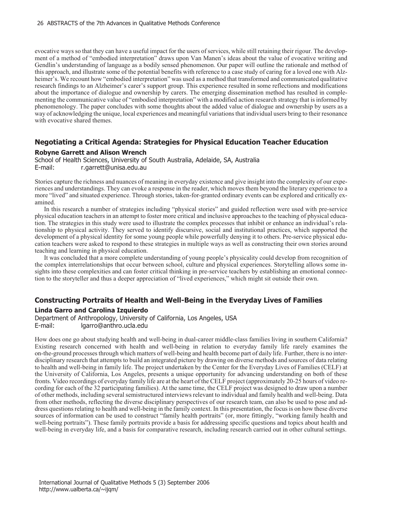evocative ways so that they can have a useful impact for the users of services, while still retaining their rigour. The development of a method of "embodied interpretation" draws upon Van Manen's ideas about the value of evocative writing and Gendlin's understanding of language as a bodily sensed phenomenon. Our paper will outline the rationale and method of this approach, and illustrate some of the potential benefits with reference to a case study of caring for a loved one with Alzheimer's. We recount how "embodied interpretation" was used as a method that transformed and communicated qualitative research findings to an Alzheimer's carer's support group. This experience resulted in some reflections and modifications about the importance of dialogue and ownership by carers. The emerging dissemination method has resulted in complementing the communicative value of "embodied interpretation" with a modified action research strategy that is informed by phenomenology. The paper concludes with some thoughts about the added value of dialogue and ownership by users as a way of acknowledging the unique, local experiences and meaningful variations that individual users bring to their resonance with evocative shared themes.

# **Negotiating a Critical Agenda: Strategies for Physical Education Teacher Education Robyne Garrett and Alison Wrench**

School of Health Sciences, University of South Australia, Adelaide, SA, Australia E-mail: r.garrett@unisa.edu.au

Stories capture the richness and nuances of meaning in everyday existence and give insight into the complexity of our experiences and understandings. They can evoke a response in the reader, which moves them beyond the literary experience to a more "lived" and situated experience. Through stories, taken-for-granted ordinary events can be explored and critically examined.

In this research a number of strategies including "physical stories" and guided reflection were used with pre-service physical education teachers in an attempt to foster more critical and inclusive approaches to the teaching of physical education. The strategies in this study were used to illustrate the complex processes that inhibit or enhance an individual's relationship to physical activity. They served to identify discursive, social and institutional practices, which supported the development of a physical identity for some young people while powerfully denying it to others. Pre-service physical education teachers were asked to respond to these strategies in multiple ways as well as constructing their own stories around teaching and learning in physical education.

It was concluded that a more complete understanding of young people's physicality could develop from recognition of the complex interrelationships that occur between school, culture and physical experiences. Storytelling allows some insights into these complexities and can foster critical thinking in pre-service teachers by establishing an emotional connection to the storyteller and thus a deeper appreciation of "lived experiences," which might sit outside their own.

## **Constructing Portraits of Health and Well-Being in the Everyday Lives of Families**

### **Linda Garro and Carolina Izquierdo**

Department of Anthropology, University of California, Los Angeles, USA E-mail: lgarro@anthro.ucla.edu

How does one go about studying health and well-being in dual-career middle-class families living in southern California? Existing research concerned with health and well-being in relation to everyday family life rarely examines the on-the-ground processes through which matters of well-being and health become part of daily life. Further, there is no interdisciplinary research that attempts to build an integrated picture by drawing on diverse methods and sources of data relating to health and well-being in family life. The project undertaken by the Center for the Everyday Lives of Families (CELF) at the University of California, Los Angeles, presents a unique opportunity for advancing understanding on both of these fronts. Video recordings of everyday family life are at the heart of the CELF project (approximately 20-25 hours of video recording for each of the 32 participating families). At the same time, the CELF project was designed to draw upon a number of other methods, including several semistructured interviews relevant to individual and family health and well-being. Data from other methods, reflecting the diverse disciplinary perspectives of our research team, can also be used to pose and address questions relating to health and well-being in the family context. In this presentation, the focus is on how these diverse sources of information can be used to construct "family health portraits" (or, more fittingly, "working family health and well-being portraits"). These family portraits provide a basis for addressing specific questions and topics about health and well-being in everyday life, and a basis for comparative research, including research carried out in other cultural settings.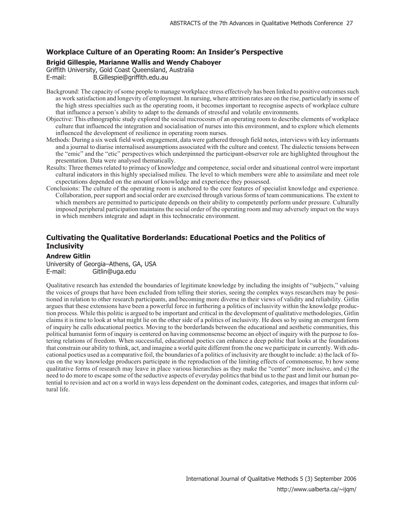# **Workplace Culture of an Operating Room: An Insider's Perspective**

### **Brigid Gillespie, Marianne Wallis and Wendy Chaboyer**

Griffith University, Gold Coast Queensland, Australia

E-mail: B.Gillespie@griffith.edu.au

Background: The capacity of some people to manage workplace stress effectively has been linked to positive outcomes such as work satisfaction and longevity of employment. In nursing, where attrition rates are on the rise, particularly in some of the high stress specialties such as the operating room, it becomes important to recognise aspects of workplace culture that influence a person's ability to adapt to the demands of stressful and volatile environments.

- Objective: This ethnographic study explored the social microcosm of an operating room to describe elements of workplace culture that influenced the integration and socialisation of nurses into this environment, and to explore which elements influenced the development of resilience in operating room nurses.
- Methods: During a six week field work engagement, data were gathered through field notes, interviews with key informants and a journal to diarise internalised assumptions associated with the culture and context. The dialectic tensions between the "emic" and the "etic" perspectives which underpinned the participant-observer role are highlighted throughout the presentation. Data were analysed thematically.
- Results: Three themes related to primacy of knowledge and competence, social order and situational control were important cultural indicators in this highly specialised milieu. The level to which members were able to assimilate and meet role expectations depended on the amount of knowledge and experience they possessed.
- Conclusions: The culture of the operating room is anchored to the core features of specialist knowledge and experience. Collaboration, peer support and social order are exercised through various forms of team communications. The extent to which members are permitted to participate depends on their ability to competently perform under pressure. Culturally imposed peripheral participation maintains the social order of the operating room and may adversely impact on the ways in which members integrate and adapt in this technocratic environment.

# **Cultivating the Qualitative Borderlands: Educational Poetics and the Politics of Inclusivity**

### **Andrew Gitlin**

University of Georgia–Athens, GA, USA E-mail: Gitlin@uga.edu

Qualitative research has extended the boundaries of legitimate knowledge by including the insights of "subjects," valuing the voices of groups that have been excluded from telling their stories, seeing the complex ways researchers may be positioned in relation to other research participants, and becoming more diverse in their views of validity and reliability. Gitlin argues that these extensions have been a powerful force in furthering a politics of inclusivity within the knowledge production process. While this politic is argued to be important and critical in the development of qualitative methodologies, Gitlin claims it is time to look at what might lie on the other side of a politics of inclusivity. He does so by using an emergent form of inquiry he calls educational poetics. Moving to the borderlands between the educational and aesthetic communities, this political humanist form of inquiry is centered on having commonsense become an object of inquiry with the purpose to fostering relations of freedom. When successful, educational poetics can enhance a deep politic that looks at the foundations that constrain our ability to think, act, and imagine a world quite different from the one we participate in currently. With educational poetics used as a comparative foil, the boundaries of a politics of inclusivity are thought to include: a) the lack of focus on the way knowledge producers participate in the reproduction of the limiting effects of commonsense, b) how some qualitative forms of research may leave in place various hierarchies as they make the "center" more inclusive, and c) the need to do more to escape some of the seductive aspects of everyday politics that bind us to the past and limit our human potential to revision and act on a world in ways less dependent on the dominant codes, categories, and images that inform cultural life.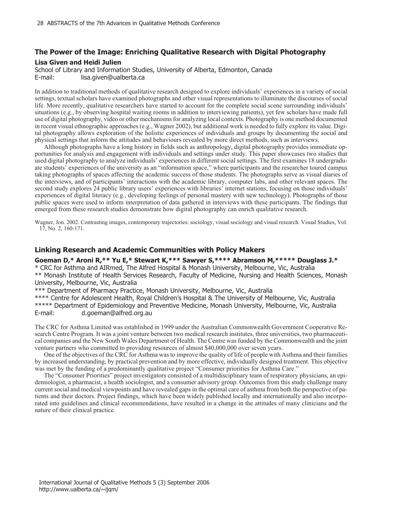# **The Power of the Image: Enriching Qualitative Research with Digital Photography Lisa Given and Heidi Julien**

School of Library and Information Studies, University of Alberta, Edmonton, Canada E-mail: lisa.given@ualberta.ca

In addition to traditional methods of qualitative research designed to explore individuals' experiences in a variety of social settings, textual scholars have examined photographs and other visual representations to illuminate the discourses of social life. More recently, qualitative researchers have started to account for the complete social scene surrounding individuals' situations (e.g., by observing hospital waiting rooms in addition to interviewing patients), yet few scholars have made full use of digital photography, video or other mechanisms for analyzing local contexts. Photography is one method documented in recent visual ethnographic approaches (e.g., Wagner 2002), but additional work is needed to fully explore its value. Digital photography allows exploration of the holistic experiences of individuals and groups by documenting the social and physical settings that inform the attitudes and behaviours revealed by more direct methods, such as interviews.

Although photographs have a long history in fields such as anthropology, digital photography provides immediate opportunities for analysis and engagement with individuals and settings under study. This paper showcases two studies that used digital photography to analyze individuals' experiences in different social settings. The first examines 18 undergraduate students' experiences of the university as an "information space," where participants and the researcher toured campus taking photographs of spaces affecting the academic success of those students. The photographs serve as visual diaries of the interviews, and of participants' interactions with the academic library, computer labs, and other relevant spaces. The second study explores 24 public library users' experiences with libraries' internet stations, focusing on those individuals' experiences of digital literacy (e.g., developing feelings of personal mastery with new technology). Photographs of those public spaces were used to inform interpretation of data gathered in interviews with these participants. The findings that emerged from these research studies demonstrate how digital photography can enrich qualitative research.

Wagner, Jon. 2002. Contrasting images, contemporary trajectories: sociology, visual sociology and visual research. Visual Studies, Vol. 17, No. 2, 160-171.

### **Linking Research and Academic Communities with Policy Makers**

### **Goeman D,\* Aroni R,\*\* Yu E,\* Stewart K,\*\*\* Sawyer S,\*\*\*\* Abramson M,\*\*\*\*\* Douglass J.\***

\* CRC for Asthma and AIRmed, The Alfred Hospital & Monash University, Melbourne, Vic, Australia \*\* Monash Institute of Health Services Research, Faculty of Medicine, Nursing and Health Sciences, Monash University, Melbourne, Vic, Australia

\*\*\* Department of Pharmacy Practice, Monash University, Melbourne, Vic, Australia

\*\*\*\* Centre for Adolescent Health, Royal Children's Hospital & The University of Melbourne, Vic, Australia \*\*\*\*\* Department of Epidemiology and Preventive Medicine, Monash University, Melbourne, Vic, Australia E-mail: d.goeman@alfred.org.au

The CRC for Asthma Limited was established in 1999 under the Australian Commonwealth Government Cooperative Research Centre Program. It was a joint venture between two medical research institutes, three universities, two pharmaceutical companies and the New South Wales Department of Health. The Centre was funded by the Commonwealth and the joint venture partners who committed to providing resources of almost \$40,000,000 over seven years.

One of the objectives of the CRC for Asthma was to improve the quality of life of people with Asthma and their families by increased understanding, by practical prevention and by more effective, individually designed treatment. This objective was met by the funding of a predominantly qualitative project "Consumer priorities for Asthma Care."

The "Consumer Priorities" project investigators consisted of a multidisciplinary team of respiratory physicians, an epidemiologist, a pharmacist, a health sociologist, and a consumer advisory group. Outcomes from this study challenge many current social and medical viewpoints and have revealed gaps in the optimal care of asthma from both the perspective of patients and their doctors. Project findings, which have been widely published locally and internationally and also incorporated into guidelines and clinical recommendations, have resulted in a change in the attitudes of many clinicians and the nature of their clinical practice.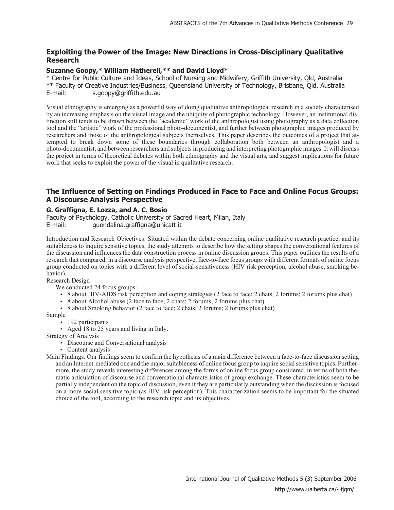# **Exploiting the Power of the Image: New Directions in Cross-Disciplinary Qualitative Research**

### **Suzanne Goopy,\* William Hatherell,\*\* and David Lloyd\***

\* Centre for Public Culture and Ideas, School of Nursing and Midwifery, Griffith University, Qld, Australia \*\* Faculty of Creative Industries/Business, Queensland University of Technology, Brisbane, Qld, Australia E-mail: s.goopy@griffith.edu.au

Visual ethnography is emerging as a powerful way of doing qualitative anthropological research in a society characterised by an increasing emphasis on the visual image and the ubiquity of photographic technology. However, an institutional distinction still tends to be drawn between the "academic" work of the anthropologist using photography as a data collection tool and the "artistic" work of the professional photo-documentist, and further between photographic images produced by researchers and those of the anthropological subjects themselves. This paper describes the outcomes of a project that attempted to break down some of these boundaries through collaboration both between an anthropologist and a photo-documentist, and between researchers and subjects in producing and interpreting photographic images. It will discuss the project in terms of theoretical debates within both ethnography and the visual arts, and suggest implications for future work that seeks to exploit the power of the visual in qualitative research.

# **The Influence of Setting on Findings Produced in Face to Face and Online Focus Groups: A Discourse Analysis Perspective**

## **G. Graffigna, E. Lozza, and A. C. Bosio**

Faculty of Psychology, Catholic University of Sacred Heart, Milan, Italy E-mail: guendalina.graffigna@unicatt.it

Introduction and Research Objectives: Situated within the debate concerning online qualitative research practice, and its suitableness to inquire sensitive topics, the study attempts to describe how the setting shapes the conversational features of the discussion and influences the data construction process in online discussion groups. This paper outlines the results of a research that compared, in a discourse analysis perspective, face-to-face focus groups with different formats of online focus group conducted on topics with a different level of social-sensitiveness (HIV risk perception, alcohol abuse, smoking behavior).

Research Design

We conducted 24 focus groups:

- 8 about HIV-AIDS risk perception and coping strategies (2 face to face; 2 chats; 2 forums; 2 forums plus chat)
- 8 about Alcohol abuse  $(2 \text{ face to face}; 2 \text{ charts}; 2 \text{ formulas}; 2 \text{ formulas})$
- 8 about Smoking behavior (2 face to face; 2 chats; 2 forums; 2 forums plus chat)

Sample

- 192 participants
- Aged 18 to 25 years and living in Italy.
- Strategy of Analysis
	- Discourse and Conversational analysis
	- Content analysis

Main Findings: Our findings seem to confirm the hypothesis of a main difference between a face-to-face discussion setting and an Internet-mediated one and the major suitableness of online focus group to inquire social sensitive topics. Furthermore, the study reveals interesting differences among the forms of online focus group considered, in terms of both thematic articulation of discourse and conversational characteristics of group exchange. These characteristics seem to be partially independent on the topic of discussion, even if they are particularly outstanding when the discussion is focused on a more social sensitive topic (as HIV risk perception). This characterization seems to be important for the situated choice of the tool, according to the research topic and its objectives.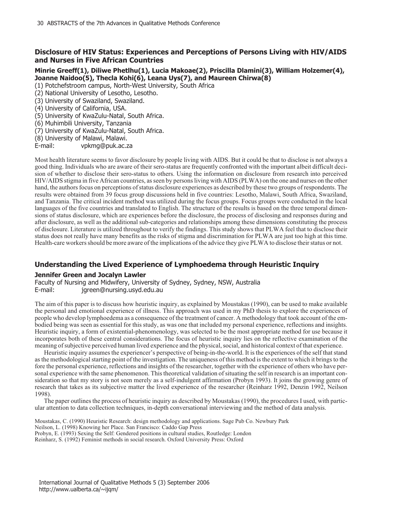# **Disclosure of HIV Status: Experiences and Perceptions of Persons Living with HIV/AIDS and Nurses in Five African Countries**

# **Minrie Greeff(1), Diliwe Phetlhu(1), Lucia Makoae(2), Priscilla Dlamini(3), William Holzemer(4), Joanne Naidoo(5), Thecla Kohi(6), Leana Uys(7), and Maureen Chirwa(8)**

(1) Potchefstroom campus, North-West University, South Africa

(2) National University of Lesotho, Lesotho.

(3) University of Swaziland, Swaziland.

(4) University of California, USA.

(5) University of KwaZulu-Natal, South Africa.

(6) Muhimbili University, Tanzania

(7) University of KwaZulu-Natal, South Africa.

(8) University of Malawi, Malawi.

E-mail: vpkmg@puk.ac.za

Most health literature seems to favor disclosure by people living with AIDS. But it could be that to disclose is not always a good thing. Individuals who are aware of their sero-status are frequently confronted with the important albeit difficult decision of whether to disclose their sero-status to others. Using the information on disclosure from research into perceived HIV/AIDS stigma in five African countries, as seen by persons living with AIDS (PLWA) on the one and nurses on the other hand, the authors focus on perceptions of status disclosure experiences as described by these two groups of respondents. The results were obtained from 39 focus group discussions held in five countries: Lesotho, Malawi, South Africa, Swaziland, and Tanzania. The critical incident method was utilized during the focus groups. Focus groups were conducted in the local languages of the five countries and translated to English. The structure of the results is based on the three temporal dimensions of status disclosure, which are experiences before the disclosure, the process of disclosing and responses during and after disclosure, as well as the additional sub-categories and relationships among these dimensions constituting the process of disclosure. Literature is utilized throughout to verify the findings. This study shows that PLWA feel that to disclose their status does not really have many benefits as the risks of stigma and discrimination for PLWA are just too high at this time. Health-care workers should be more aware of the implications of the advice they give PLWA to disclose their status or not.

# **Understanding the Lived Experience of Lymphoedema through Heuristic Inquiry**

### **Jennifer Green and Jocalyn Lawler**

Faculty of Nursing and Midwifery, University of Sydney, Sydney, NSW, Australia E-mail: jgreen@nursing.usyd.edu.au

The aim of this paper is to discuss how heuristic inquiry, as explained by Moustakas (1990), can be used to make available the personal and emotional experience of illness. This approach was used in my PhD thesis to explore the experiences of people who develop lymphoedema as a consequence of the treatment of cancer. A methodology that took account of the embodied being was seen as essential for this study, as was one that included my personal experience, reflections and insights. Heuristic inquiry, a form of existential-phenomenology, was selected to be the most appropriate method for use because it incorporates both of these central considerations. The focus of heuristic inquiry lies on the reflective examination of the meaning of subjective perceived human lived experience and the physical, social, and historical context of that experience.

Heuristic inquiry assumes the experiencer's perspective of being-in-the-world. It is the experiences of the self that stand as the methodological starting point of the investigation. The uniqueness of this method is the extent to which it brings to the fore the personal experience, reflections and insights of the researcher, together with the experience of others who have personal experience with the same phenomenon. This theoretical validation of situating the self in research is an important consideration so that my story is not seen merely as a self-indulgent affirmation (Probyn 1993). It joins the growing genre of research that takes as its subjective matter the lived experience of the researcher (Reinharz 1992, Denzin 1992, Neilson 1998).

The paper outlines the process of heuristic inquiry as described by Moustakas (1990), the procedures I used, with particular attention to data collection techniques, in-depth conversational interviewing and the method of data analysis.

Moustakas, C. (1990) Heuristic Research: design methodology and applications. Sage Pub Co. Newbury Park Neilson, L. (1998) Knowing her Place. San Francisco: Caddo Gap Press Probyn, E. (1993) Sexing the Self: Gendered positions in cultural studies, Routledge: London Reinharz, S. (1992) Feminist methods in social research. Oxford University Press: Oxford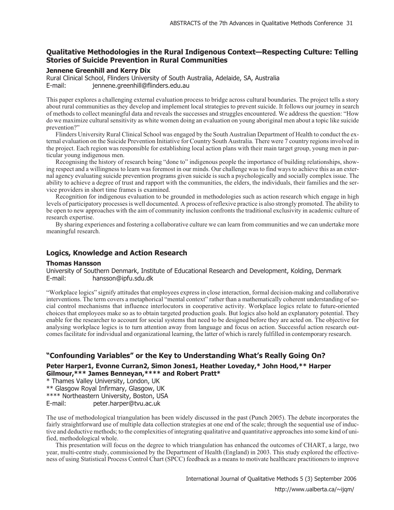# **Qualitative Methodologies in the Rural Indigenous Context—Respecting Culture: Telling Stories of Suicide Prevention in Rural Communities**

### **Jennene Greenhill and Kerry Dix**

Rural Clinical School, Flinders University of South Australia, Adelaide, SA, Australia E-mail: jennene.greenhill@flinders.edu.au

This paper explores a challenging external evaluation process to bridge across cultural boundaries. The project tells a story about rural communities as they develop and implement local strategies to prevent suicide. It follows our journey in search of methods to collect meaningful data and reveals the successes and struggles encountered. We address the question: "How do we maximize cultural sensitivity as white women doing an evaluation on young aboriginal men about a topic like suicide prevention?"

Flinders University Rural Clinical School was engaged by the South Australian Department of Health to conduct the external evaluation on the Suicide Prevention Initiative for Country South Australia. There were 7 country regions involved in the project. Each region was responsible for establishing local action plans with their main target group, young men in particular young indigenous men.

Recognising the history of research being "done to" indigenous people the importance of building relationships, showing respect and a willingness to learn was foremost in our minds. Our challenge was to find ways to achieve this as an external agency evaluating suicide prevention programs given suicide is such a psychologically and socially complex issue. The ability to achieve a degree of trust and rapport with the communities, the elders, the individuals, their families and the service providers in short time frames is examined.

Recognition for indigenous evaluation to be grounded in methodologies such as action research which engage in high levels of participatory processes is well documented. A process of reflexive practice is also strongly promoted. The ability to be open to new approaches with the aim of community inclusion confronts the traditional exclusivity in academic culture of research expertise.

By sharing experiences and fostering a collaborative culture we can learn from communities and we can undertake more meaningful research.

### **Logics, Knowledge and Action Research**

### **Thomas Hansson**

University of Southern Denmark, Institute of Educational Research and Development, Kolding, Denmark E-mail: hansson@ipfu.sdu.dk

"Workplace logics" signify attitudes that employees express in close interaction, formal decision-making and collaborative interventions. The term covers a metaphorical "mental context" rather than a mathematically coherent understanding of social control mechanisms that influence interlocutors in cooperative activity. Workplace logics relate to future-oriented choices that employees make so as to obtain targeted production goals. But logics also hold an explanatory potential. They enable for the researcher to account for social systems that need to be designed before they are acted on. The objective for analysing workplace logics is to turn attention away from language and focus on action. Successful action research outcomes facilitate for individual and organizational learning, the latter of which is rarely fulfilled in contemporary research.

# **"Confounding Variables" or the Key to Understanding What's Really Going On?**

### **Peter Harper1, Evonne Curran2, Simon Jones1, Heather Loveday,\* John Hood,\*\* Harper Gilmour,\*\*\* James Benneyan,\*\*\*\* and Robert Pratt\***

\* Thames Valley University, London, UK

\*\* Glasgow Royal Infirmary, Glasgow, UK

\*\*\*\* Northeastern University, Boston, USA

E-mail: peter.harper@tvu.ac.uk

The use of methodological triangulation has been widely discussed in the past (Punch 2005). The debate incorporates the fairly straightforward use of multiple data collection strategies at one end of the scale; through the sequential use of inductive and deductive methods; to the complexities of integrating qualitative and quantitative approaches into some kind of unified, methodological whole.

This presentation will focus on the degree to which triangulation has enhanced the outcomes of CHART, a large, two year, multi-centre study, commissioned by the Department of Health (England) in 2003. This study explored the effectiveness of using Statistical Process Control Chart (SPCC) feedback as a means to motivate healthcare practitioners to improve

> International Journal of Qualitative Methods 5 (3) September 2006 http://www.ualberta.ca/~ijqm/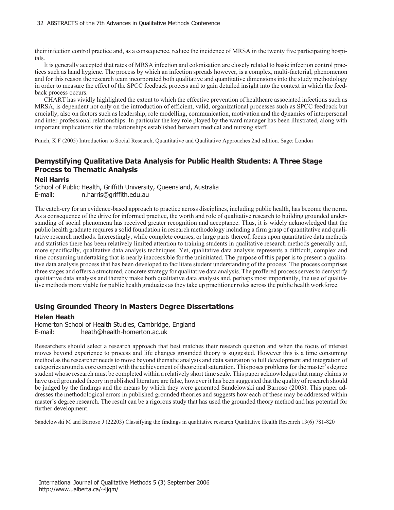their infection control practice and, as a consequence, reduce the incidence of MRSA in the twenty five participating hospitals.

It is generally accepted that rates of MRSA infection and colonisation are closely related to basic infection control practices such as hand hygiene. The process by which an infection spreads however, is a complex, multi-factorial, phenomenon and for this reason the research team incorporated both qualitative and quantitative dimensions into the study methodology in order to measure the effect of the SPCC feedback process and to gain detailed insight into the context in which the feedback process occurs.

CHART has vividly highlighted the extent to which the effective prevention of healthcare associated infections such as MRSA, is dependent not only on the introduction of efficient, valid, organizational processes such as SPCC feedback but crucially, also on factors such as leadership, role modelling, communication, motivation and the dynamics of interpersonal and inter-professional relationships. In particular the key role played by the ward manager has been illustrated, along with important implications for the relationships established between medical and nursing staff.

Punch, K F (2005) Introduction to Social Research, Quantitative and Qualitative Approaches 2nd edition. Sage: London

# **Demystifying Qualitative Data Analysis for Public Health Students: A Three Stage Process to Thematic Analysis**

### **Neil Harris**

School of Public Health, Griffith University, Queensland, Australia E-mail: n.harris@griffith.edu.au

The catch-cry for an evidence-based approach to practice across disciplines, including public health, has become the norm. As a consequence of the drive for informed practice, the worth and role of qualitative research to building grounded understanding of social phenomena has received greater recognition and acceptance. Thus, it is widely acknowledged that the public health graduate requires a solid foundation in research methodology including a firm grasp of quantitative and qualitative research methods. Interestingly, while complete courses, or large parts thereof, focus upon quantitative data methods and statistics there has been relatively limited attention to training students in qualitative research methods generally and, more specifically, qualitative data analysis techniques. Yet, qualitative data analysis represents a difficult, complex and time consuming undertaking that is nearly inaccessible for the uninitiated. The purpose of this paper is to present a qualitative data analysis process that has been developed to facilitate student understanding of the process. The process comprises three stages and offers a structured, concrete strategy for qualitative data analysis. The proffered process serves to demystify qualitative data analysis and thereby make both qualitative data analysis and, perhaps most importantly, the use of qualitative methods more viable for public health graduates as they take up practitioner roles across the public health workforce.

### **Using Grounded Theory in Masters Degree Dissertations**

### **Helen Heath**

Homerton School of Health Studies, Cambridge, England E-mail: heath@health-homerton.ac.uk

Researchers should select a research approach that best matches their research question and when the focus of interest moves beyond experience to process and life changes grounded theory is suggested. However this is a time consuming method as the researcher needs to move beyond thematic analysis and data saturation to full development and integration of categories around a core concept with the achievement of theoretical saturation. This poses problems for the master's degree student whose research must be completed within a relatively short time scale. This paper acknowledges that many claims to have used grounded theory in published literature are false, however it has been suggested that the quality of research should be judged by the findings and the means by which they were generated Sandelowski and Barroso (2003). This paper addresses the methodological errors in published grounded theories and suggests how each of these may be addressed within master's degree research. The result can be a rigorous study that has used the grounded theory method and has potential for further development.

Sandelowski M and Barroso J (22203) Classifying the findings in qualitative research Qualitative Health Research 13(6) 781-820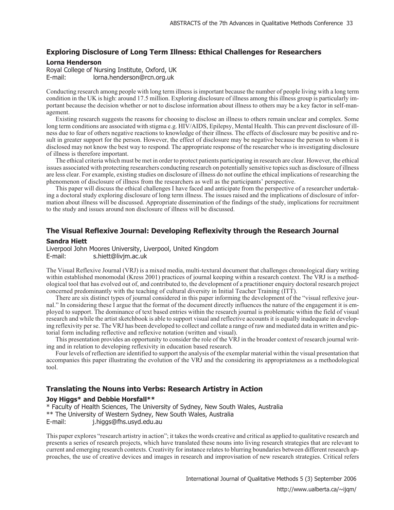# **Exploring Disclosure of Long Term Illness: Ethical Challenges for Researchers**

### **Lorna Henderson**

Royal College of Nursing Institute, Oxford, UK lorna.henderson@rcn.org.uk

Conducting research among people with long term illness is important because the number of people living with a long term condition in the UK is high: around 17.5 million. Exploring disclosure of illness among this illness group is particularly important because the decision whether or not to disclose information about illness to others may be a key factor in self-management.

Existing research suggests the reasons for choosing to disclose an illness to others remain unclear and complex. Some long term conditions are associated with stigma e.g. HIV/AIDS, Epilepsy, Mental Health. This can prevent disclosure of illness due to fear of others negative reactions to knowledge of their illness. The effects of disclosure may be positive and result in greater support for the person. However, the effect of disclosure may be negative because the person to whom it is disclosed may not know the best way to respond. The appropriate response of the researcher who is investigating disclosure of illness is therefore important.

The ethical criteria which must be met in order to protect patients participating in research are clear. However, the ethical issues associated with protecting researchers conducting research on potentially sensitive topics such as disclosure of illness are less clear. For example, existing studies on disclosure of illness do not outline the ethical implications of researching the phenomenon of disclosure of illness from the researchers as well as the participants' perspective.

This paper will discuss the ethical challenges I have faced and anticipate from the perspective of a researcher undertaking a doctoral study exploring disclosure of long term illness. The issues raised and the implications of disclosure of information about illness will be discussed. Appropriate dissemination of the findings of the study, implications for recruitment to the study and issues around non disclosure of illness will be discussed.

### **The Visual Reflexive Journal: Developing Reflexivity through the Research Journal**

#### **Sandra Hiett**

Liverpool John Moores University, Liverpool, United Kingdom E-mail: s.hiett@livjm.ac.uk

The Visual Reflexive Journal (VRJ) is a mixed media, multi-textural document that challenges chronological diary writing within established monomodal (Kress 2001) practices of journal keeping within a research context. The VRJ is a methodological tool that has evolved out of, and contributed to, the development of a practitioner enquiry doctoral research project concerned predominantly with the teaching of cultural diversity in Initial Teacher Training (ITT).

There are six distinct types of journal considered in this paper informing the development of the "visual reflexive journal." In considering these I argue that the format of the document directly influences the nature of the engagement it is employed to support. The dominance of text based entries within the research journal is problematic within the field of visual research and while the artist sketchbook is able to support visual and reflective accounts it is equally inadequate in developing reflexivity per se. The VRJ has been developed to collect and collate a range of raw and mediated data in written and pictorial form including reflective and reflexive notation (written and visual).

This presentation provides an opportunity to consider the role of the VRJ in the broader context of research journal writing and in relation to developing reflexivity in education based research.

Four levels of reflection are identified to support the analysis of the exemplar material within the visual presentation that accompanies this paper illustrating the evolution of the VRJ and the considering its appropriateness as a methodological tool.

# **Translating the Nouns into Verbs: Research Artistry in Action**

### **Joy Higgs\* and Debbie Horsfall\*\***

\* Faculty of Health Sciences, The University of Sydney, New South Wales, Australia \*\* The University of Western Sydney, New South Wales, Australia E-mail: j.higgs@fhs.usyd.edu.au

This paper explores "research artistry in action"; it takes the words creative and critical as applied to qualitative research and presents a series of research projects, which have translated these nouns into living research strategies that are relevant to current and emerging research contexts. Creativity for instance relates to blurring boundaries between different research approaches, the use of creative devices and images in research and improvisation of new research strategies. Critical refers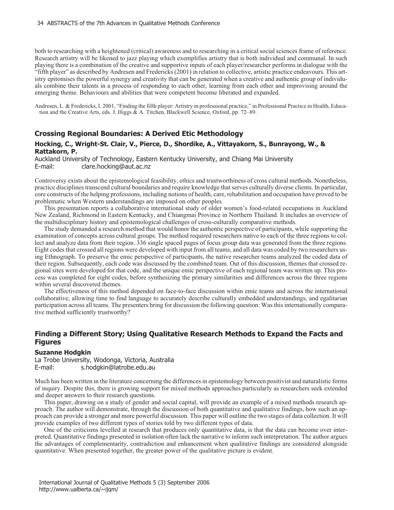both to researching with a heightened (critical) awareness and to researching in a critical social sciences frame of reference. Research artistry will be likened to jazz playing which exemplifies artistry that is both individual and communal. In such playing there is a combination of the creative and supportive inputs of each player/researcher performs in dialogue with the "fifth player" as described by Andresen and Fredericks (2001) in relation to collective, artistic practice endeavours. This artistry epitomises the powerful synergy and creativity that can be generated when a creative and authentic group of individuals combine their talents in a process of responding to each other, learning from each other and improvising around the emerging theme. Behaviours and abilities that were competent become liberated and expanded.

Andresen, L. & Fredericks, I. 2001, "Finding the fifth player: Artistry in professional practice," in Professional Practice in Health, Education and the Creative Arts, eds. J. Higgs & A. Titchen, Blackwell Science, Oxford, pp. 72–89.

# **Crossing Regional Boundaries: A Derived Etic Methodology**

### **Hocking, C., Wright-St. Clair, V., Pierce, D., Shordike, A., Vittayakorn, S., Bunrayong, W., & Rattakorn, P.**

Auckland University of Technology, Eastern Kentucky University, and Chiang Mai University E-mail: clare.hocking@aut.ac.nz

Controversy exists about the epistemological feasibility, ethics and trustworthiness of cross cultural methods. Nonetheless, practice disciplines transcend cultural boundaries and require knowledge that serves culturally diverse clients. In particular, core constructs of the helping professions, including notions of health, care, rehabilitation and occupation have proved to be problematic when Western understandings are imposed on other peoples.

This presentation reports a collaborative international study of older women's food-related occupations in Auckland New Zealand, Richmond in Eastern Kentucky, and Chiangmai Province in Northern Thailand. It includes an overview of the multidisciplinary history and epistemological challenges of cross-culturally comparative methods.

The study demanded a research method that would honor the authentic perspective of participants, while supporting the examination of concepts across cultural groups. The method required researchers native to each of the three regions to collect and analyze data from their region. 336 single spaced pages of focus group data was generated from the three regions. Eight codes that crossed all regions were developed with input from all teams, and all data was coded by two researchers using Ethnograph. To preserve the emic perspective of participants, the native researcher teams analyzed the coded data of their region. Subsequently, each code was discussed by the combined team. Out of this discussion, themes that crossed regional sites were developed for that code, and the unique emic perspective of each regional team was written up. This process was completed for eight codes, before synthesizing the primary similarities and differences across the three regions within several discovered themes.

The effectiveness of this method depended on face-to-face discussion within emic teams and across the international collaborative, allowing time to find language to accurately describe culturally embedded understandings, and egalitarian participation across all teams. The presenters bring for discussion the following question: Was this internationally comparative method sufficiently trustworthy?

# **Finding a Different Story; Using Qualitative Research Methods to Expand the Facts and Figures**

### **Suzanne Hodgkin**

La Trobe University, Wodonga, Victoria, Australia E-mail: s.hodgkin@latrobe.edu.au

Much has been written in the literature concerning the differences in epistemology between positivist and naturalistic forms of inquiry. Despite this, there is growing support for mixed methods approaches particularly as researchers seek extended and deeper answers to their research questions.

This paper, drawing on a study of gender and social capital, will provide an example of a mixed methods research approach. The author will demonstrate, through the discussion of both quantitative and qualitative findings, how such an approach can provide a stronger and more powerful discussion. This paper will outline the two stages of data collection. It will provide examples of two different types of stories told by two different types of data.

One of the criticisms levelled at research that produces only quantitative data, is that the data can become over interpreted. Quantitative findings presented in isolation often lack the narrative to inform such interpretation. The author argues the advantages of complementarity, contradiction and enhancement when qualitative findings are considered alongside quantitative. When presented together, the greater power of the qualitative picture is evident.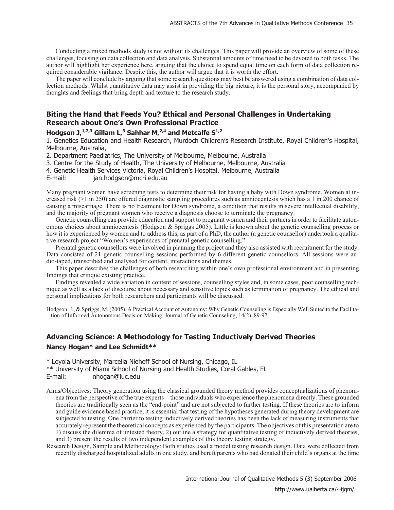Conducting a mixed methods study is not without its challenges. This paper will provide an overview of some of these challenges, focusing on data collection and data analysis. Substantial amounts of time need to be devoted to both tasks. The author will highlight her experience here, arguing that the choice to spend equal time on each form of data collection required considerable vigilance. Despite this, the author will argue that it is worth the effort.

The paper will conclude by arguing that some research questions may best be answered using a combination of data collection methods. Whilst quantitative data may assist in providing the big picture, it is the personal story, accompanied by thoughts and feelings that bring depth and texture to the research study.

# **Biting the Hand that Feeds You? Ethical and Personal Challenges in Undertaking Research about One's Own Professional Practice**

# **Hodgson J,1,2,3 Gillam L,<sup>3</sup> Sahhar M,2,4 and Metcalfe S1,2**

1. Genetics Education and Health Research, Murdoch Children's Research Institute, Royal Children's Hospital, Melbourne, Australia,

2. Department Paediatrics, The University of Melbourne, Melbourne, Australia

3. Centre for the Study of Health, The University of Melbourne, Melbourne, Australia

4. Genetic Health Services Victoria, Royal Children's Hospital, Melbourne, Australia

E-mail: jan.hodgson@mcri.edu.au

Many pregnant women have screening tests to determine their risk for having a baby with Down syndrome. Women at increased risk (>1 in 250) are offered diagnostic sampling procedures such as amniocentesis which has a 1 in 200 chance of causing a miscarriage. There is no treatment for Down syndrome, a condition that results in severe intellectual disability, and the majority of pregnant women who receive a diagnosis choose to terminate the pregnancy.

Genetic counselling can provide education and support to pregnant women and their partners in order to facilitate autonomous choices about amniocentesis (Hodgson & Spriggs 2005). Little is known about the genetic counselling process or how it is experienced by women and to address this, as part of a PhD, the author (a genetic counsellor) undertook a qualitative research project "Women's experiences of prenatal genetic counselling."

Prenatal genetic counsellors were involved in planning the project and they also assisted with recruitment for the study. Data consisted of 21 genetic counselling sessions performed by 6 different genetic counsellors. All sessions were audio-taped, transcribed and analysed for content, interactions and themes.

This paper describes the challenges of both researching within one's own professional environment and in presenting findings that critique existing practice.

Findings revealed a wide variation in content of sessions, counselling styles and, in some cases, poor counselling technique as well as a lack of discourse about necessary and sensitive topics such as termination of pregnancy. The ethical and personal implications for both researchers and participants will be discussed.

Hodgson, J., & Spriggs, M. (2005). A Practical Account of Autonomy: Why Genetic Counseling is Especially Well Suited to the Facilitation of Informed Autonomous Decision Making. Journal of Genetic Counseling, 14(2), 89-97.

# **Advancing Science: A Methodology for Testing Inductively Derived Theories Nancy Hogan\* and Lee Schmidt\*\***

\* Loyola University, Marcella Niehoff School of Nursing, Chicago, IL

\*\* University of Miami School of Nursing and Health Studies, Coral Gables, FL

E-mail: nhogan@luc.edu

Aims/Objectives: Theory generation using the classical grounded theory method provides conceptualizations of phenomena from the perspective of the true experts—those individuals who experience the phenomena directly. These grounded theories are traditionally seen as the "end-point" and are not subjected to further testing. If these theories are to inform and guide evidence based practice, it is essential that testing of the hypotheses generated during theory development are subjected to testing. One barrier to testing inductively derived theories has been the lack of measuring instruments that accurately represent the theoretical concepts as experienced by the participants. The objectives of this presentation are to 1) discuss the dilemma of untested theory, 2) outline a strategy for quantitative testing of inductively derived theories, and 3) present the results of two independent examples of this theory testing strategy.

Research Design, Sample and Methodology: Both studies used a model testing research design. Data were collected from recently discharged hospitalized adults in one study, and bereft parents who had donated their child's organs at the time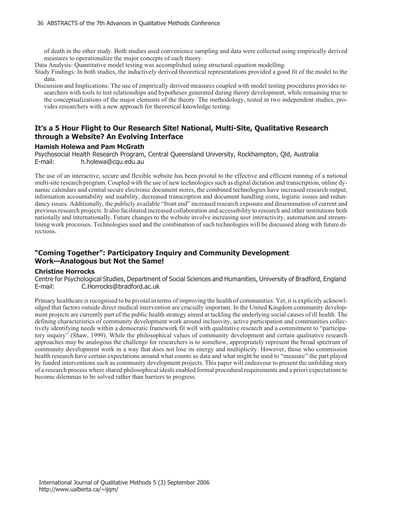of death in the other study. Both studies used convenience sampling and data were collected using empirically derived measures to operationalize the major concepts of each theory.

Data Analysis: Quantitative model testing was accomplished using structural equation modelling.

Study Findings: In both studies, the inductively derived theoretical representations provided a good fit of the model to the data.

Discussion and Implications: The use of empirically derived measures coupled with model testing procedures provides researchers with tools to test relationships and hypotheses generated during theory development, while remaining true to the conceptualizations of the major elements of the theory. The methodology, tested in two independent studies, provides researchers with a new approach for theoretical knowledge testing.

# **It's a 5 Hour Flight to Our Research Site! National, Multi-Site, Qualitative Research through a Website? An Evolving Interface**

### **Hamish Holewa and Pam McGrath**

Psychosocial Health Research Program, Central Queensland University, Rockhampton, Qld, Australia E-mail: h.holewa@cqu.edu.au

The use of an interactive, secure and flexible website has been pivotal to the effective and efficient running of a national multi-site research program. Coupled with the use of new technologies such as digital dictation and transcription, online dynamic calendars and central secure electronic document stores, the combined technologies have increased research output, information accountability and usability, decreased transcription and document handling costs, logistic issues and redundancy issues. Additionally, the publicly available "front end" increased research exposure and dissemination of current and previous research projects. It also facilitated increased collaboration and accessibility to research and other institutions both nationally and internationally. Future changes to the website involve increasing user interactivity, automation and streamlining work processes. Technologies used and the combination of such technologies will be discussed along with future directions.

# **"Coming Together": Participatory Inquiry and Community Development Work—Analogous but Not the Same!**

### **Christine Horrocks**

Centre for Psychological Studies, Department of Social Sciences and Humanities, University of Bradford, England C.Horrocks@bradford.ac.uk

Primary healthcare is recognised to be pivotal in terms of improving the health of communities. Yet, it is explicitly acknowledged that factors outside direct medical intervention are crucially important. In the United Kingdom community development projects are currently part of the public health strategy aimed at tackling the underlying social causes of ill health. The defining characteristics of community development work around inclusivity, active participation and communities collectively identifying needs within a democratic framework fit well with qualitative research and a commitment to "participatory inquiry" (Shaw, 1999). While the philosophical values of community development and certain qualitative research approaches may be analogous the challenge for researchers is to somehow, appropriately represent the broad spectrum of community development work in a way that does not lose its energy and multiplicity. However, those who commission health research have certain expectations around what counts as data and what might be used to "measure" the part played by funded interventions such as community development projects. This paper will endeavour to present the unfolding story of a research process where shared philosophical ideals enabled formal procedural requirements and a priori expectations to become dilemmas to be solved rather than barriers to progress.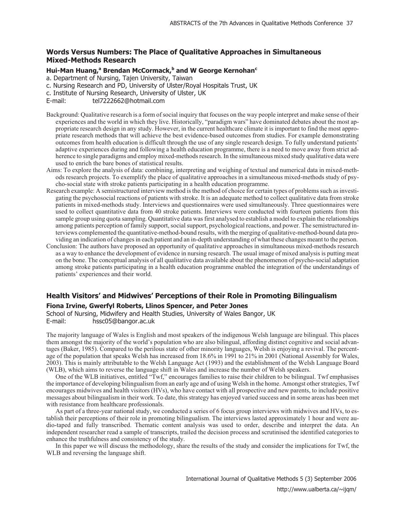## **Words Versus Numbers: The Place of Qualitative Approaches in Simultaneous Mixed-Methods Research**

## **Hui-Man Huang,<sup>a</sup> Brendan McCormack,<sup>b</sup> and W George Kernohan<sup>c</sup>**

a. Department of Nursing, Tajen University, Taiwan

c. Nursing Research and PD, University of Ulster/Royal Hospitals Trust, UK

c. Institute of Nursing Research, University of Ulster, UK

E-mail: tel7222662@hotmail.com

- Background: Qualitative research is a form of social inquiry that focuses on the way people interpret and make sense of their experiences and the world in which they live. Historically, "paradigm wars" have dominated debates about the most appropriate research design in any study. However, in the current healthcare climate it is important to find the most appropriate research methods that will achieve the best evidence-based outcomes from studies. For example demonstrating outcomes from health education is difficult through the use of any single research design. To fully understand patients' adaptive experiences during and following a health education programme, there is a need to move away from strict adherence to single paradigms and employ mixed-methods research. In the simultaneous mixed study qualitative data were used to enrich the bare bones of statistical results.
- Aims: To explore the analysis of data: combining, interpreting and weighing of textual and numerical data in mixed-methods research projects. To exemplify the place of qualitative approaches in a simultaneous mixed-methods study of psycho-social state with stroke patients participating in a health education programme.
- Research example: A semistructured interview method is the method of choice for certain types of problems such as investigating the psychosocial reactions of patients with stroke. It is an adequate method to collect qualitative data from stroke patients in mixed-methods study. Interviews and questionnaires were used simultaneously. Three questionnaires were used to collect quantitative data from 40 stroke patients. Interviews were conducted with fourteen patients from this sample group using quota sampling. Quantitative data was first analysed to establish a model to explain the relationships among patients perception of family support, social support, psychological reactions, and power. The semistructured interviews complemented the quantitative-method-bound results, with the merging of qualitative-method-bound data providing an indication of changes in each patient and an in-depth understanding of what these changes meant to the person.
- Conclusion: The authors have proposed an opportunity of qualitative approaches in simultaneous mixed-methods research as a way to enhance the development of evidence in nursing research. The usual image of mixed analysis is putting meat on the bone. The conceptual analysis of all qualitative data available about the phenomenon of psycho-social adaptation among stroke patients participating in a health education programme enabled the integration of the understandings of patients' experiences and their world.

# **Health Visitors' and Midwives' Perceptions of their Role in Promoting Bilingualism**

#### **Fiona Irvine, Gwerfyl Roberts, Llinos Spencer, and Peter Jones**

School of Nursing, Midwifery and Health Studies, University of Wales Bangor, UK E-mail: hssc05@bangor.ac.uk

The majority language of Wales is English and most speakers of the indigenous Welsh language are bilingual. This places them amongst the majority of the world's population who are also bilingual, affording distinct cognitive and social advantages (Baker, 1985). Compared to the perilous state of other minority languages, Welsh is enjoying a revival. The percentage of the population that speaks Welsh has increased from 18.6% in 1991 to 21% in 2001 (National Assembly for Wales, 2003). This is mainly attributable to the Welsh Language Act (1993) and the establishment of the Welsh Language Board (WLB), which aims to reverse the language shift in Wales and increase the number of Welsh speakers.

One of the WLB initiatives, entitled "Twf," encourages families to raise their children to be bilingual. Twf emphasises the importance of developing bilingualism from an early age and of using Welsh in the home. Amongst other strategies, Twf encourages midwives and health visitors (HVs), who have contact with all prospective and new parents, to include positive messages about bilingualism in their work. To date, this strategy has enjoyed varied success and in some areas has been met with resistance from healthcare professionals.

As part of a three-year national study, we conducted a series of 6 focus group interviews with midwives and HVs, to establish their perceptions of their role in promoting bilingualism. The interviews lasted approximately 1 hour and were audio-taped and fully transcribed. Thematic content analysis was used to order, describe and interpret the data. An independent researcher read a sample of transcripts, trailed the decision process and scrutinised the identified categories to enhance the truthfulness and consistency of the study.

In this paper we will discuss the methodology, share the results of the study and consider the implications for Twf, the WLB and reversing the language shift.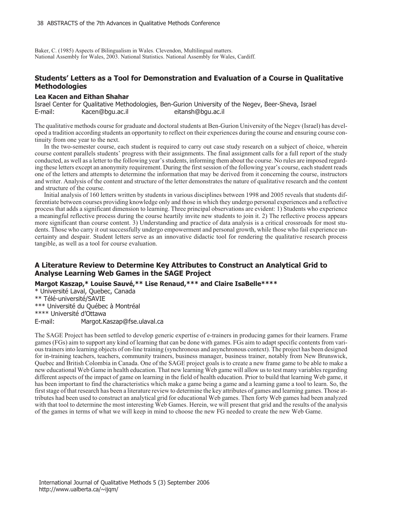Baker, C. (1985) Aspects of Bilingualism in Wales. Clevendon, Multilingual matters. National Assembly for Wales, 2003. National Statistics. National Assembly for Wales, Cardiff.

## **Students' Letters as a Tool for Demonstration and Evaluation of a Course in Qualitative Methodologies**

#### **Lea Kacen and Eithan Shahar**

Israel Center for Qualitative Methodologies, Ben-Gurion University of the Negev, Beer-Sheva, Israel E-mail: Kacen@bgu.ac.il eitansh@bgu.ac.il

The qualitative methods course for graduate and doctoral students at Ben-Gurion University of the Negev (Israel) has developed a tradition according students an opportunity to reflect on their experiences during the course and ensuring course continuity from one year to the next.

In the two-semester course, each student is required to carry out case study research on a subject of choice, wherein course content parallels students' progress with their assignments. The final assignment calls for a full report of the study conducted, as well as a letter to the following year's students, informing them about the course. No rules are imposed regarding these letters except an anonymity requirement. During the first session of the following year's course, each student reads one of the letters and attempts to determine the information that may be derived from it concerning the course, instructors and writer. Analysis of the content and structure of the letter demonstrates the nature of qualitative research and the content and structure of the course.

Initial analysis of 160 letters written by students in various disciplines between 1998 and 2005 reveals that students differentiate between courses providing knowledge only and those in which they undergo personal experiences and a reflective process that adds a significant dimension to learning. Three principal observations are evident: 1) Students who experience a meaningful reflective process during the course heartily invite new students to join it. 2) The reflective process appears more significant than course content. 3) Understanding and practice of data analysis is a critical crossroads for most students. Those who carry it out successfully undergo empowerment and personal growth, while those who fail experience uncertainty and despair. Student letters serve as an innovative didactic tool for rendering the qualitative research process tangible, as well as a tool for course evaluation.

# **A Literature Review to Determine Key Attributes to Construct an Analytical Grid to Analyse Learning Web Games in the SAGE Project**

**Margot Kaszap,\* Louise Sauvé,\*\* Lise Renaud,\*\*\* and Claire IsaBelle\*\*\*\***

\* Université Laval, Quebec, Canada \*\* Télé-université/SAVIE \*\*\* Université du Québec à Montréal \*\*\*\* Université d'Ottawa E-mail: Margot.Kaszap@fse.ulaval.ca

The SAGE Project has been settled to develop generic expertise of e-trainers in producing games for their learners. Frame games (FGs) aim to support any kind of learning that can be done with games. FGs aim to adapt specific contents from various trainers into learning objects of on-line training (synchronous and asynchronous context). The project has been designed for in-training teachers, teachers, community trainers, business manager, business trainer, notably from New Brunswick, Quebec and British Colombia in Canada. One of the SAGE project goals is to create a new frame game to be able to make a new educational Web Game in health education. That new learning Web game will allow us to test many variables regarding different aspects of the impact of game on learning in the field of health education. Prior to build that learning Web game, it has been important to find the characteristics which make a game being a game and a learning game a tool to learn. So, the first stage of that research has been a literature review to determine the key attributes of games and learning games. Those attributes had been used to construct an analytical grid for educational Web games. Then forty Web games had been analyzed with that tool to determine the most interesting Web Games. Herein, we will present that grid and the results of the analysis of the games in terms of what we will keep in mind to choose the new FG needed to create the new Web Game.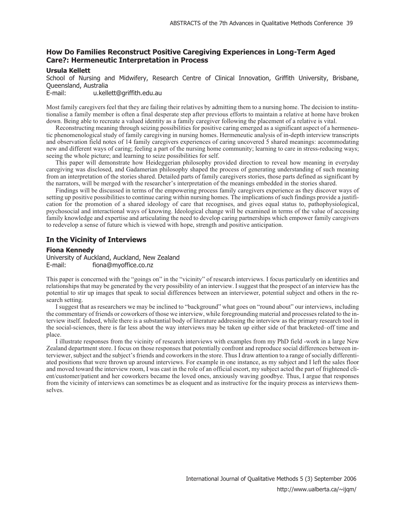# **How Do Families Reconstruct Positive Caregiving Experiences in Long-Term Aged Care?: Hermeneutic Interpretation in Process**

#### **Ursula Kellett**

School of Nursing and Midwifery, Research Centre of Clinical Innovation, Griffith University, Brisbane, Queensland, Australia

E-mail: u.kellett@griffith.edu.au

Most family caregivers feel that they are failing their relatives by admitting them to a nursing home. The decision to institutionalise a family member is often a final desperate step after previous efforts to maintain a relative at home have broken down. Being able to recreate a valued identity as a family caregiver following the placement of a relative is vital.

Reconstructing meaning through seizing possibilities for positive caring emerged as a significant aspect of a hermeneutic phenomenological study of family caregiving in nursing homes. Hermeneutic analysis of in-depth interview transcripts and observation field notes of 14 family caregivers experiences of caring uncovered 5 shared meanings: accommodating new and different ways of caring; feeling a part of the nursing home community; learning to care in stress-reducing ways; seeing the whole picture; and learning to seize possibilities for self.

This paper will demonstrate how Heideggerian philosophy provided direction to reveal how meaning in everyday caregiving was disclosed, and Gadamerian philosophy shaped the process of generating understanding of such meaning from an interpretation of the stories shared. Detailed parts of family caregivers stories, those parts defined as significant by the narrators, will be merged with the researcher's interpretation of the meanings embedded in the stories shared.

Findings will be discussed in terms of the empowering process family caregivers experience as they discover ways of setting up positive possibilities to continue caring within nursing homes. The implications of such findings provide a justification for the promotion of a shared ideology of care that recognises, and gives equal status to, pathophysiological, psychosocial and interactional ways of knowing. Ideological change will be examined in terms of the value of accessing family knowledge and expertise and articulating the need to develop caring partnerships which empower family caregivers to redevelop a sense of future which is viewed with hope, strength and positive anticipation.

## **In the Vicinity of Interviews**

#### **Fiona Kennedy**

University of Auckland, Auckland, New Zealand E-mail: fiona@myoffice.co.nz

This paper is concerned with the "goings on" in the "vicinity" of research interviews. I focus particularly on identities and relationships that may be generated by the very possibility of an interview. I suggest that the prospect of an interview has the potential to stir up images that speak to social differences between an interviewer, potential subject and others in the research setting.

I suggest that as researchers we may be inclined to "background" what goes on "round about" our interviews, including the commentary of friends or coworkers of those we interview, while foregrounding material and processes related to the interview itself. Indeed, while there is a substantial body of literature addressing the interview as the primary research tool in the social-sciences, there is far less about the way interviews may be taken up either side of that bracketed–off time and place.

I illustrate responses from the vicinity of research interviews with examples from my PhD field -work in a large New Zealand department store. I focus on those responses that potentially confront and reproduce social differences between interviewer, subject and the subject's friends and coworkers in the store. Thus I draw attention to a range of socially differentiated positions that were thrown up around interviews. For example in one instance, as my subject and I left the sales floor and moved toward the interview room, I was cast in the role of an official escort, my subject acted the part of frightened client/customer/patient and her coworkers became the loved ones, anxiously waving goodbye. Thus, I argue that responses from the vicinity of interviews can sometimes be as eloquent and as instructive for the inquiry process as interviews themselves.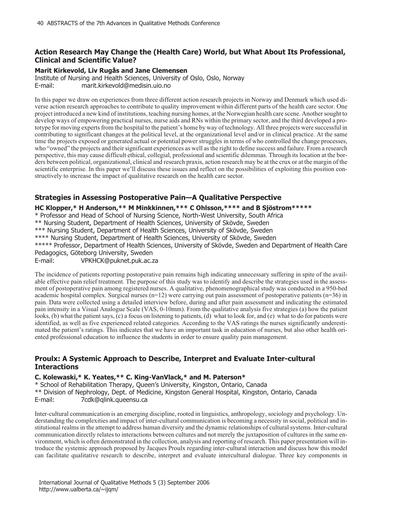# **Action Research May Change the (Health Care) World, but What About Its Professional, Clinical and Scientific Value?**

## **Marit Kirkevold, Liv Rugås and Jane Clemensen**

Institute of Nursing and Health Sciences, University of Oslo, Oslo, Norway E-mail: marit.kirkevold@medisin.uio.no

In this paper we draw on experiences from three different action research projects in Norway and Denmark which used diverse action research approaches to contribute to quality improvement within different parts of the health care sector. One project introduced a new kind of institutions, teaching nursing homes, at the Norwegian health care scene. Another sought to develop ways of empowering practical nurses, nurse aids and RNs within the primary sector, and the third developed a prototype for moving experts from the hospital to the patient's home by way of technology. All three projects were successful in contributing to significant changes at the political level, at the organizational level and/or in clinical practice. At the same time the projects exposed or generated actual or potential power struggles in terms of who controlled the change processes, who "owned" the projects and their significant experiences as well as the right to define success and failure. From a research perspective, this may cause difficult ethical, collegial, professional and scientific dilemmas. Through its location at the borders between political, organizational, clinical and research praxis, action research may be at the crux or at the margin of the scientific enterprise. In this paper we'll discuss these issues and reflect on the possibilities of exploiting this position constructively to increase the impact of qualitative research on the health care sector.

# **Strategies in Assessing Postoperative Pain—A Qualitative Perspective**

**HC Klopper,\* H Anderson,\*\* M Minkkinnen,\*\*\* C Ohlsson,\*\*\*\* and B Sjöstrom\*\*\*\*\*** \* Professor and Head of School of Nursing Science, North-West University, South Africa \*\* Nursing Student, Department of Health Sciences, University of Skövde, Sweden \*\*\* Nursing Student, Department of Health Sciences, University of Skövde, Sweden \*\*\*\* Nursing Student, Department of Health Sciences, University of Skövde, Sweden \*\*\*\*\* Professor, Department of Health Sciences, University of Skövde, Sweden and Department of Health Care Pedagogics, Göteborg University, Sweden

E-mail: VPKHCK@puknet.puk.ac.za

The incidence of patients reporting postoperative pain remains high indicating unnecessary suffering in spite of the available effective pain relief treatment. The purpose of this study was to identify and describe the strategies used in the assessment of postoperative pain among registered nurses. A qualitative, phenomenographical study was conducted in a 950-bed academic hospital complex. Surgical nurses  $(n=12)$  were carrying out pain assessment of postoperative patients  $(n=36)$  in pain. Data were collected using a detailed interview before, during and after pain assessment and indicating the estimated pain intensity in a Visual Analogue Scale (VAS, 0-10mm). From the qualitative analysis five strategies (a) how the patient looks, (b) what the patient says, (c) a focus on listening to patients, (d) what to look for, and (e) what to do for patients were identified, as well as five experienced related categories. According to the VAS ratings the nurses significantly underestimated the patient's ratings. This indicates that we have an important task in education of nurses, but also other health oriented professional education to influence the students in order to ensure quality pain management.

## **Proulx: A Systemic Approach to Describe, Interpret and Evaluate Inter-cultural Interactions**

#### **C. Kolewaski,\* K. Yeates,\*\* C. King-VanVlack,\* and M. Paterson\***

\* School of Rehabilitation Therapy, Queen's University, Kingston, Ontario, Canada \*\* Division of Nephrology, Dept. of Medicine, Kingston General Hospital, Kingston, Ontario, Canada E-mail: 7cdk@qlink.queensu.ca

Inter-cultural communication is an emerging discipline, rooted in linguistics, anthropology, sociology and psychology. Understanding the complexities and impact of inter-cultural communication is becoming a necessity in social, political and institutional realms in the attempt to address human diversity and the dynamic relationships of cultural systems. Inter-cultural communication directly relates to interactions between cultures and not merely the juxtaposition of cultures in the same environment, which is often demonstrated in the collection, analysis and reporting of research. This paper presentation will introduce the systemic approach proposed by Jacques Proulx regarding inter-cultural interaction and discuss how this model can facilitate qualitative research to describe, interpret and evaluate intercultural dialogue. Three key components in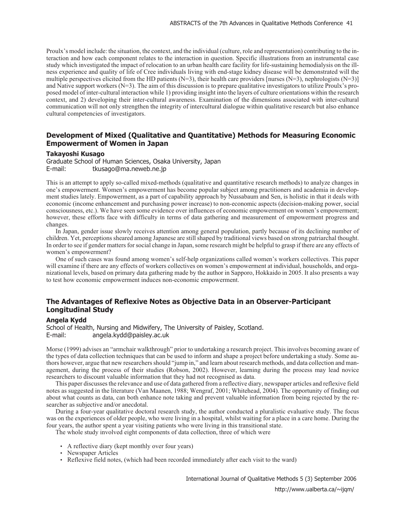Proulx's model include: the situation, the context, and the individual (culture, role and representation) contributing to the interaction and how each component relates to the interaction in question. Specific illustrations from an instrumental case study which investigated the impact of relocation to an urban health care facility for life-sustaining hemodialysis on the illness experience and quality of life of Cree individuals living with end-stage kidney disease will be demonstrated will the multiple perspectives elicited from the HD patients (N=3), their health care providers [nurses (N=3), nephrologists (N=3)] and Native support workers (N=3). The aim of this discussion is to prepare qualitative investigators to utilize Proulx's proposed model of inter-cultural interaction while 1) providing insight into the layers of culture orientations within the research context, and 2) developing their inter-cultural awareness. Examination of the dimensions associated with inter-cultural communication will not only strengthen the integrity of intercultural dialogue within qualitative research but also enhance cultural competencies of investigators.

# **Development of Mixed (Qualitative and Quantitative) Methods for Measuring Economic Empowerment of Women in Japan**

#### **Takayoshi Kusago**

Graduate School of Human Sciences, Osaka University, Japan E-mail: tkusago@ma.neweb.ne.jp

This is an attempt to apply so-called mixed-methods (qualitative and quantitative research methods) to analyze changes in one's empowerment. Women's empowerment has become popular subject among practitioners and academia in development studies lately. Empowerment, as a part of capability approach by Nussabaum and Sen, is holistic in that it deals with economic (income enhancement and purchasing power increase) to non-economic aspects (decision-making power, social consciousness, etc.). We have seen some evidence over influences of economic empowerment on women's empowerment; however, these efforts face with difficulty in terms of data gathering and measurement of empowerment progress and changes.

In Japan, gender issue slowly receives attention among general population, partly because of its declining number of children. Yet, perceptions sheared among Japanese are still shaped by traditional views based on strong patriarchal thought. In order to see if gender matters for social change in Japan, some research might be helpful to grasp if there are any effects of women's empowerment?

One of such cases was found among women's self-help organizations called women's workers collectives. This paper will examine if there are any effects of workers collectives on women's empowerment at individual, households, and organizational levels, based on primary data gathering made by the author in Sapporo, Hokkaido in 2005. It also presents a way to test how economic empowerment induces non-economic empowerment.

# **The Advantages of Reflexive Notes as Objective Data in an Observer-Participant Longitudinal Study**

#### **Angela Kydd**

School of Health, Nursing and Midwifery, The University of Paisley, Scotland. E-mail: angela.kydd@paisley.ac.uk

Morse (1999) advises an "armchair walkthrough" prior to undertaking a research project. This involves becoming aware of the types of data collection techniques that can be used to inform and shape a project before undertaking a study. Some authors however, argue that new researchers should "jump in," and learn about research methods, and data collection and management, during the process of their studies (Robson, 2002). However, learning during the process may lead novice researchers to discount valuable information that they had not recognised as data.

This paper discusses the relevance and use of data gathered from a reflective diary, newspaper articles and reflexive field notes as suggested in the literature (Van Maanen, 1988; Wengraf, 2001; Whitehead, 2004). The opportunity of finding out about what counts as data, can both enhance note taking and prevent valuable information from being rejected by the researcher as subjective and/or anecdotal.

During a four-year qualitative doctoral research study, the author conducted a pluralistic evaluative study. The focus was on the experiences of older people, who were living in a hospital, whilst waiting for a place in a care home. During the four years, the author spent a year visiting patients who were living in this transitional state.

The whole study involved eight components of data collection, three of which were

- A reflective diary (kept monthly over four years)
- Newspaper Articles
- Reflexive field notes, (which had been recorded immediately after each visit to the ward)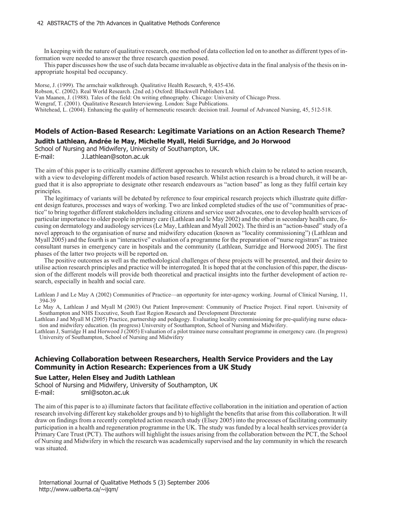In keeping with the nature of qualitative research, one method of data collection led on to another as different types of information were needed to answer the three research question posed.

This paper discusses how the use of such data became invaluable as objective data in the final analysis of the thesis on inappropriate hospital bed occupancy.

Morse, J. (1999). The armchair walkthrough. Qualitative Health Research, 9, 435-436. Robson, C. (2002). Real World Research. (2nd ed.) Oxford: Blackwell Publishers Ltd. Van Maanen, J. (1988). Tales of the field: On writing ethnography. Chicago: University of Chicago Press. Wengraf, T. (2001). Qualitative Research Interviewing. London: Sage Publications. Whitehead, L. (2004). Enhancing the quality of hermeneutic research: decision trail. Journal of Advanced Nursing, 45, 512-518.

# **Models of Action-Based Research: Legitimate Variations on an Action Research Theme?**

**Judith Lathlean, Andrée le May, Michelle Myall, Heidi Surridge, and Jo Horwood**

School of Nursing and Midwifery, University of Southampton, UK. E-mail: J.Lathlean@soton.ac.uk

The aim of this paper is to critically examine different approaches to research which claim to be related to action research, with a view to developing different models of action based research. Whilst action research is a broad church, it will be argued that it is also appropriate to designate other research endeavours as "action based" as long as they fulfil certain key principles.

The legitimacy of variants will be debated by reference to four empirical research projects which illustrate quite different design features, processes and ways of working. Two are linked completed studies of the use of "communities of practice" to bring together different stakeholders including citizens and service user advocates, one to develop health services of particular importance to older people in primary care (Lathlean and le May 2002) and the other in secondary health care, focusing on dermatology and audiology services (Le May, Lathlean and Myall 2002). The third is an "action-based" study of a novel approach to the organisation of nurse and midwifery education (known as "locality commissioning") (Lathlean and Myall 2005) and the fourth is an "interactive" evaluation of a programme for the preparation of "nurse registrars" as trainee consultant nurses in emergency care in hospitals and the community (Lathlean, Surridge and Horwood 2005). The first phases of the latter two projects will be reported on.

The positive outcomes as well as the methodological challenges of these projects will be presented, and their desire to utilise action research principles and practice will be interrogated. It is hoped that at the conclusion of this paper, the discussion of the different models will provide both theoretical and practical insights into the further development of action research, especially in health and social care.

Le May A, Lathlean J and Myall M (2003) Out Patient Improvement: Community of Practice Project. Final report. University of Southampton and NHS Executive, South East Region Research and Development Directorate

Lathlean J and Myall M (2005) Practice, partnership and pedagogy. Evaluating locality commissioning for pre-qualifying nurse education and midwifery education. (In progress) University of Southampton, School of Nursing and Midwifery.

Lathlean J, Surridge H and Horwood J (2005) Evaluation of a pilot trainee nurse consultant programme in emergency care. (In progress) University of Southampton, School of Nursing and Midwifery

## **Achieving Collaboration between Researchers, Health Service Providers and the Lay Community in Action Research: Experiences from a UK Study**

#### **Sue Latter, Helen Elsey and Judith Lathlean**

School of Nursing and Midwifery, University of Southampton, UK E-mail: sml@soton.ac.uk

The aim of this paper is to a) illuminate factors that facilitate effective collaboration in the initiation and operation of action research involving different key stakeholder groups and b) to highlight the benefits that arise from this collaboration. It will draw on findings from a recently completed action research study (Elsey 2005) into the processes of facilitating community participation in a health and regeneration programme in the UK. The study was funded by a local health services provider (a Primary Care Trust (PCT). The authors will highlight the issues arising from the collaboration between the PCT, the School of Nursing and Midwifery in which the research was academically supervised and the lay community in which the research was situated.

Lathlean J and Le May A (2002) Communities of Practice—an opportunity for inter-agency working. Journal of Clinical Nursing, 11, 394-39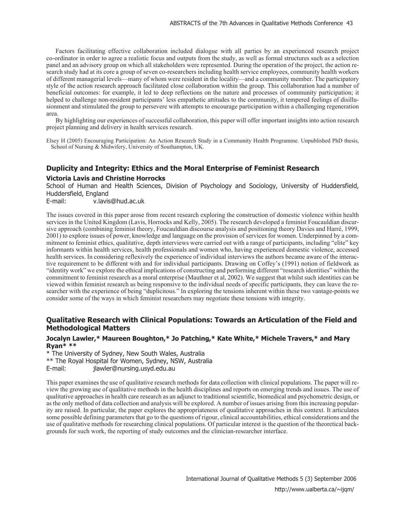Factors facilitating effective collaboration included dialogue with all parties by an experienced research project co-ordinator in order to agree a realistic focus and outputs from the study, as well as formal structures such as a selection panel and an advisory group on which all stakeholders were represented. During the operation of the project, the action research study had at its core a group of seven co-researchers including health service employees, community health workers of different managerial levels—many of whom were resident in the locality—and a community member. The participatory style of the action research approach facilitated close collaboration within the group. This collaboration had a number of beneficial outcomes: for example, it led to deep reflections on the nature and processes of community participation; it helped to challenge non-resident participants' less empathetic attitudes to the community, it tempered feelings of disillusionment and stimulated the group to persevere with attempts to encourage participation within a challenging regeneration area.

By highlighting our experiences of successful collaboration, this paper will offer important insights into action research project planning and delivery in health services research.

Elsey H (2005) Encouraging Participation: An Action Research Study in a Community Health Programme. Unpublished PhD thesis, School of Nursing & Midwifery, University of Southampton, UK.

# **Duplicity and Integrity: Ethics and the Moral Enterprise of Feminist Research Victoria Lavis and Christine Horrocks**

School of Human and Health Sciences, Division of Psychology and Sociology, University of Huddersfield, Huddersfield, England

E-mail: v.lavis@hud.ac.uk

The issues covered in this paper arose from recent research exploring the construction of domestic violence within health services in the United Kingdom (Lavis, Horrocks and Kelly, 2005). The research developed a feminist Foucauldian discursive approach (combining feminist theory, Foucauldian discourse analysis and positioning theory Davies and Harré, 1999, 2001) to explore issues of power, knowledge and language on the provision of services for women. Underpinned by a commitment to feminist ethics, qualitative, depth interviews were carried out with a range of participants, including "elite" key informants within health services, health professionals and women who, having experienced domestic violence, accessed health services. In considering reflexively the experience of individual interviews the authors became aware of the interactive requirement to be different with and for individual participants. Drawing on Coffey's (1991) notion of fieldwork as "identity work" we explore the ethical implications of constructing and performing different "research identities" within the commitment to feminist research as a moral enterprise (Mauthner et al, 2002). We suggest that whilst such identities can be viewed within feminist research as being responsive to the individual needs of specific participants, they can leave the researcher with the experience of being "duplicitous." In exploring the tensions inherent within these two vantage-points we consider some of the ways in which feminist researchers may negotiate these tensions with integrity.

## **Qualitative Research with Clinical Populations: Towards an Articulation of the Field and Methodological Matters**

#### **Jocalyn Lawler,\* Maureen Boughton,\* Jo Patching,\* Kate White,\* Michele Travers,\* and Mary Ryan\* \*\***

\* The University of Sydney, New South Wales, Australia

\*\* The Royal Hospital for Women, Sydney, NSW, Australia

E-mail: jlawler@nursing.usyd.edu.au

This paper examines the use of qualitative research methods for data collection with clinical populations. The paper will review the growing use of qualitative methods in the health disciplines and reports on emerging trends and issues. The use of qualitative approaches in health care research as an adjunct to traditional scientific, biomedical and psychometric design, or as the only method of data collection and analysis will be explored. A number of issues arising from this increasing popularity are raised. In particular, the paper explores the appropriateness of qualitative approaches in this context. It articulates some possible defining parameters that go to the questions of rigour, clinical accountabilities, ethical considerations and the use of qualitative methods for researching clinical populations. Of particular interest is the question of the theoretical backgrounds for such work, the reporting of study outcomes and the clinician-researcher interface.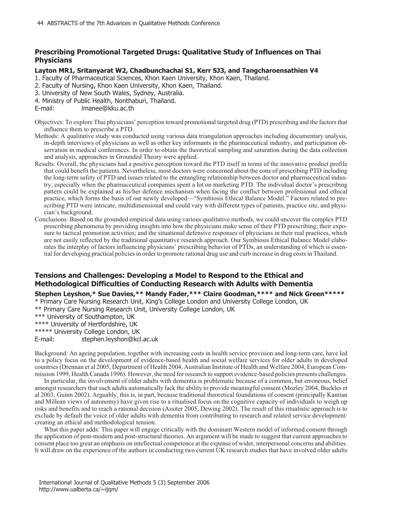# **Prescribing Promotional Targeted Drugs: Qualitative Study of Influences on Thai Physicians**

## **Layton MR1, Sritanyarat W2, Chadbunchachai S1, Kerr SJ3, and Tangcharoensathien V4**

1. Faculty of Pharmaceutical Sciences, Khon Kaen University, Khon Kaen, Thailand.

- 2. Faculty of Nursing, Khon Kaen University, Khon Kaen, Thailand.
- 3. University of New South Wales, Sydney, Australia.
- 4. Ministry of Public Health, Nonthaburi, Thailand.

E-mail: lmanee@kku.ac.th

Objectives: To explore Thai physicians' perception toward promotional targeted drug (PTD) prescribing and the factors that influence them to prescribe a PTD.

- Methods: A qualitative study was conducted using various data triangulation approaches including documentary analysis, in-depth interviews of physicians as well as other key informants in the pharmaceutical industry, and participation observation in medical conferences. In order to obtain the theoretical sampling and saturation during the data collection and analysis, approaches in Grounded Theory were applied.
- Results: Overall, the physicians had a positive perception toward the PTD itself in terms of the innovative product profile that could benefit the patients. Nevertheless, most doctors were concerned about the cons of prescribing PTD including the long-term safety of PTD and issues related to the entangling relationship between doctor and pharmaceutical industry, especially when the pharmaceutical companies spent a lot on marketing PTD. The individual doctor's prescribing pattern could be explained as his/her defence mechanism when facing the conflict between professional and ethical practice, which forms the basis of our newly developed—"Symbiosis Ethical Balance Model." Factors related to prescribing PTD were intricate, multidimensional and could vary with different types of patients, practice site, and physician's background.
- Conclusions: Based on the grounded empirical data using various qualitative methods, we could uncover the complex PTD prescribing phenomena by providing insights into how the physicians make sense of their PTD prescribing; their exposure to tactical promotion activities; and the situational defensive responses of physicians in their real practices, which are not easily reflected by the traditional quantitative research approach. Our Symbiosis Ethical Balance Model elaborates the interplay of factors influencing physicians' prescribing behavior of PTDs, an understanding of which is essential for developing practical policies in order to promote rational drug use and curb increase in drug costs in Thailand.

# **Tensions and Challenges: Developing a Model to Respond to the Ethical and Methodological Difficulties of Conducting Research with Adults with Dementia**

**Stephen Leyshon,\* Sue Davies,\*\* Mandy Fader,\*\*\* Claire Goodman,\*\*\*\* and Nick Green\*\*\*\*\***

\* Primary Care Nursing Research Unit, King's College London and University College London, UK \*\* Primary Care Nursing Research Unit, University College London, UK \*\*\* University of Southampton, UK \*\*\*\* University of Hertfordshire, UK

\*\*\*\*\* University College London, UK

E-mail: stephen.leyshon@kcl.ac.uk

Background: An ageing population, together with increasing costs in health service provision and long-term care, have led to a policy focus on the development of evidence-based health and social welfare services for older adults in developed countries (Drennan et al 2005, Department of Health 2004, Australian Institute of Health and Welfare 2004, European Commission 1999, Health Canada 1996). However, the need for research to support evidence-based policies presents challenges.

In particular, the involvement of older adults with dementia is problematic because of a common, but erroneous, belief amongst researchers that such adults automatically lack the ability to provide meaningful consent (Mozley 2004, Buckles et al 2003, Guinn 2002). Arguably, this is, in part, because traditional theoretical foundations of consent (principally Kantian and Millean views of autonomy) have given rise to a ritualised focus on the cognitive capacity of individuals to weigh up risks and benefits and to reach a rational decision (Assiter 2005, Dewing 2002). The result of this ritualistic approach is to exclude by default the voice of older adults with dementia from contributing to research and related service development: creating an ethical and methodological tension.

What this paper adds: This paper will engage critically with the dominant Western model of informed consent through the application of post-modern and post-structural theories. An argument will be made to suggest that current approaches to consent place too great an emphasis on intellectual competence at the expense of wider, interpersonal concerns and abilities. It will draw on the experience of the authors in conducting two current UK research studies that have involved older adults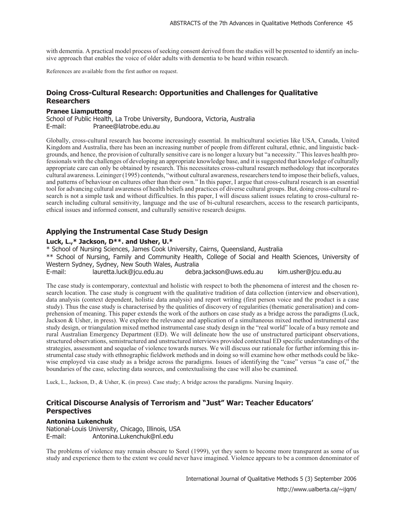with dementia. A practical model process of seeking consent derived from the studies will be presented to identify an inclusive approach that enables the voice of older adults with dementia to be heard within research.

References are available from the first author on request.

# **Doing Cross-Cultural Research: Opportunities and Challenges for Qualitative Researchers**

#### **Pranee Liamputtong**

School of Public Health, La Trobe University, Bundoora, Victoria, Australia E-mail: Pranee@latrobe.edu.au

Globally, cross-cultural research has become increasingly essential. In multicultural societies like USA, Canada, United Kingdom and Australia, there has been an increasing number of people from different cultural, ethnic, and linguistic backgrounds, and hence, the provision of culturally sensitive care is no longer a luxury but "a necessity." This leaves health professionals with the challenges of developing an appropriate knowledge base, and it is suggested that knowledge of culturally appropriate care can only be obtained by research. This necessitates cross-cultural research methodology that incorporates cultural awareness. Leininger (1995) contends, "without cultural awareness, researchers tend to impose their beliefs, values, and patterns of behaviour on cultures other than their own." In this paper, I argue that cross-cultural research is an essential tool for advancing cultural awareness of health beliefs and practices of diverse cultural groups. But, doing cross-cultural research is not a simple task and without difficulties. In this paper, I will discuss salient issues relating to cross-cultural research including cultural sensitivity, language and the use of bi-cultural researchers, access to the research participants, ethical issues and informed consent, and culturally sensitive research designs.

## **Applying the Instrumental Case Study Design**

#### **Luck, L.,\* Jackson, D\*\*. and Usher, U.\***

\* School of Nursing Sciences, James Cook University, Cairns, Queensland, Australia \*\* School of Nursing, Family and Community Health, College of Social and Health Sciences, University of Western Sydney, Sydney, New South Wales, Australia

E-mail: lauretta.luck@jcu.edu.au debra.jackson@uws.edu.au kim.usher@jcu.edu.au

The case study is contemporary, contextual and holistic with respect to both the phenomena of interest and the chosen research location. The case study is congruent with the qualitative tradition of data collection (interview and observation), data analysis (context dependent, holistic data analysis) and report writing (first person voice and the product is a case study). Thus the case study is characterised by the qualities of discovery of regularities (thematic generalisation) and comprehension of meaning. This paper extends the work of the authors on case study as a bridge across the paradigms (Luck, Jackson & Usher, in press). We explore the relevance and application of a simultaneous mixed method instrumental case study design, or triangulation mixed method instrumental case study design in the "real world" locale of a busy remote and rural Australian Emergency Department (ED). We will delineate how the use of unstructured participant observations, structured observations, semistructured and unstructured interviews provided contextual ED specific understandings of the strategies, assessment and sequelae of violence towards nurses. We will discuss our rationale for further informing this instrumental case study with ethnographic fieldwork methods and in doing so will examine how other methods could be likewise employed via case study as a bridge across the paradigms. Issues of identifying the "case" versus "a case of," the boundaries of the case, selecting data sources, and contextualising the case will also be examined.

Luck, L., Jackson, D., & Usher, K. (in press). Case study; A bridge across the paradigms. Nursing Inquiry.

# **Critical Discourse Analysis of Terrorism and "Just" War: Teacher Educators' Perspectives**

#### **Antonina Lukenchuk**

National-Louis University, Chicago, Illinois, USA E-mail: Antonina.Lukenchuk@nl.edu

The problems of violence may remain obscure to Sorel (1999), yet they seem to become more transparent as some of us study and experience them to the extent we could never have imagined. Violence appears to be a common denominator of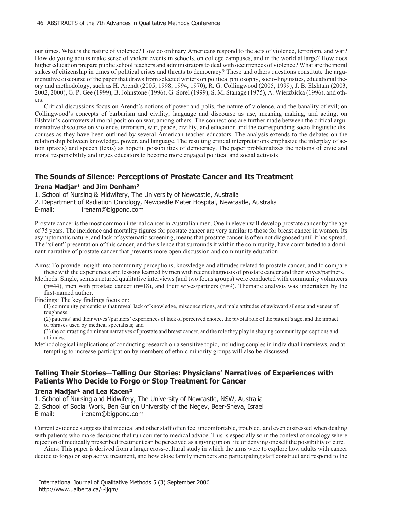our times. What is the nature of violence? How do ordinary Americans respond to the acts of violence, terrorism, and war? How do young adults make sense of violent events in schools, on college campuses, and in the world at large? How does higher education prepare public school teachers and administrators to deal with occurrences of violence? What are the moral stakes of citizenship in times of political crises and threats to democracy? These and others questions constitute the argumentative discourse of the paper that draws from selected writers on political philosophy, socio-linguistics, educational theory and methodology, such as H. Arendt (2005, 1998, 1994, 1970), R. G. Collingwood (2005, 1999), J. B. Elshtain (2003, 2002, 2000), G. P. Gee (1999), B. Johnstone (1996), G. Sorel (1999), S. M. Stanage (1975), A. Wierzbicka (1996), and others.

Critical discussions focus on Arendt's notions of power and polis, the nature of violence, and the banality of evil; on Collingwood's concepts of barbarism and civility, language and discourse as use, meaning making, and acting; on Elshtain's controversial moral position on war, among others. The connections are further made between the critical argumentative discourse on violence, terrorism, war, peace, civility, and education and the corresponding socio-linguistic discourses as they have been outlined by several American teacher educators. The analysis extends to the debates on the relationship between knowledge, power, and language. The resulting critical interpretations emphasize the interplay of action (praxis) and speech (lexis) as hopeful possibilities of democracy. The paper problematizes the notions of civic and moral responsibility and urges educators to become more engaged political and social activists.

## **The Sounds of Silence: Perceptions of Prostate Cancer and Its Treatment**

#### **Irena Madjar<sup>1</sup> and Jim Denham<sup>2</sup>**

1. School of Nursing & Midwifery, The University of Newcastle, Australia

2. Department of Radiation Oncology, Newcastle Mater Hospital, Newcastle, Australia

E-mail: irenam@bigpond.com

Prostate cancer is the most common internal cancer in Australian men. One in eleven will develop prostate cancer by the age of 75 years. The incidence and mortality figures for prostate cancer are very similar to those for breast cancer in women. Its asymptomatic nature, and lack of systematic screening, means that prostate cancer is often not diagnosed until it has spread. The "silent" presentation of this cancer, and the silence that surrounds it within the community, have contributed to a dominant narrative of prostate cancer that prevents more open discussion and community education.

- Aims: To provide insight into community perceptions, knowledge and attitudes related to prostate cancer, and to compare these with the experiences and lessons learned by men with recent diagnosis of prostate cancer and their wives/partners.
- Methods: Single, semistructured qualitative interviews (and two focus groups) were conducted with community volunteers  $(n=44)$ , men with prostate cancer  $(n=18)$ , and their wives/partners  $(n=9)$ . Thematic analysis was undertaken by the first-named author.

Findings: The key findings focus on:

(1) community perceptions that reveal lack of knowledge, misconceptions, and male attitudes of awkward silence and veneer of toughness;

(2) patients' and their wives'/partners' experiences of lack of perceived choice, the pivotal role of the patient's age, and the impact of phrases used by medical specialists; and

(3) the contrasting dominant narratives of prostate and breast cancer, and the role they play in shaping community perceptions and attitudes.

Methodological implications of conducting research on a sensitive topic, including couples in individual interviews, and attempting to increase participation by members of ethnic minority groups will also be discussed.

# **Telling Their Stories—Telling Our Stories: Physicians' Narratives of Experiences with Patients Who Decide to Forgo or Stop Treatment for Cancer**

#### **Irena Madjar<sup>1</sup> and Lea Kacen<sup>2</sup>**

- 1. School of Nursing and Midwifery, The University of Newcastle, NSW, Australia
- 2. School of Social Work, Ben Gurion University of the Negev, Beer-Sheva, Israel
- E-mail: irenam@bigpond.com

Current evidence suggests that medical and other staff often feel uncomfortable, troubled, and even distressed when dealing with patients who make decisions that run counter to medical advice. This is especially so in the context of oncology where rejection of medically prescribed treatment can be perceived as a giving up on life or denying oneself the possibility of cure.

Aims: This paper is derived from a larger cross-cultural study in which the aims were to explore how adults with cancer decide to forgo or stop active treatment, and how close family members and participating staff construct and respond to the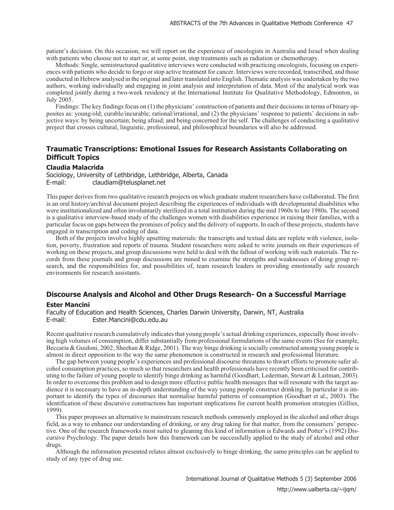patient's decision. On this occasion, we will report on the experience of oncologists in Australia and Israel when dealing with patients who choose not to start or, at some point, stop treatments such as radiation or chemotherapy.

Methods: Single, semistructured qualitative interviews were conducted with practicing oncologists, focusing on experiences with patients who decide to forgo or stop active treatment for cancer. Interviews were recorded, transcribed, and those conducted in Hebrew analysed in the original and later translated into English. Thematic analysis was undertaken by the two authors, working individually and engaging in joint analysis and interpretation of data. Most of the analytical work was completed jointly during a two-week residency at the International Institute for Qualitative Methodology, Edmonton, in July 2005.

Findings: The key findings focus on (1) the physicians' construction of patients and their decisions in terms of binary opposites as: young/old; curable/incurable; rational/irrational, and (2) the physicians' response to patients' decisions in subjective ways: by being uncertain; being afraid; and being concerned for the self. The challenges of conducting a qualitative project that crosses cultural, linguistic, professional, and philosophical boundaries will also be addressed.

## **Traumatic Transcriptions: Emotional Issues for Research Assistants Collaborating on Difficult Topics**

#### **Claudia Malacrida**

Sociology, University of Lethbridge, Lethbridge, Alberta, Canada E-mail: claudiam@telusplanet.net

This paper derives from two qualitative research projects on which graduate student researchers have collaborated. The first is an oral history/archival document project describing the experiences of individuals with developmental disabilities who were institutionalized and often involuntarily sterilized in a total institution during the mid 1960s to late 1980s. The second is a qualitative interview-based study of the challenges women with disabilities experience in raising their families, with a particular focus on gaps between the promises of policy and the delivery of supports. In each of these projects, students have engaged in transcription and coding of data.

Both of the projects involve highly upsetting materials: the transcripts and textual data are replete with violence, isolation, poverty, frustration and reports of trauma. Student researchers were asked to write journals on their experiences of working on these projects, and group discussions were held to deal with the fallout of working with such materials. The records from these journals and group discussions are mined to examine the strengths and weaknesses of doing group research, and the responsibilities for, and possibilities of, team research leaders in providing emotionally safe research environments for research assistants.

# **Discourse Analysis and Alcohol and Other Drugs Research- On a Successful Marriage**

#### **Ester Mancini**

Faculty of Education and Health Sciences, Charles Darwin University, Darwin, NT, Australia E-mail: Ester.Mancini@cdu.edu.au

Recent qualitative research cumulatively indicates that young people's actual drinking experiences, especially those involving high volumes of consumption, differ substantially from professional formulations of the same events (See for example, Beccaria & Guidoni, 2002; Sheehan & Ridge, 2001). The way binge drinking is socially constructed among young people is almost in direct opposition to the way the same phenomenon is constructed in research and professional literature.

The gap between young people's experiences and professional discourse threatens to thwart efforts to promote safer alcohol consumption practices, so much so that researchers and health professionals have recently been criticised for contributing to the failure of young people to identify binge drinking as harmful (Goodhart, Lederman, Stewart & Laitman, 2003). In order to overcome this problem and to design more effective public health messages that will resonate with the target audience it is necessary to have an in-depth understanding of the way young people construct drinking. In particular it is important to identify the types of discourses that normalise harmful patterns of consumption (Goodhart et al., 2003). The identification of these discursive constructions has important implications for current health promotion strategies (Gillies, 1999).

This paper proposes an alternative to mainstream research methods commonly employed in the alcohol and other drugs field, as a way to enhance our understanding of drinking, or any drug taking for that matter, from the consumers' perspective. One of the research frameworks most suited to gleaning this kind of information is Edwards and Potter's (1992) Discursive Psychology. The paper details how this framework can be successfully applied to the study of alcohol and other drugs.

Although the information presented relates almost exclusively to binge drinking, the same principles can be applied to study of any type of drug use.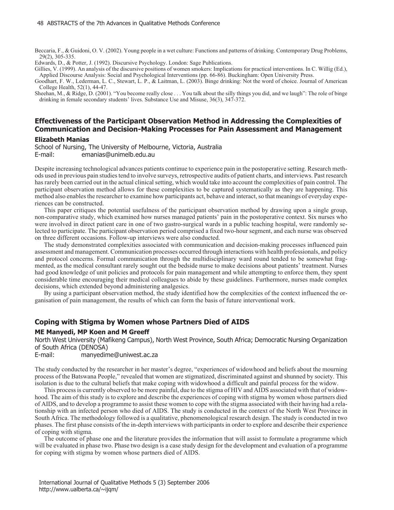Beccaria, F., & Guidoni, O. V. (2002). Young people in a wet culture: Functions and patterns of drinking. Contemporary Drug Problems, 29(2), 305-335.

Edwards, D., & Potter, J. (1992). Discursive Psychology. London: Sage Publications.

Gillies, V. (1999). An analysis of the discursive positions of women smokers: Implications for practical interventions. In C. Willig (Ed.), Applied Discourse Analysis: Social and Psychological Interventions (pp. 66-86). Buckingham: Open University Press.

Goodhart, F. W., Lederman, L. C., Stewart, L. P., & Laitman, L. (2003). Binge drinking: Not the word of choice. Journal of American College Health, 52(1), 44-47.

Sheehan, M., & Ridge, D. (2001). "You become really close . . . You talk about the silly things you did, and we laugh": The role of binge drinking in female secondary students' lives. Substance Use and Misuse, 36(3), 347-372.

# **Effectiveness of the Participant Observation Method in Addressing the Complexities of Communication and Decision-Making Processes for Pain Assessment and Management**

#### **Elizabeth Manias**

School of Nursing, The University of Melbourne, Victoria, Australia E-mail: emanias@unimelb.edu.au

Despite increasing technological advances patients continue to experience pain in the postoperative setting. Research methods used in previous pain studies tend to involve surveys, retrospective audits of patient charts, and interviews. Past research has rarely been carried out in the actual clinical setting, which would take into account the complexities of pain control. The participant observation method allows for these complexities to be captured systematically as they are happening. This method also enables the researcher to examine how participants act, behave and interact, so that meanings of everyday experiences can be constructed.

This paper critiques the potential usefulness of the participant observation method by drawing upon a single group, non-comparative study, which examined how nurses managed patients' pain in the postoperative context. Six nurses who were involved in direct patient care in one of two gastro-surgical wards in a public teaching hospital, were randomly selected to participate. The participant observation period comprised a fixed two-hour segment, and each nurse was observed on three different occasions. Follow-up interviews were also conducted.

The study demonstrated complexities associated with communication and decision-making processes influenced pain assessment and management. Communication processes occurred through interactions with health professionals, and policy and protocol concerns. Formal communication through the multidisciplinary ward round tended to be somewhat fragmented, as the medical consultant rarely sought out the bedside nurse to make decisions about patients' treatment. Nurses had good knowledge of unit policies and protocols for pain management and while attempting to enforce them, they spent considerable time encouraging their medical colleagues to abide by these guidelines. Furthermore, nurses made complex decisions, which extended beyond administering analgesics.

By using a participant observation method, the study identified how the complexities of the context influenced the organisation of pain management, the results of which can form the basis of future interventional work.

#### **Coping with Stigma by Women whose Partners Died of AIDS**

#### **ME Manyedi, MP Koen and M Greeff**

North West University (Mafikeng Campus), North West Province, South Africa; Democratic Nursing Organization of South Africa (DENOSA)

E-mail: manyedime@uniwest.ac.za

The study conducted by the researcher in her master's degree, "experiences of widowhood and beliefs about the mourning process of the Batswana People," revealed that women are stigmatized, discriminated against and shunned by society. This isolation is due to the cultural beliefs that make coping with widowhood a difficult and painful process for the widow.

This process is currently observed to be more painful, due to the stigma of HIV and AIDS associated with that of widowhood. The aim of this study is to explore and describe the experiences of coping with stigma by women whose partners died of AIDS, and to develop a programme to assist these women to cope with the stigma associated with their having had a relationship with an infected person who died of AIDS. The study is conducted in the context of the North West Province in South Africa. The methodology followed is a qualitative, phenomenological research design. The study is conducted in two phases. The first phase consists of the in-depth interviews with participants in order to explore and describe their experience of coping with stigma.

The outcome of phase one and the literature provides the information that will assist to formulate a programme which will be evaluated in phase two. Phase two design is a case study design for the development and evaluation of a programme for coping with stigma by women whose partners died of AIDS.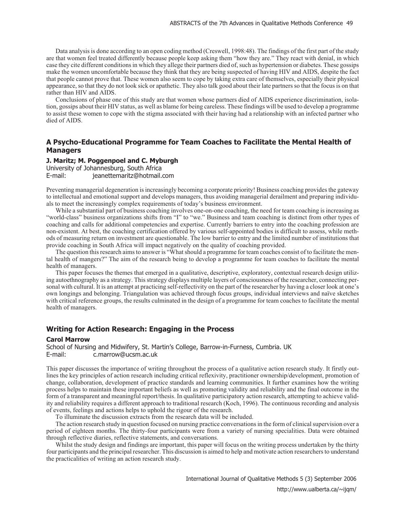Data analysis is done according to an open coding method (Creswell, 1998:48). The findings of the first part of the study are that women feel treated differently because people keep asking them "how they are." They react with denial, in which case they cite different conditions in which they allege their partners died of, such as hypertension or diabetes. These gossips make the women uncomfortable because they think that they are being suspected of having HIV and AIDS, despite the fact that people cannot prove that. These women also seem to cope by taking extra care of themselves, especially their physical appearance, so that they do not look sick or apathetic. They also talk good about their late partners so that the focus is on that rather than HIV and AIDS.

Conclusions of phase one of this study are that women whose partners died of AIDS experience discrimination, isolation, gossips about their HIV status, as well as blame for being careless. These findings will be used to develop a programme to assist these women to cope with the stigma associated with their having had a relationship with an infected partner who died of AIDS.

## **A Psycho-Educational Programme for Team Coaches to Facilitate the Mental Health of Managers**

#### **J. Maritz; M. Poggenpoel and C. Myburgh**

University of Johannesburg, South Africa E-mail: jeanettemaritz@hotmail.com

Preventing managerial degeneration is increasingly becoming a corporate priority! Business coaching provides the gateway to intellectual and emotional support and develops managers, thus avoiding managerial derailment and preparing individuals to meet the increasingly complex requirements of today's business environment.

While a substantial part of business coaching involves one-on-one coaching, the need for team coaching is increasing as "world-class" business organizations shifts from "I" to "we." Business and team coaching is distinct from other types of coaching and calls for additional competencies and expertise. Currently barriers to entry into the coaching profession are non-existent. At best, the coaching certification offered by various self-appointed bodies is difficult to assess, while methods of measuring return on investment are questionable. The low barrier to entry and the limited number of institutions that provide coaching in South Africa will impact negatively on the quality of coaching provided.

The question this research aims to answer is "What should a programme for team coaches consist of to facilitate the mental health of mangers?" The aim of the research being to develop a programme for team coaches to facilitate the mental health of managers.

This paper focuses the themes that emerged in a qualitative, descriptive, exploratory, contextual research design utilizing autoethnography as a strategy. This strategy displays multiple layers of consciousness of the researcher, connecting personal with cultural. It is an attempt at practicing self-reflectivity on the part of the researcher by having a closer look at one's own longings and belonging. Triangulation was achieved through focus groups, individual interviews and naïve sketches with critical reference groups, the results culminated in the design of a programme for team coaches to facilitate the mental health of managers.

## **Writing for Action Research: Engaging in the Process**

#### **Carol Marrow**

School of Nursing and Midwifery, St. Martin's College, Barrow-in-Furness, Cumbria. UK E-mail: c.marrow@ucsm.ac.uk

This paper discusses the importance of writing throughout the process of a qualitative action research study. It firstly outlines the key principles of action research including critical reflexivity, practitioner ownership/development, promotion of change, collaboration, development of practice standards and learning communities. It further examines how the writing process helps to maintain these important beliefs as well as promoting validity and reliability and the final outcome in the form of a transparent and meaningful report/thesis. In qualitative participatory action research, attempting to achieve validity and reliability requires a different approach to traditional research (Koch, 1996). The continuous recording and analysis of events, feelings and actions helps to uphold the rigour of the research.

To illuminate the discussion extracts from the research data will be included.

The action research study in question focused on nursing practice conversations in the form of clinical supervision over a period of eighteen months. The thirty-four participants were from a variety of nursing specialities. Data were obtained through reflective diaries, reflective statements, and conversations.

Whilst the study design and findings are important, this paper will focus on the writing process undertaken by the thirty four participants and the principal researcher. This discussion is aimed to help and motivate action researchers to understand the practicalities of writing an action research study.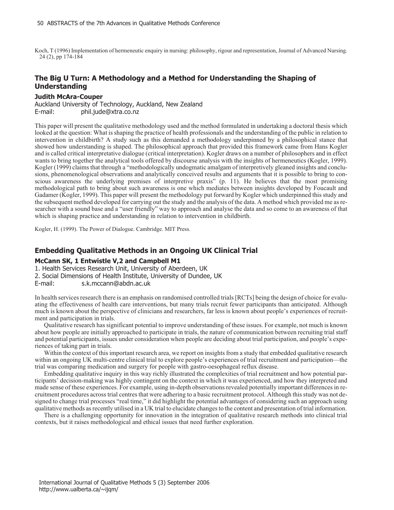Koch, T (1996) Implementation of hermeneutic enquiry in nursing: philosophy, rigour and representation, Journal of Advanced Nursing. 24 (2), pp 174-184

## **The Big U Turn: A Methodology and a Method for Understanding the Shaping of Understanding**

#### **Judith McAra-Couper**

Auckland University of Technology, Auckland, New Zealand E-mail: phil.jude@xtra.co.nz

This paper will present the qualitative methodology used and the method formulated in undertaking a doctoral thesis which looked at the question: What is shaping the practice of health professionals and the understanding of the public in relation to intervention in childbirth? A study such as this demanded a methodology underpinned by a philosophical stance that showed how understanding is shaped. The philosophical approach that provided this framework came from Hans Kogler and is called critical interpretative dialogue (critical interpretation). Kogler draws on a number of philosophers and in effect wants to bring together the analytical tools offered by discourse analysis with the insights of hermeneutics (Kogler, 1999). Kogler (1999) claims that through a "methodologically undogmatic amalgam of interpretively gleaned insights and conclusions, phenomenological observations and analytically conceived results and arguments that it is possible to bring to conscious awareness the underlying premises of interpretive praxis" (p. 11). He believes that the most promising methodological path to bring about such awareness is one which mediates between insights developed by Foucault and Gadamer (Kogler, 1999). This paper will present the methodology put forward by Kogler which underpinned this study and the subsequent method developed for carrying out the study and the analysis of the data. A method which provided me as researcher with a sound base and a "user friendly" way to approach and analyse the data and so come to an awareness of that which is shaping practice and understanding in relation to intervention in childbirth.

Kogler, H. (1999). The Power of Dialogue. Cambridge. MIT Press.

#### **Embedding Qualitative Methods in an Ongoing UK Clinical Trial**

#### **McCann SK, 1 Entwistle V,2 and Campbell M1**

1. Health Services Research Unit, University of Aberdeen, UK

2. Social Dimensions of Health Institute, University of Dundee, UK

E-mail: s.k.mccann@abdn.ac.uk

In health services research there is an emphasis on randomised controlled trials [RCTs] being the design of choice for evaluating the effectiveness of health care interventions, but many trials recruit fewer participants than anticipated. Although much is known about the perspective of clinicians and researchers, far less is known about people's experiences of recruitment and participation in trials.

Qualitative research has significant potential to improve understanding of these issues. For example, not much is known about how people are initially approached to participate in trials, the nature of communication between recruiting trial staff and potential participants, issues under consideration when people are deciding about trial participation, and people's experiences of taking part in trials.

Within the context of this important research area, we report on insights from a study that embedded qualitative research within an ongoing UK multi-centre clinical trial to explore people's experiences of trial recruitment and participation—the trial was comparing medication and surgery for people with gastro-oesophageal reflux disease.

Embedding qualitative inquiry in this way richly illustrated the complexities of trial recruitment and how potential participants' decision-making was highly contingent on the context in which it was experienced, and how they interpreted and made sense of these experiences. For example, using in-depth observations revealed potentially important differences in recruitment procedures across trial centres that were adhering to a basic recruitment protocol. Although this study was not designed to change trial processes "real time," it did highlight the potential advantages of considering such an approach using qualitative methods as recently utilised in a UK trial to elucidate changes to the content and presentation of trial information.

There is a challenging opportunity for innovation in the integration of qualitative research methods into clinical trial contexts, but it raises methodological and ethical issues that need further exploration.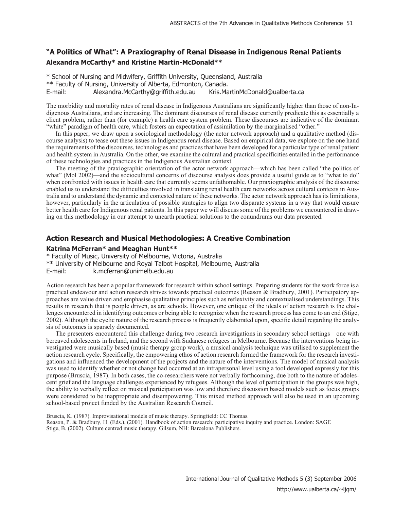# **"A Politics of What": A Praxiography of Renal Disease in Indigenous Renal Patients Alexandra McCarthy\* and Kristine Martin-McDonald\*\***

\* School of Nursing and Midwifery, Griffith University, Queensland, Australia \*\* Faculty of Nursing, University of Alberta, Edmonton, Canada. E-mail: Alexandra.McCarthy@griffith.edu.au Kris.MartinMcDonald@ualberta.ca

The morbidity and mortality rates of renal disease in Indigenous Australians are significantly higher than those of non-Indigenous Australians, and are increasing. The dominant discourses of renal disease currently predicate this as essentially a client problem, rather than (for example) a health care system problem. These discourses are indicative of the dominant "white" paradigm of health care, which fosters an expectation of assimilation by the marginalised "other."

In this paper, we draw upon a sociological methodology (the actor network approach) and a qualitative method (discourse analysis) to tease out these issues in Indigenous renal disease. Based on empirical data, we explore on the one hand the requirements of the discourses, technologies and practices that have been developed for a particular type of renal patient and health system in Australia. On the other, we examine the cultural and practical specificities entailed in the performance of these technologies and practices in the Indigenous Australian context.

The meeting of the praxiographic orientation of the actor network approach—which has been called "the politics of what" (Mol 2002)—and the sociocultural concerns of discourse analysis does provide a useful guide as to "what to do" when confronted with issues in health care that currently seems unfathomable. Our praxiographic analysis of the discourse enabled us to understand the difficulties involved in translating renal health care networks across cultural contexts in Australia and to understand the dynamic and contested nature of these networks. The actor network approach has its limitations, however, particularly in the articulation of possible strategies to align two disparate systems in a way that would ensure better health care for Indigenous renal patients. In this paper we will discuss some of the problems we encountered in drawing on this methodology in our attempt to unearth practical solutions to the conundrums our data presented.

## **Action Research and Musical Methodologies: A Creative Combination**

#### **Katrina McFerran\* and Meaghan Hunt\*\***

\* Faculty of Music, University of Melbourne, Victoria, Australia

\*\* University of Melbourne and Royal Talbot Hospital, Melbourne, Australia

E-mail: k.mcferran@unimelb.edu.au

Action research has been a popular framework for research within school settings. Preparing students for the work force is a practical endeavour and action research strives towards practical outcomes (Reason & Bradbury, 2001). Participatory approaches are value driven and emphasise qualitative principles such as reflexivity and contextualised understandings. This results in research that is people driven, as are schools. However, one critique of the ideals of action research is the challenges encountered in identifying outcomes or being able to recognize when the research process has come to an end (Stige, 2002). Although the cyclic nature of the research process is frequently elaborated upon, specific detail regarding the analysis of outcomes is sparsely documented.

The presenters encountered this challenge during two research investigations in secondary school settings—one with bereaved adolescents in Ireland, and the second with Sudanese refugees in Melbourne. Because the interventions being investigated were musically based (music therapy group work), a musical analysis technique was utilised to supplement the action research cycle. Specifically, the empowering ethos of action research formed the framework for the research investigations and influenced the development of the projects and the nature of the interventions. The model of musical analysis was used to identify whether or not change had occurred at an intrapersonal level using a tool developed expressly for this purpose (Bruscia, 1987). In both cases, the co-researchers were not verbally forthcoming, due both to the nature of adolescent grief and the language challenges experienced by refugees. Although the level of participation in the groups was high, the ability to verbally reflect on musical participation was low and therefore discussion based models such as focus groups were considered to be inappropriate and disempowering. This mixed method approach will also be used in an upcoming school-based project funded by the Australian Research Council.

Bruscia, K. (1987). Improvisational models of music therapy. Springfield: CC Thomas. Reason, P. & Bradbury, H. (Eds.), (2001). Handbook of action research: participative inquiry and practice. London: SAGE Stige, B. (2002). Culture centred music therapy. Gilsum, NH: Barcelona Publishers.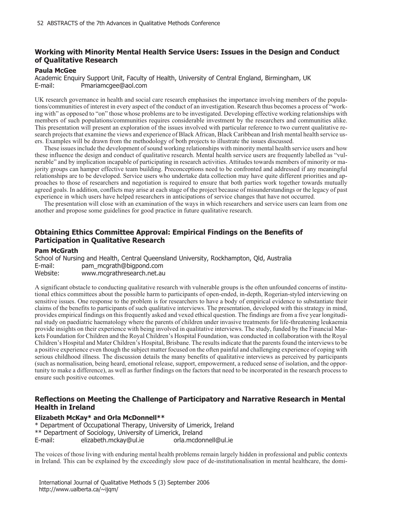# **Working with Minority Mental Health Service Users: Issues in the Design and Conduct of Qualitative Research**

#### **Paula McGee**

Academic Enquiry Support Unit, Faculty of Health, University of Central England, Birmingham, UK E-mail: Pmariamcgee@aol.com

UK research governance in health and social care research emphasises the importance involving members of the populations/communities of interest in every aspect of the conduct of an investigation. Research thus becomes a process of "working with" as opposed to "on" those whose problems are to be investigated. Developing effective working relationships with members of such populations/communities requires considerable investment by the researchers and communities alike. This presentation will present an exploration of the issues involved with particular reference to two current qualitative research projects that examine the views and experience of Black African, Black Caribbean and Irish mental health service users. Examples will be drawn from the methodology of both projects to illustrate the issues discussed.

These issues include the development of sound working relationships with minority mental health service users and how these influence the design and conduct of qualitative research. Mental health service users are frequently labelled as "vulnerable" and by implication incapable of participating in research activities. Attitudes towards members of minority or majority groups can hamper effective team building. Preconceptions need to be confronted and addressed if any meaningful relationships are to be developed. Service users who undertake data collection may have quite different priorities and approaches to those of researchers and negotiation is required to ensure that both parties work together towards mutually agreed goals. In addition, conflicts may arise at each stage of the project because of misunderstandings or the legacy of past experience in which users have helped researchers in anticipations of service changes that have not occurred.

The presentation will close with an examination of the ways in which researchers and service users can learn from one another and propose some guidelines for good practice in future qualitative research.

# **Obtaining Ethics Committee Approval: Empirical Findings on the Benefits of Participation in Qualitative Research**

#### **Pam McGrath**

School of Nursing and Health, Central Queensland University, Rockhampton, Qld, Australia E-mail: pam\_mcgrath@bigpond.com Website: www.mcgrathresearch.net.au

A significant obstacle to conducting qualitative research with vulnerable groups is the often unfounded concerns of institutional ethics committees about the possible harm to participants of open-ended, in-depth, Rogerian-styled interviewing on sensitive issues. One response to the problem is for researchers to have a body of empirical evidence to substantiate their claims of the benefits to participants of such qualitative interviews. The presentation, developed with this strategy in mind, provides empirical findings on this frequently asked and vexed ethical question. The findings are from a five year longitudinal study on paediatric haematology where the parents of children under invasive treatments for life-threatening leukaemia provide insights on their experience with being involved in qualitative interviews. The study, funded by the Financial Markets Foundation for Children and the Royal Children's Hospital Foundation, was conducted in collaboration with the Royal Children's Hospital and Mater Children's Hospital, Brisbane. The results indicate that the parents found the interviews to be a positive experience even though the subject matter focused on the often painful and challenging experience of coping with serious childhood illness. The discussion details the many benefits of qualitative interviews as perceived by participants (such as normalisation, being heard, emotional release, support, empowerment, a reduced sense of isolation, and the opportunity to make a difference), as well as further findings on the factors that need to be incorporated in the research process to ensure such positive outcomes.

## **Reflections on Meeting the Challenge of Participatory and Narrative Research in Mental Health in Ireland**

#### **Elizabeth McKay\* and Orla McDonnell\*\***

\* Department of Occupational Therapy, University of Limerick, Ireland \*\* Department of Sociology, University of Limerick, Ireland E-mail: elizabeth.mckay@ul.ie orla.mcdonnell@ul.ie

The voices of those living with enduring mental health problems remain largely hidden in professional and public contexts in Ireland. This can be explained by the exceedingly slow pace of de-institutionalisation in mental healthcare, the domi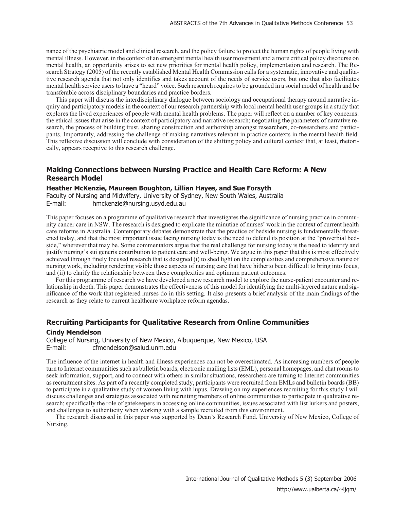nance of the psychiatric model and clinical research, and the policy failure to protect the human rights of people living with mental illness. However, in the context of an emergent mental health user movement and a more critical policy discourse on mental health, an opportunity arises to set new priorities for mental health policy, implementation and research. The Research Strategy (2005) of the recently established Mental Health Commission calls for a systematic, innovative and qualitative research agenda that not only identifies and takes account of the needs of service users, but one that also facilitates mental health service users to have a "heard" voice. Such research requires to be grounded in a social model of health and be transferable across disciplinary boundaries and practice borders.

This paper will discuss the interdisciplinary dialogue between sociology and occupational therapy around narrative inquiry and participatory models in the context of our research partnership with local mental health user groups in a study that explores the lived experiences of people with mental health problems. The paper will reflect on a number of key concerns: the ethical issues that arise in the context of participatory and narrative research; negotiating the parameters of narrative research, the process of building trust, sharing construction and authorship amongst researchers, co-researchers and participants. Importantly, addressing the challenge of making narratives relevant in practice contexts in the mental health field. This reflexive discussion will conclude with consideration of the shifting policy and cultural context that, at least, rhetorically, appears receptive to this research challenge.

## **Making Connections between Nursing Practice and Health Care Reform: A New Research Model**

#### **Heather McKenzie, Maureen Boughton, Lillian Hayes, and Sue Forsyth**

Faculty of Nursing and Midwifery, University of Sydney, New South Wales, Australia E-mail: hmckenzie@nursing.usyd.edu.au

This paper focuses on a programme of qualitative research that investigates the significance of nursing practice in community cancer care in NSW. The research is designed to explicate the minutiae of nurses' work in the context of current health care reforms in Australia. Contemporary debates demonstrate that the practice of bedside nursing is fundamentally threatened today, and that the most important issue facing nursing today is the need to defend its position at the "proverbial bedside," wherever that may be. Some commentators argue that the real challenge for nursing today is the need to identify and justify nursing's sui generis contribution to patient care and well-being. We argue in this paper that this is most effectively achieved through finely focused research that is designed (i) to shed light on the complexities and comprehensive nature of nursing work, including rendering visible those aspects of nursing care that have hitherto been difficult to bring into focus, and (ii) to clarify the relationship between these complexities and optimum patient outcomes.

For this programme of research we have developed a new research model to explore the nurse-patient encounter and relationship in depth. This paper demonstrates the effectiveness of this model for identifying the multi-layered nature and significance of the work that registered nurses do in this setting. It also presents a brief analysis of the main findings of the research as they relate to current healthcare workplace reform agendas.

#### **Recruiting Participants for Qualitative Research from Online Communities**

#### **Cindy Mendelson**

College of Nursing, University of New Mexico, Albuquerque, New Mexico, USA E-mail: cfmendelson@salud.unm.edu

The influence of the internet in health and illness experiences can not be overestimated. As increasing numbers of people turn to Internet communities such as bulletin boards, electronic mailing lists (EML), personal homepages, and chat rooms to seek information, support, and to connect with others in similar situations, researchers are turning to Internet communities as recruitment sites. As part of a recently completed study, participants were recruited from EMLs and bulletin boards (BB) to participate in a qualitative study of women living with lupus. Drawing on my experiences recruiting for this study I will discuss challenges and strategies associated with recruiting members of online communities to participate in qualitative research; specifically the role of gatekeepers in accessing online communities, issues associated with list lurkers and posters, and challenges to authenticity when working with a sample recruited from this environment.

The research discussed in this paper was supported by Dean's Research Fund. University of New Mexico, College of Nursing.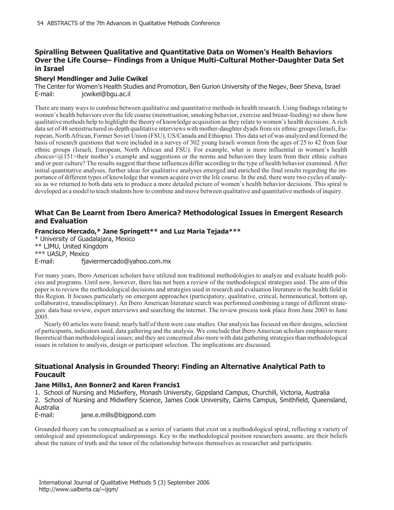# **Spiralling Between Qualitative and Quantitative Data on Women's Health Behaviors Over the Life Course– Findings from a Unique Multi-Cultural Mother-Daughter Data Set in Israel**

## **Sheryl Mendlinger and Julie Cwikel**

The Center for Women's Health Studies and Promotion, Ben Gurion University of the Negev, Beer Sheva, Israel E-mail: jcwikel@bgu.ac.il

There are many ways to combine between qualitative and quantitative methods in health research. Using findings relating to women's health behaviors over the life course (menstruation, smoking behavior, exercise and breast-feeding) we show how qualitative methods help to highlight the theory of knowledge acquisition as they relate to women's health decisions. A rich data set of 48 semistructured in-depth qualitative interviews with mother-daughter dyads from six ethnic groups (Israeli, European, North African, Former Soviet Union (FSU), US/Canada and Ethiopia). This data set of was analyzed and formed the basis of research questions that were included in a survey of 302 young Israeli women from the ages of 25 to 42 from four ethnic groups (Israeli, European, North African and FSU). For example, what is more influential in women's health choices $\leq$   $@151$ >their mother's example and suggestions or the norms and behaviors they learn from their ethnic culture and/or peer culture? The results suggest that these influences differ according to the type of health behavior examined. After initial quantitative analyses, further ideas for qualitative analyses emerged and enriched the final results regarding the importance of different types of knowledge that women acquire over the life course. In the end, there were two cycles of analysis as we returned to both data sets to produce a more detailed picture of women's health behavior decisions. This spiral is developed as a model to teach students how to combine and move between qualitative and quantitative methods of inquiry.

## **What Can Be Learnt from Ibero America? Methodological Issues in Emergent Research and Evaluation**

## **Francisco Mercado,\* Jane Springett\*\* and Luz Maria Tejada\*\*\***

\* University of Guadalajara, Mexico \*\* LJMU, United Kingdom \*\*\* UASLP, Mexico E-mail: fjaviermercado@yahoo.com.mx

For many years, Ibero American scholars have utilized non traditional methodologies to analyze and evaluate health policies and programs. Until now, however, there has not been a review of the methodological strategies used. The aim of this paper is to review the methodological decisions and strategies used in research and evaluation literature in the health field in this Region. It focuses particularly on emergent approaches (participatory, qualitative, critical, hermeneutical, bottom up, collaborative, transdisciplinary). An Ibero American literature search was performed combining a range of different strategies: data base review, expert interviews and searching the internet. The review process took place from June 2003 to June 2005.

Nearly 60 articles were found; nearly half of them were case studies. Our analysis has focused on their designs, selection of participants, indicators used, data gathering and the analysis. We conclude that Ibero American scholars emphasize more theoretical than methodological issues; and they are concerned also more with data gathering strategies than methodological issues in relation to analysis, design or participant selection. The implications are discussed.

# **Situational Analysis in Grounded Theory: Finding an Alternative Analytical Path to Foucault**

#### **Jane Mills1, Ann Bonner2 and Karen Francis1**

1. School of Nursing and Midwifery, Monash University, Gippsland Campus, Churchill, Victoria, Australia

2. School of Nursing and Midwifery Science, James Cook University, Cairns Campus, Smithfield, Queensland, Australia

E-mail: jane.e.mills@bigpond.com

Grounded theory can be conceptualised as a series of variants that exist on a methodological spiral, reflecting a variety of ontological and epistemological underpinnings. Key to the methodological position researchers assume, are their beliefs about the nature of truth and the tenor of the relationship between themselves as researcher and participants.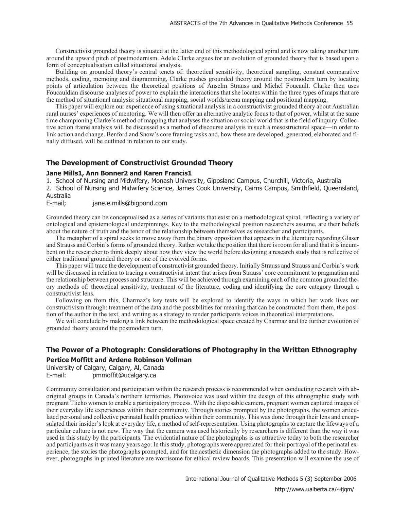Constructivist grounded theory is situated at the latter end of this methodological spiral and is now taking another turn around the upward pitch of postmodernism. Adele Clarke argues for an evolution of grounded theory that is based upon a form of conceptualisation called situational analysis.

Building on grounded theory's central tenets of: theoretical sensitivity, theoretical sampling, constant comparative methods, coding, memoing and diagramming, Clarke pushes grounded theory around the postmodern turn by locating points of articulation between the theoretical positions of Anselm Strauss and Michel Foucault. Clarke then uses Foucauldian discourse analyses of power to explain the interactions that she locates within the three types of maps that are the method of situational analysis: situational mapping, social worlds/arena mapping and positional mapping.

This paper will explore our experience of using situational analysis in a constructivist grounded theory about Australian rural nurses' experiences of mentoring. We will then offer an alternative analytic focus to that of power, whilst at the same time championing Clarke's method of mapping that analyses the situation or social world that is the field of inquiry. Collective action frame analysis will be discussed as a method of discourse analysis in such a mesostructural space—in order to link action and change. Benford and Snow's core framing tasks and, how these are developed, generated, elaborated and finally diffused, will be outlined in relation to our study.

#### **The Development of Constructivist Grounded Theory**

#### **Jane Mills1, Ann Bonner2 and Karen Francis1**

1. School of Nursing and Midwifery, Monash University, Gippsland Campus, Churchill, Victoria, Australia

2. School of Nursing and Midwifery Science, James Cook University, Cairns Campus, Smithfield, Queensland, Australia

E-mail; jane.e.mills@bigpond.com

Grounded theory can be conceptualised as a series of variants that exist on a methodological spiral, reflecting a variety of ontological and epistemological underpinnings. Key to the methodological position researchers assume, are their beliefs about the nature of truth and the tenor of the relationship between themselves as researcher and participants.

The metaphor of a spiral seeks to move away from the binary opposition that appears in the literature regarding Glaser and Strauss and Corbin's forms of grounded theory. Rather we take the position that there is room for all and that it is incumbent on the researcher to think deeply about how they view the world before designing a research study that is reflective of either traditional grounded theory or one of the evolved forms.

This paper will trace the development of constructivist grounded theory. Initially Strauss and Strauss and Corbin's work will be discussed in relation to tracing a constructivist intent that arises from Strauss' core commitment to pragmatism and the relationship between process and structure. This will be achieved through examining each of the common grounded theory methods of: theoretical sensitivity, treatment of the literature, coding and identifying the core category through a constructivist lens.

Following on from this, Charmaz's key texts will be explored to identify the ways in which her work lives out constructivism through: treatment of the data and the possibilities for meaning that can be constructed from them, the position of the author in the text, and writing as a strategy to render participants voices in theoretical interpretations.

We will conclude by making a link between the methodological space created by Charmaz and the further evolution of grounded theory around the postmodern turn.

# **The Power of a Photograph: Considerations of Photography in the Written Ethnography Pertice Moffitt and Ardene Robinson Vollman**

University of Calgary, Calgary, Al, Canada E-mail: pmmoffit@ucalgary.ca

Community consultation and participation within the research process is recommended when conducting research with aboriginal groups in Canada's northern territories. Photovoice was used within the design of this ethnographic study with pregnant Tlicho women to enable a participatory process. With the disposable camera, pregnant women captured images of their everyday life experiences within their community. Through stories prompted by the photographs, the women articulated personal and collective perinatal health practices within their community. This was done through their lens and encapsulated their insider's look at everyday life, a method of self-representation. Using photographs to capture the lifeways of a particular culture is not new. The way that the camera was used historically by researchers is different than the way it was used in this study by the participants. The evidential nature of the photographs is as attractive today to both the researcher and participants as it was many years ago. In this study, photographs were appreciated for their portrayal of the perinatal experience, the stories the photographs prompted, and for the aesthetic dimension the photographs added to the study. However, photographs in printed literature are worrisome for ethical review boards. This presentation will examine the use of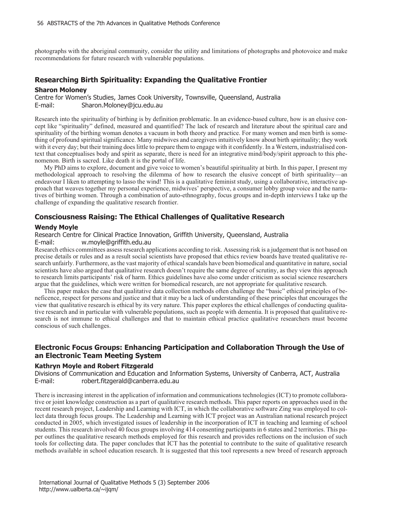photographs with the aboriginal community, consider the utility and limitations of photographs and photovoice and make recommendations for future research with vulnerable populations.

## **Researching Birth Spirituality: Expanding the Qualitative Frontier**

#### **Sharon Moloney**

Centre for Women's Studies, James Cook University, Townsville, Queensland, Australia E-mail: Sharon.Moloney@jcu.edu.au

Research into the spirituality of birthing is by definition problematic. In an evidence-based culture, how is an elusive concept like "spirituality" defined, measured and quantified? The lack of research and literature about the spiritual care and spirituality of the birthing woman denotes a vacuum in both theory and practice. For many women and men birth is something of profound spiritual significance. Many midwives and caregivers intuitively know about birth spirituality; they work with it every day; but their training does little to prepare them to engage with it confidently. In a Western, industrialised context that conceptualises body and spirit as separate, there is need for an integrative mind/body/spirit approach to this phenomenon. Birth is sacred. Like death it is the portal of life.

My PhD aims to explore, document and give voice to women's beautiful spirituality at birth. In this paper, I present my methodological approach to resolving the dilemma of how to research the elusive concept of birth spirituality—an endeavour I liken to attempting to lasso the wind! This is a qualitative feminist study, using a collaborative, interactive approach that weaves together my personal experience, midwives' perspective, a consumer lobby group voice and the narratives of birthing women. Through a combination of auto-ethnography, focus groups and in-depth interviews I take up the challenge of expanding the qualitative research frontier.

## **Consciousness Raising: The Ethical Challenges of Qualitative Research**

#### **Wendy Moyle**

Research Centre for Clinical Practice Innovation, Griffith University, Queensland, Australia

#### E-mail: w.moyle@griffith.edu.au

Research ethics committees assess research applications according to risk. Assessing risk is a judgement that is not based on precise details or rules and as a result social scientists have proposed that ethics review boards have treated qualitative research unfairly. Furthermore, as the vast majority of ethical scandals have been biomedical and quantitative in nature, social scientists have also argued that qualitative research doesn't require the same degree of scrutiny, as they view this approach to research limits participants' risk of harm. Ethics guidelines have also come under criticism as social science researchers argue that the guidelines, which were written for biomedical research, are not appropriate for qualitative research.

This paper makes the case that qualitative data collection methods often challenge the "basic" ethical principles of beneficence, respect for persons and justice and that it may be a lack of understanding of these principles that encourages the view that qualitative research is ethical by its very nature. This paper explores the ethical challenges of conducting qualitative research and in particular with vulnerable populations, such as people with dementia. It is proposed that qualitative research is not immune to ethical challenges and that to maintain ethical practice qualitative researchers must become conscious of such challenges.

# **Electronic Focus Groups: Enhancing Participation and Collaboration Through the Use of an Electronic Team Meeting System**

#### **Kathryn Moyle and Robert Fitzgerald**

Divisions of Communication and Education and Information Systems, University of Canberra, ACT, Australia E-mail: robert.fitzgerald@canberra.edu.au

There is increasing interest in the application of information and communications technologies (ICT) to promote collaborative or joint knowledge construction as a part of qualitative research methods. This paper reports on approaches used in the recent research project, Leadership and Learning with ICT, in which the collaborative software Zing was employed to collect data through focus groups. The Leadership and Learning with ICT project was an Australian national research project conducted in 2005, which investigated issues of leadership in the incorporation of ICT in teaching and learning of school students. This research involved 40 focus groups involving 414 consenting participants in 6 states and 2 territories. This paper outlines the qualitative research methods employed for this research and provides reflections on the inclusion of such tools for collecting data. The paper concludes that ICT has the potential to contribute to the suite of qualitative research methods available in school education research. It is suggested that this tool represents a new breed of research approach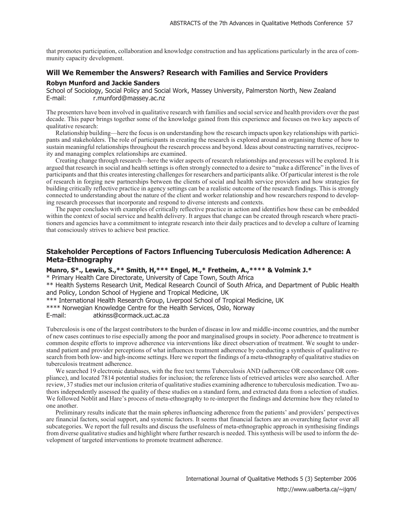that promotes participation, collaboration and knowledge construction and has applications particularly in the area of community capacity development.

# **Will We Remember the Answers? Research with Families and Service Providers**

#### **Robyn Munford and Jackie Sanders**

School of Sociology, Social Policy and Social Work, Massey University, Palmerston North, New Zealand E-mail: r.munford@massey.ac.nz

The presenters have been involved in qualitative research with families and social service and health providers over the past decade. This paper brings together some of the knowledge gained from this experience and focuses on two key aspects of qualitative research:

Relationship building—here the focus is on understanding how the research impacts upon key relationships with participants and stakeholders. The role of participants in creating the research is explored around an organising theme of how to sustain meaningful relationships throughout the research process and beyond. Ideas about constructing narratives, reciprocity and managing complex relationships are examined.

Creating change through research—here the wider aspects of research relationships and processes will be explored. It is argued that research in social and health settings is often strongly connected to a desire to "make a difference" in the lives of participants and that this creates interesting challenges for researchers and participants alike. Of particular interest is the role of research in forging new partnerships between the clients of social and health service providers and how strategies for building critically reflective practice in agency settings can be a realistic outcome of the research findings. This is strongly connected to understanding about the nature of the client and worker relationship and how researchers respond to developing research processes that incorporate and respond to diverse interests and contexts.

The paper concludes with examples of critically reflective practice in action and identifies how these can be embedded within the context of social service and health delivery. It argues that change can be created through research where practitioners and agencies have a commitment to integrate research into their daily practices and to develop a culture of learning that consciously strives to achieve best practice.

## **Stakeholder Perceptions of Factors Influencing Tuberculosis Medication Adherence: A Meta-Ethnography**

#### **Munro, S\*., Lewin, S.,\*\* Smith, H,\*\*\* Engel, M.,\* Fretheim, A.,\*\*\*\* & Volmink J.\***

\* Primary Health Care Directorate, University of Cape Town, South Africa

\*\* Health Systems Research Unit, Medical Research Council of South Africa, and Department of Public Health and Policy, London School of Hygiene and Tropical Medicine, UK

\*\*\* International Health Research Group, Liverpool School of Tropical Medicine, UK

\*\*\*\* Norwegian Knowledge Centre for the Health Services, Oslo, Norway

E-mail: atkinss@cormack.uct.ac.za

Tuberculosis is one of the largest contributors to the burden of disease in low and middle-income countries, and the number of new cases continues to rise especially among the poor and marginalised groups in society. Poor adherence to treatment is common despite efforts to improve adherence via interventions like direct observation of treatment. We sought to understand patient and provider perceptions of what influences treatment adherence by conducting a synthesis of qualitative research from both low- and high-income settings. Here we report the findings of a meta-ethnography of qualitative studies on tuberculosis treatment adherence.

We searched 19 electronic databases, with the free text terms Tuberculosis AND (adherence OR concordance OR compliance), and located 7814 potential studies for inclusion; the reference lists of retrieved articles were also searched. After review, 37 studies met our inclusion criteria of qualitative studies examining adherence to tuberculosis medication. Two authors independently assessed the quality of these studies on a standard form, and extracted data from a selection of studies. We followed Noblit and Hare's process of meta-ethnography to re-interpret the findings and determine how they related to one another.

Preliminary results indicate that the main spheres influencing adherence from the patients' and providers' perspectives are financial factors, social support, and systemic factors. It seems that financial factors are an overarching factor over all subcategories. We report the full results and discuss the usefulness of meta-ethnographic approach in synthesising findings from diverse qualitative studies and highlight where further research is needed. This synthesis will be used to inform the development of targeted interventions to promote treatment adherence.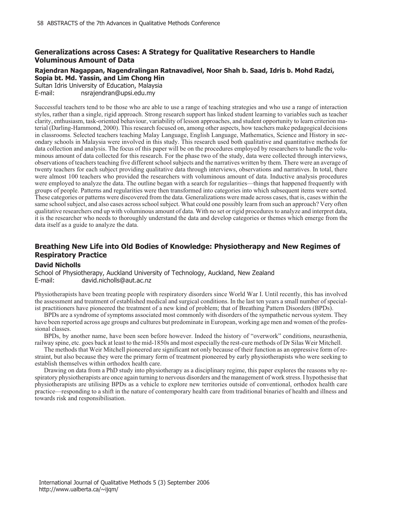# **Generalizations across Cases: A Strategy for Qualitative Researchers to Handle Voluminous Amount of Data**

## **Rajendran Nagappan, Nagendralingan Ratnavadivel, Noor Shah b. Saad, Idris b. Mohd Radzi, Sopia bt. Md. Yassin, and Lim Chong Hin**

Sultan Idris University of Education, Malaysia E-mail: nsrajendran@upsi.edu.my

Successful teachers tend to be those who are able to use a range of teaching strategies and who use a range of interaction styles, rather than a single, rigid approach. Strong research support has linked student learning to variables such as teacher clarity, enthusiasm, task-oriented behaviour, variability of lesson approaches, and student opportunity to learn criterion material (Darling-Hammond, 2000). This research focused on, among other aspects, how teachers make pedagogical decisions in classrooms. Selected teachers teaching Malay Language, English Language, Mathematics, Science and History in secondary schools in Malaysia were involved in this study. This research used both qualitative and quantitative methods for data collection and analysis. The focus of this paper will be on the procedures employed by researchers to handle the voluminous amount of data collected for this research. For the phase two of the study, data were collected through interviews, observations of teachers teaching five different school subjects and the narratives written by them. There were an average of twenty teachers for each subject providing qualitative data through interviews, observations and narratives. In total, there were almost 100 teachers who provided the researchers with voluminous amount of data. Inductive analysis procedures were employed to analyze the data. The outline began with a search for regularities—things that happened frequently with groups of people. Patterns and regularities were then transformed into categories into which subsequent items were sorted. These categories or patterns were discovered from the data. Generalizations were made across cases, that is, cases within the same school subject, and also cases across school subject. What could one possibly learn from such an approach? Very often qualitative researchers end up with voluminous amount of data. With no set or rigid procedures to analyze and interpret data, it is the researcher who needs to thoroughly understand the data and develop categories or themes which emerge from the data itself as a guide to analyze the data.

# **Breathing New Life into Old Bodies of Knowledge: Physiotherapy and New Regimes of Respiratory Practice**

#### **David Nicholls**

School of Physiotherapy, Auckland University of Technology, Auckland, New Zealand E-mail: david.nicholls@aut.ac.nz

Physiotherapists have been treating people with respiratory disorders since World War I. Until recently, this has involved the assessment and treatment of established medical and surgical conditions. In the last ten years a small number of specialist practitioners have pioneered the treatment of a new kind of problem; that of Breathing Pattern Disorders (BPDs).

BPDs are a syndrome of symptoms associated most commonly with disorders of the sympathetic nervous system. They have been reported across age groups and cultures but predominate in European, working age men and women of the professional classes.

BPDs, by another name, have been seen before however. Indeed the history of "overwork" conditions, neurasthenia, railway spine, etc. goes back at least to the mid-1850s and most especially the rest-cure methods of Dr Silas Weir Mitchell.

The methods that Weir Mitchell pioneered are significant not only because of their function as an oppressive form of restraint, but also because they were the primary form of treatment pioneered by early physiotherapists who were seeking to establish themselves within orthodox health care.

Drawing on data from a PhD study into physiotherapy as a disciplinary regime, this paper explores the reasons why respiratory physiotherapists are once again turning to nervous disorders and the management of work stress. I hypothesise that physiotherapists are utilising BPDs as a vehicle to explore new territories outside of conventional, orthodox health care practice—responding to a shift in the nature of contemporary health care from traditional binaries of health and illness and towards risk and responsibilisation.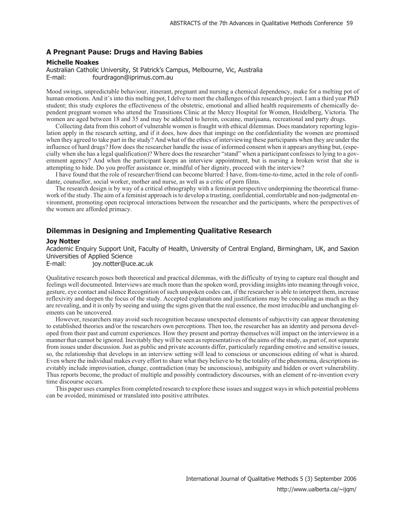## **A Pregnant Pause: Drugs and Having Babies**

#### **Michelle Noakes**

Australian Catholic University, St Patrick's Campus, Melbourne, Vic, Australia E-mail: fourdragon@iprimus.com.au

Mood swings, unpredictable behaviour, itinerant, pregnant and nursing a chemical dependency, make for a melting pot of human emotions. And it's into this melting pot, I delve to meet the challenges of this research project. I am a third year PhD student; this study explores the effectiveness of the obstetric, emotional and allied health requirements of chemically dependent pregnant women who attend the Transitions Clinic at the Mercy Hospital for Women, Heidelberg, Victoria. The women are aged between 18 and 35 and may be addicted to heroin, cocaine, marijuana, recreational and party drugs.

Collecting data from this cohort of vulnerable women is fraught with ethical dilemmas. Does mandatory reporting legislation apply in the research setting, and if it does, how does that impinge on the confidentiality the women are promised when they agreed to take part in the study? And what of the ethics of interviewing these participants when they are under the influence of hard drugs? How does the researcher handle the issue of informed consent when it appears anything but, (especially when she has a legal qualification)? Where does the researcher "stand" when a participant confesses to lying to a government agency? And when the participant keeps an interview appointment, but is nursing a broken wrist that she is attempting to hide. Do you proffer assistance or, mindful of her dignity, proceed with the interview?

I have found that the role of researcher/friend can become blurred: I have, from-time-to-time, acted in the role of confidante, counsellor, social worker, mother and nurse, as well as a critic of porn films.

The research design is by way of a critical ethnography with a feminist perspective underpinning the theoretical framework of the study. The aim of a feminist approach is to develop a trusting, confidential, comfortable and non-judgmental environment, promoting open reciprocal interactions between the researcher and the participants, where the perspectives of the women are afforded primacy.

## **Dilemmas in Designing and Implementing Qualitative Research**

#### **Joy Notter**

Academic Enquiry Support Unit, Faculty of Health, University of Central England, Birmingham, UK, and Saxion Universities of Applied Science

E-mail: joy.notter@uce.ac.uk

Qualitative research poses both theoretical and practical dilemmas, with the difficulty of trying to capture real thought and feelings well documented. Interviews are much more than the spoken word, providing insights into meaning through voice, gesture, eye contact and silence Recognition of such unspoken codes can, if the researcher is able to interpret them, increase reflexivity and deepen the focus of the study. Accepted explanations and justifications may be concealing as much as they are revealing, and it is only by seeing and using the signs given that the real essence, the most irreducible and unchanging elements can be uncovered.

However, researchers may avoid such recognition because unexpected elements of subjectivity can appear threatening to established theories and/or the researchers own perceptions. Then too, the researcher has an identity and persona developed from their past and current experiences. How they present and portray themselves will impact on the interviewee in a manner that cannot be ignored. Inevitably they will be seen as representatives of the aims of the study, as part of, not separate from issues under discussion. Just as public and private accounts differ, particularly regarding emotive and sensitive issues, so, the relationship that develops in an interview setting will lead to conscious or unconscious editing of what is shared. Even where the individual makes every effort to share what they believe to be the totality of the phenomena, descriptions inevitably include improvisation, change, contradiction (may be unconscious), ambiguity and hidden or overt vulnerability. Thus reports become, the product of multiple and possibly contradictory discourses, with an element of re-invention every time discourse occurs.

This paper uses examples from completed research to explore these issues and suggest ways in which potential problems can be avoided, minimised or translated into positive attributes.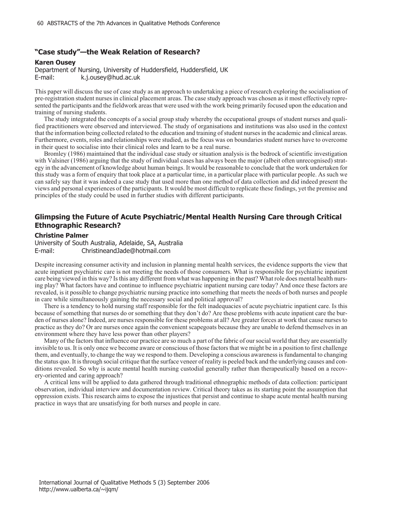## **"Case study"—the Weak Relation of Research?**

#### **Karen Ousey**

Department of Nursing, University of Huddersfield, Huddersfield, UK E-mail: k.j.ousey@hud.ac.uk

This paper will discuss the use of case study as an approach to undertaking a piece of research exploring the socialisation of pre-registration student nurses in clinical placement areas. The case study approach was chosen as it most effectively represented the participants and the fieldwork areas that were used with the work being primarily focused upon the education and training of nursing students.

The study integrated the concepts of a social group study whereby the occupational groups of student nurses and qualified practitioners were observed and interviewed. The study of organisations and institutions was also used in the context that the information being collected related to the education and training of student nurses in the academic and clinical areas. Furthermore, events, roles and relationships were studied, as the focus was on boundaries student nurses have to overcome in their quest to socialise into their clinical roles and learn to be a real nurse.

Bromley (1986) maintained that the individual case study or situation analysis is the bedrock of scientific investigation with Valsiner (1986) arguing that the study of individual cases has always been the major (albeit often unrecognised) strategy in the advancement of knowledge about human beings. It would be reasonable to conclude that the work undertaken for this study was a form of enquiry that took place at a particular time, in a particular place with particular people. As such we can safely say that it was indeed a case study that used more than one method of data collection and did indeed present the views and personal experiences of the participants. It would be most difficult to replicate these findings, yet the premise and principles of the study could be used in further studies with different participants.

## **Glimpsing the Future of Acute Psychiatric/Mental Health Nursing Care through Critical Ethnographic Research?**

#### **Christine Palmer**

University of South Australia, Adelaide, SA, Australia E-mail: ChristineandJade@hotmail.com

Despite increasing consumer activity and inclusion in planning mental health services, the evidence supports the view that acute inpatient psychiatric care is not meeting the needs of those consumers. What is responsible for psychiatric inpatient care being viewed in this way? Is this any different from what was happening in the past? What role does mental health nursing play? What factors have and continue to influence psychiatric inpatient nursing care today? And once these factors are revealed, is it possible to change psychiatric nursing practice into something that meets the needs of both nurses and people in care while simultaneously gaining the necessary social and political approval?

There is a tendency to hold nursing staff responsible for the felt inadequacies of acute psychiatric inpatient care. Is this because of something that nurses do or something that they don't do? Are these problems with acute inpatient care the burden of nurses alone? Indeed, are nurses responsible for these problems at all? Are greater forces at work that cause nurses to practice as they do? Or are nurses once again the convenient scapegoats because they are unable to defend themselves in an environment where they have less power than other players?

Many of the factors that influence our practice are so much a part of the fabric of our social world that they are essentially invisible to us. It is only once we become aware or conscious of those factors that we might be in a position to first challenge them, and eventually, to change the way we respond to them. Developing a conscious awareness is fundamental to changing the status quo. It is through social critique that the surface veneer of reality is peeled back and the underlying causes and conditions revealed. So why is acute mental health nursing custodial generally rather than therapeutically based on a recovery-oriented and caring approach?

A critical lens will be applied to data gathered through traditional ethnographic methods of data collection: participant observation, individual interview and documentation review. Critical theory takes as its starting point the assumption that oppression exists. This research aims to expose the injustices that persist and continue to shape acute mental health nursing practice in ways that are unsatisfying for both nurses and people in care.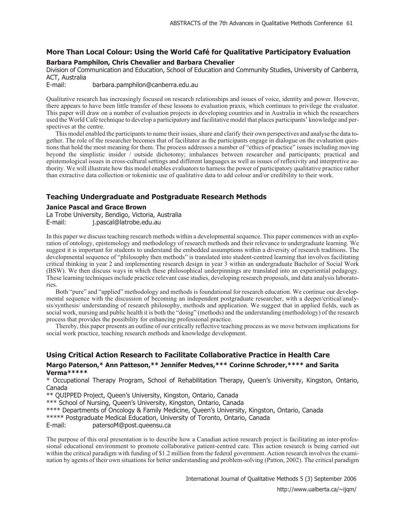# **More Than Local Colour: Using the World Café for Qualitative Participatory Evaluation**

#### **Barbara Pamphilon, Chris Chevalier and Barbara Chevalier**

Division of Communication and Education, School of Education and Community Studies, University of Canberra, ACT, Australia

E-mail: barbara.pamphilon@canberra.edu.au

Qualitative research has increasingly focused on research relationships and issues of voice, identity and power. However, there appears to have been little transfer of these lessons to evaluation praxis, which continues to privilege the evaluator. This paper will draw on a number of evaluation projects in developing countries and in Australia in which the researchers used the World Café technique to develop a participatory and facilitative model that places participants' knowledge and perspectives at the centre.

This model enabled the participants to name their issues, share and clarify their own perspectives and analyse the data together. The role of the researcher becomes that of facilitator as the participants engage in dialogue on the evaluation questions that hold the most meaning for them. The process addresses a number of "ethics of practice" issues including moving beyond the simplistic insider / outside dichotomy; imbalances between researcher and participants; practical and epistemological issues in cross-cultural settings and different languages as well as issues of reflexivity and interpretive authority. We will illustrate how this model enables evaluators to harness the power of participatory qualitative practice rather than extractive data collection or tokenistic use of qualitative data to add colour and/or credibility to their work.

# **Teaching Undergraduate and Postgraduate Research Methods**

#### **Janice Pascal and Grace Brown**

La Trobe University, Bendigo, Victoria, Australia E-mail: j.pascal@latrobe.edu.au

In this paper we discuss teaching research methods within a developmental sequence. This paper commences with an exploration of ontology, epistemology and methodology of research methods and their relevance to undergraduate learning. We suggest it is important for students to understand the embedded assumptions within a diversity of research traditions. The developmental sequence of "philosophy then methods" is translated into student-centred learning that involves facilitating critical thinking in year 2 and implementing research design in year 3 within an undergraduate Bachelor of Social Work (BSW). We then discuss ways in which these philosophical underpinnings are translated into an experiential pedagogy. These learning techniques include practice relevant case studies, developing research proposals, and data analysis laboratories.

Both "pure" and "applied" methodology and methods is foundational for research education. We continue our developmental sequence with the discussion of becoming an independent postgraduate researcher, with a deeper/critical/analysis/synthesis/ understanding of research philosophy, methods and application. We suggest that in applied fields, such as social work, nursing and public health it is both the "doing" (methods) and the understanding (methodology) of the research process that provides the possibility for enhancing professional practice.

Thereby, this paper presents an outline of our critically reflective teaching process as we move between implications for social work practice, teaching research methods and knowledge development.

# **Using Critical Action Research to Facilitate Collaborative Practice in Health Care**

#### **Margo Paterson,\* Ann Patteson,\*\* Jennifer Medves,\*\*\* Corinne Schroder,\*\*\*\* and Sarita Verma\*\*\*\*\***

\* Occupational Therapy Program, School of Rehabilitation Therapy, Queen's University, Kingston, Ontario, Canada

\*\* QUIPPED Project, Queen's University, Kingston, Ontario, Canada

\*\*\* School of Nursing, Queen's University, Kingston, Ontario, Canada

\*\*\*\* Departments of Oncology & Family Medicine, Queen's University, Kingston, Ontario, Canada

\*\*\*\*\* Postgraduate Medical Education, University of Toronto, Ontario, Canada

E-mail: patersoM@post.queensu.ca

The purpose of this oral presentation is to describe how a Canadian action research project is facilitating an inter-professional educational environment to promote collaborative patient-centred care. This action research is being carried out within the critical paradigm with funding of \$1.2 million from the federal government. Action research involves the examination by agents of their own situations for better understanding and problem-solving (Patton, 2002). The critical paradigm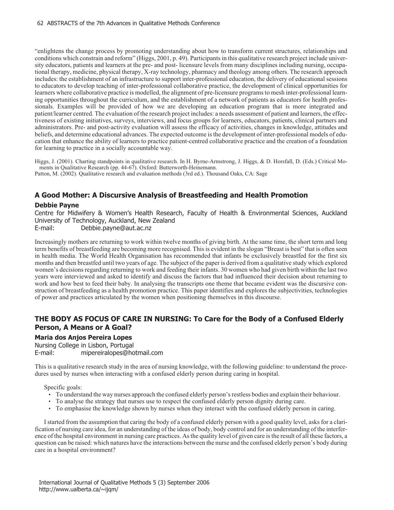"enlightens the change process by promoting understanding about how to transform current structures, relationships and conditions which constrain and reform" (Higgs, 2001, p. 49). Participants in this qualitative research project include university educators, patients and learners at the pre- and post- licensure levels from many disciplines including nursing, occupational therapy, medicine, physical therapy, X-ray technology, pharmacy and theology among others. The research approach includes: the establishment of an infrastructure to support inter-professional education, the delivery of educational sessions to educators to develop teaching of inter-professional collaborative practice, the development of clinical opportunities for learners where collaborative practice is modelled, the alignment of pre-licensure programs to mesh inter-professional learning opportunities throughout the curriculum, and the establishment of a network of patients as educators for health professionals. Examples will be provided of how we are developing an education program that is more integrated and patient/learner centred. The evaluation of the research project includes: a needs assessment of patient and learners, the effectiveness of existing initiatives, surveys, interviews, and focus groups for learners, educators, patients, clinical partners and administrators. Pre- and post-activity evaluation will assess the efficacy of activities, changes in knowledge, attitudes and beliefs, and determine educational advances. The expected outcome is the development of inter-professional models of education that enhance the ability of learners to practice patient-centred collaborative practice and the creation of a foundation for learning to practice in a socially accountable way.

Higgs, J. (2001). Charting standpoints in qualitative research. In H. Byrne-Armstrong, J. Higgs, & D. Horsfall, D. (Eds.) Critical Moments in Qualitative Research (pp. 44-67). Oxford: Butterworth-Heinemann. Patton, M. (2002). Qualitative research and evaluation methods (3rd ed.). Thousand Oaks, CA: Sage

# **A Good Mother: A Discursive Analysis of Breastfeeding and Health Promotion**

## **Debbie Payne**

Centre for Midwifery & Women's Health Research, Faculty of Health & Environmental Sciences, Auckland University of Technology, Auckland, New Zealand

E-mail: Debbie.payne@aut.ac.nz

Increasingly mothers are returning to work within twelve months of giving birth. At the same time, the short term and long term benefits of breastfeeding are becoming more recognised. This is evident in the slogan "Breast is best" that is often seen in health media. The World Health Organisation has recommended that infants be exclusively breastfed for the first six months and then breastfed until two years of age. The subject of the paper is derived from a qualitative study which explored women's decisions regarding returning to work and feeding their infants. 30 women who had given birth within the last two years were interviewed and asked to identify and discuss the factors that had influenced their decision about returning to work and how best to feed their baby. In analysing the transcripts one theme that became evident was the discursive construction of breastfeeding as a health promotion practice. This paper identifies and explores the subjectivities, technologies of power and practices articulated by the women when positioning themselves in this discourse.

# **THE BODY AS FOCUS OF CARE IN NURSING: To Care for the Body of a Confused Elderly Person, A Means or A Goal?**

## **Maria dos Anjos Pereira Lopes**

Nursing College in Lisbon, Portugal E-mail: mipereiralopes@hotmail.com

This is a qualitative research study in the area of nursing knowledge, with the following guideline: to understand the procedures used by nurses when interacting with a confused elderly person during caring in hospital.

Specific goals:

- To understand the way nurses approach the confused elderly person's restless bodies and explain their behaviour.
- To analyse the strategy that nurses use to respect the confused elderly person dignity during care.
- To emphasise the knowledge shown by nurses when they interact with the confused elderly person in caring.

I started from the assumption that caring the body of a confused elderly person with a good quality level, asks for a clarification of nursing care idea, for an understanding of the ideas of body, body control and for an understanding of the interference of the hospital environment in nursing care practices. As the quality level of given care is the result of all these factors, a question can be raised: which natures have the interactions between the nurse and the confused elderly person's body during care in a hospital environment?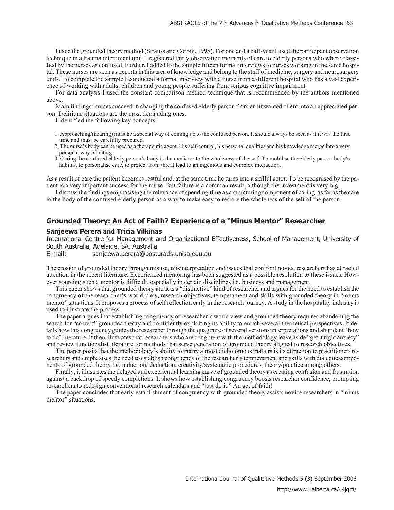I used the grounded theory method (Strauss and Corbin, 1998). For one and a half-year I used the participant observation technique in a trauma internment unit. I registered thirty observation moments of care to elderly persons who where classified by the nurses as confused. Further, I added to the sample fifteen formal interviews to nurses working in the same hospital. These nurses are seen as experts in this area of knowledge and belong to the staff of medicine, surgery and neurosurgery units. To complete the sample I conducted a formal interview with a nurse from a different hospital who has a vast experience of working with adults, children and young people suffering from serious cognitive impairment.

For data analysis I used the constant comparison method technique that is recommended by the authors mentioned above.

Main findings: nurses succeed in changing the confused elderly person from an unwanted client into an appreciated person. Delirium situations are the most demanding ones.

I identified the following key concepts:

- 1. Approaching/(nearing) must be a special way of coming up to the confused person. It should always be seen as if it was the first time and thus, be carefully prepared.
- 2. The nurse's body can be used as a therapeutic agent. His self-control, his personal qualities and his knowledge merge into a very personal way of acting.
- 3. Caring the confused elderly person's body is the mediator to the wholeness of the self. To mobilise the elderly person body's habitus, to personalise care, to protect from threat lead to an ingenious and complex interaction.

As a result of care the patient becomes restful and, at the same time he turns into a skilful actor. To be recognised by the patient is a very important success for the nurse. But failure is a common result, although the investment is very big.

I discuss the findings emphasising the relevance of spending time as a structuring component of caring, as far as the care to the body of the confused elderly person as a way to make easy to restore the wholeness of the self of the person.

## **Grounded Theory: An Act of Faith? Experience of a "Minus Mentor" Researcher**

#### **Sanjeewa Perera and Tricia Vilkinas**

International Centre for Management and Organizational Effectiveness, School of Management, University of South Australia, Adelaide, SA, Australia

E-mail: sanjeewa.perera@postgrads.unisa.edu.au

The erosion of grounded theory through misuse, misinterpretation and issues that confront novice researchers has attracted attention in the recent literature. Experienced mentoring has been suggested as a possible resolution to these issues. However sourcing such a mentor is difficult, especially in certain disciplines i.e. business and management.

This paper shows that grounded theory attracts a "distinctive" kind of researcher and argues for the need to establish the congruency of the researcher's world view, research objectives, temperament and skills with grounded theory in "minus mentor" situations. It proposes a process of self reflection early in the research journey. A study in the hospitality industry is used to illustrate the process.

The paper argues that establishing congruency of researcher's world view and grounded theory requires abandoning the search for "correct" grounded theory and confidently exploiting its ability to enrich several theoretical perspectives. It details how this congruency guides the researcher through the quagmire of several versions/interpretations and abundant "how to do" literature. It then illustrates that researchers who are congruent with the methodology leave aside "get it right anxiety" and review functionalist literature for methods that serve generation of grounded theory aligned to research objectives.

The paper posits that the methodology's ability to marry almost dichotomous matters is its attraction to practitioner/ researchers and emphasises the need to establish congruency of the researcher's temperament and skills with dialectic components of grounded theory i.e. induction/ deduction, creativity/systematic procedures, theory/practice among others.

Finally, it illustrates the delayed and experiential learning curve of grounded theory as creating confusion and frustration against a backdrop of speedy completions. It shows how establishing congruency boosts researcher confidence, prompting researchers to redesign conventional research calendars and "just do it." An act of faith!

The paper concludes that early establishment of congruency with grounded theory assists novice researchers in "minus mentor" situations.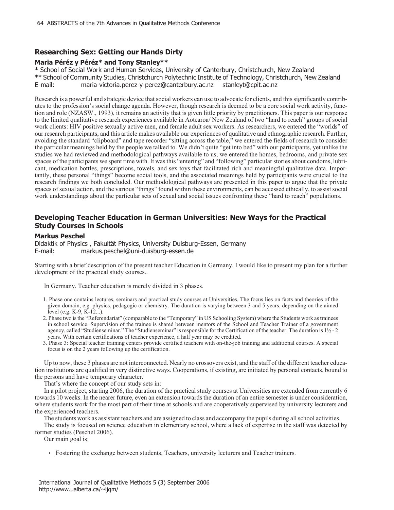# **Researching Sex: Getting our Hands Dirty**

## **Maria Péréz y Péréz\* and Tony Stanley\*\***

\* School of Social Work and Human Services, University of Canterbury, Christchurch, New Zealand \*\* School of Community Studies, Christchurch Polytechnic Institute of Technology, Christchurch, New Zealand E-mail: maria-victoria.perez-y-perez@canterbury.ac.nz stanleyt@cpit.ac.nz

Research is a powerful and strategic device that social workers can use to advocate for clients, and this significantly contributes to the profession's social change agenda. However, though research is deemed to be a core social work activity, function and role (NZASW., 1993), it remains an activity that is given little priority by practitioners. This paper is our response to the limited qualitative research experiences available in Aotearoa/ New Zealand of two "hard to reach" groups of social work clients: HIV positive sexually active men, and female adult sex workers. As researchers, we entered the "worlds" of our research participants, and this article makes available our experiences of qualitative and ethnographic research. Further, avoiding the standard "clipboard" and tape recorder "sitting across the table," we entered the fields of research to consider the particular meanings held by the people we talked to. We didn't quite "get into bed" with our participants, yet unlike the studies we had reviewed and methodological pathways available to us, we entered the homes, bedrooms, and private sex spaces of the participants we spent time with. It was this "entering" and "following" particular stories about condoms, lubricant, medication bottles, prescriptions, towels, and sex toys that facilitated rich and meaningful qualitative data. Importantly, these personal "things" become social tools, and the associated meanings held by participants were crucial to the research findings we both concluded. Our methodological pathways are presented in this paper to argue that the private spaces of sexual action, and the various "things" found within these environments, can be accessed ethically, to assist social work understandings about the particular sets of sexual and social issues confronting these "hard to reach" populations.

# **Developing Teacher Education in German Universities: New Ways for the Practical Study Courses in Schools**

#### **Markus Peschel**

Didaktik of Physics , Fakultät Physics, University Duisburg-Essen, Germany E-mail: markus.peschel@uni-duisburg-essen.de

Starting with a brief description of the present teacher Education in Germany, I would like to present my plan for a further development of the practical study courses..

In Germany, Teacher education is merely divided in 3 phases.

- 1. Phase one contains lectures, seminars and practical study courses at Universities. The focus lies on facts and theories of the given domain, e.g. physics, pedagogic or chemistry. The duration is varying between 3 and 5 years, depending on the aimed level (e.g. K-9, K-12...).
- 2. Phase two is the "Referendariat" (comparable to the "Temporary" in US Schooling System) where the Students work as trainees in school service. Supervision of the trainee is shared between mentors of the School and Teacher Trainer of a government agency, called "Studienseminar." The "Studienseminar" is responsible for the Certification of the teacher. The duration is 1½ - 2 years. With certain certifications of teacher experience, a half year may be credited.
- 3. Phase 3: Special teacher training centers provide certified teachers with on-the-job training and additional courses. A special focus is on the 2 years following up the certification.

Up to now, these 3 phases are not interconnected. Nearly no crossovers exist, and the staff of the different teacher education institutions are qualified in very distinctive ways. Cooperations, if existing, are initiated by personal contacts, bound to the persons and have temporary character.

That's where the concept of our study sets in:

In a pilot project, starting 2006, the duration of the practical study courses at Universities are extended from currently 6 towards 10 weeks. In the nearer future, even an extension towards the duration of an entire semester is under consideration, where students work for the most part of their time at schools and are cooperatively supervised by university lecturers and the experienced teachers.

The students work as assistant teachers and are assigned to class and accompany the pupils during all school activities. The study is focused on science education in elementary school, where a lack of expertise in the staff was detected by

former studies (Peschel 2006).

Our main goal is:

• Fostering the exchange between students, Teachers, university lecturers and Teacher trainers.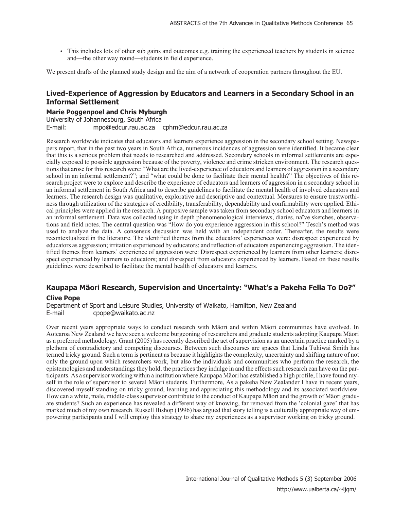• This includes lots of other sub gains and outcomes e.g. training the experienced teachers by students in science and—the other way round—students in field experience.

We present drafts of the planned study design and the aim of a network of cooperation partners throughout the EU.

## **Lived-Experience of Aggression by Educators and Learners in a Secondary School in an Informal Settlement**

## **Marie Poggenpoel and Chris Myburgh**

University of Johannesburg, South Africa E-mail: mpo@edcur.rau.ac.za cphm@edcur.rau.ac.za

Research worldwide indicates that educators and learners experience aggression in the secondary school setting. Newspapers report, that in the past two years in South Africa, numerous incidences of aggression were identified. It became clear that this is a serious problem that needs to researched and addressed. Secondary schools in informal settlements are especially exposed to possible aggression because of the poverty, violence and crime stricken environment. The research questions that arose for this research were: "What are the lived-experience of educators and learners of aggression in a secondary school in an informal settlement?"; and "what could be done to facilitate their mental health?" The objectives of this research project were to explore and describe the experience of educators and learners of aggression in a secondary school in an informal settlement in South Africa and to describe guidelines to facilitate the mental health of involved educators and learners. The research design was qualitative, explorative and descriptive and contextual. Measures to ensure trustworthiness through utilization of the strategies of credibility, transferability, dependability and confirmability were applied. Ethical principles were applied in the research. A purposive sample was taken from secondary school educators and learners in an informal settlement. Data was collected using in depth phenomenological interviews, diaries, naïve sketches, observations and field notes. The central question was "How do you experience aggression in this school?" Tesch's method was used to analyze the data. A consensus discussion was held with an independent coder. Thereafter, the results were recontextualized in the literature. The identified themes from the educators' experiences were: disrespect experienced by educators as aggression; irritation experienced by educators; and reflection of educators experiencing aggression. The identified themes from learners' experience of aggression were: Disrespect experienced by learners from other learners; disrespect experienced by learners to educators; and disrespect from educators experienced by learners. Based on these results guidelines were described to facilitate the mental health of educators and learners.

# **Kaupapa Mäori Research, Supervision and Uncertainty: "What's a Pakeha Fella To Do?"**

#### **Clive Pope**

Department of Sport and Leisure Studies, University of Waikato, Hamilton, New Zealand E-mail cpope@waikato.ac.nz

Over recent years appropriate ways to conduct research with Mäori and within Mäori communities have evolved. In Aotearoa New Zealand we have seen a welcome burgeoning of researchers and graduate students adopting Kaupapa Mäori as a preferred methodology. Grant (2005) has recently described the act of supervision as an uncertain practice marked by a plethora of contradictory and competing discourses. Between such discourses are spaces that Linda Tuhiwai Smith has termed tricky ground. Such a term is pertinent as because it highlights the complexity, uncertainty and shifting nature of not only the ground upon which researchers work, but also the individuals and communities who perform the research, the epistemologies and understandings they hold, the practices they indulge in and the effects such research can have on the participants. As a supervisor working within a institution where Kaupapa Mäori has established a high profile, I have found myself in the role of supervisor to several Mäori students. Furthermore, As a pakeha New Zealander I have in recent years, discovered myself standing on tricky ground, learning and appreciating this methodology and its associated worldview. How can a white, male, middle-class supervisor contribute to the conduct of Kaupapa Mäori and the growth of Mäori graduate students? Such an experience has revealed a different way of knowing, far removed from the 'colonial gaze' that has marked much of my own research. Russell Bishop (1996) has argued that story telling is a culturally appropriate way of empowering participants and I will employ this strategy to share my experiences as a supervisor working on tricky ground.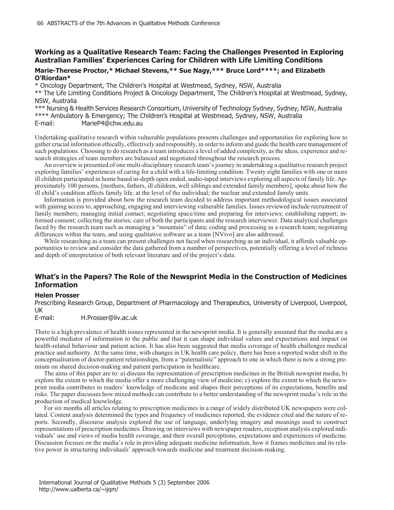# **Working as a Qualitative Research Team: Facing the Challenges Presented in Exploring Australian Families' Experiences Caring for Children with Life Limiting Conditions**

## **Marie-Therese Proctor,\* Michael Stevens,\*\* Sue Nagy,\*\*\* Bruce Lord\*\*\*\*; and Elizabeth O'Riordan\***

\* Oncology Department, The Children's Hospital at Westmead, Sydney, NSW, Australia \*\* The Life Limiting Conditions Project & Oncology Department, The Children's Hospital at Westmead, Sydney, NSW, Australia \*\*\* Nursing & Health Services Research Consortium, University of Technology Sydney, Sydney, NSW, Australia

\*\*\*\* Ambulatory & Emergency; The Children's Hospital at Westmead, Sydney, NSW, Australia

E-mail: MarieP4@chw.edu.au

Undertaking qualitative research within vulnerable populations presents challenges and opportunities for exploring how to gather crucial information ethically, effectively and responsibly, in order to inform and guide the health care management of such populations. Choosing to do research as a team introduces a level of added complexity, as the ideas, experience and research strategies of team members are balanced and negotiated throughout the research process.

An overview is presented of one multi-disciplinary research team's journey in undertaking a qualitative research project exploring families' experiences of caring for a child with a life-limiting condition. Twenty eight families with one or more ill children participated in home based in-depth open ended, audio-taped interviews exploring all aspects of family life. Approximately 100 persons, [mothers, fathers, ill children, well siblings and extended family members], spoke about how the ill child's condition affects family life, at the level of the individual; the nuclear and extended family units.

Information is provided about how the research team decided to address important methodological issues associated with gaining access to, approaching, engaging and interviewing vulnerable families. Issues reviewed include recruitment of family members; managing initial contact; negotiating space/time and preparing for interviews; establishing rapport; informed consent; collecting the stories; care of both the participants and the research interviewer. Data analytical challenges faced by the research team such as managing a "mountain" of data; coding and processing as a research team; negotiating differences within the team, and using qualitative software as a team [NVivo] are also addressed.

While researching as a team can present challenges not faced when researching as an individual, it affords valuable opportunities to review and consider the data gathered from a number of perspectives, potentially offering a level of richness and depth of interpretation of both relevant literature and of the project's data.

# **What's in the Papers? The Role of the Newsprint Media in the Construction of Medicines Information**

#### **Helen Prosser**

Prescribing Research Group, Department of Pharmacology and Therapeutics, University of Liverpool, Liverpool, UK

E-mail: H.Prosser@liv.ac.uk

There is a high prevalence of health issues represented in the newsprint media. It is generally assumed that the media are a powerful mediator of information to the public and that it can shape individual values and expectations and impact on health-related behaviour and patient action. It has also been suggested that media coverage of health challenges medical practice and authority. At the same time, with changes in UK health care policy, there has been a reported wider shift in the conceptualisation of doctor-patient relationships, from a "paternalistic" approach to one in which there is now a strong premium on shared decision-making and patient participation in healthcare.

The aims of this paper are to: a) discuss the representation of prescription medicines in the British newsprint media; b) explore the extent to which the media offer a more challenging view of medicine; c) explore the extent to which the newsprint media contributes to readers' knowledge of medicine and shapes their perceptions of its expectations, benefits and risks. The paper discusses how mixed methods can contribute to a better understanding of the newsprint media's role in the production of medical knowledge.

For six months all articles relating to prescription medicines in a range of widely distributed UK newspapers were collated. Content analysis determined the types and frequency of medicines reported, the evidence cited and the nature of reports. Secondly, discourse analysis explored the use of language, underlying imagery and meanings used to construct representations of prescription medicines. Drawing on interviews with newspaper readers, reception analysis explored individuals' use and views of media health coverage, and their overall perceptions, expectations and experiences of medicine. Discussion focuses on the media's role in providing adequate medicine information, how it frames medicines and its relative power in structuring individuals' approach towards medicine and treatment decision-making.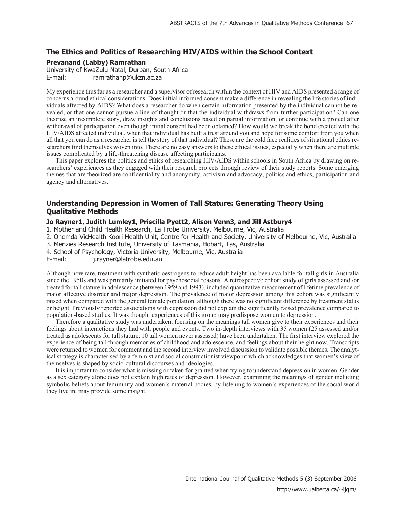## **The Ethics and Politics of Researching HIV/AIDS within the School Context**

**Prevanand (Labby) Ramrathan**

University of KwaZulu-Natal, Durban, South Africa E-mail: ramrathanp@ukzn.ac.za

My experience thus far as a researcher and a supervisor of research within the context of HIV and AIDS presented a range of concerns around ethical considerations. Does initial informed consent make a difference in revealing the life stories of individuals affected by AIDS? What does a researcher do when certain information presented by the individual cannot be revealed, or that one cannot pursue a line of thought or that the individual withdraws from further participation? Can one theorise an incomplete story, draw insights and conclusions based on partial information, or continue with a project after withdrawal of participation even though initial consent had been obtained? How would we break the bond created with the HIV/AIDS affected individual, when that individual has built a trust around you and hope for some comfort from you when all that you can do as a researcher is tell the story of that individual? These are the cold face realities of situational ethics researchers find themselves woven into. There are no easy answers to these ethical issues, especially when there are multiple issues complicated by a life-threatening disease affecting participants.

This paper explores the politics and ethics of researching HIV/AIDS within schools in South Africa by drawing on researchers' experiences as they engaged with their research projects through review of their study reports. Some emerging themes that are theorized are confidentiality and anonymity, activism and advocacy, politics and ethics, participation and agency and alternatives.

## **Understanding Depression in Women of Tall Stature: Generating Theory Using Qualitative Methods**

#### **Jo Rayner1, Judith Lumley1, Priscilla Pyett2, Alison Venn3, and Jill Astbury4**

1. Mother and Child Health Research, La Trobe University, Melbourne, Vic, Australia

- 2. Onemda VicHealth Koori Health Unit, Centre for Health and Society, University of Melbourne, Vic, Australia
- 3. Menzies Research Institute, University of Tasmania, Hobart, Tas, Australia
- 4. School of Psychology, Victoria University, Melbourne, Vic, Australia

E-mail: j.rayner@latrobe.edu.au

Although now rare, treatment with synthetic oestrogens to reduce adult height has been available for tall girls in Australia since the 1950s and was primarily initiated for psychosocial reasons. A retrospective cohort study of girls assessed and /or treated for tall stature in adolescence (between 1959 and 1993), included quantitative measurement of lifetime prevalence of major affective disorder and major depression. The prevalence of major depression among this cohort was significantly raised when compared with the general female population, although there was no significant difference by treatment status or height. Previously reported associations with depression did not explain the significantly raised prevalence compared to population-based studies. It was thought experiences of this group may predispose women to depression.

Therefore a qualitative study was undertaken, focusing on the meanings tall women give to their experiences and their feelings about interactions they had with people and events. Two in-depth interviews with 35 women (25 assessed and/or treated as adolescents for tall stature; 10 tall women never assessed) have been undertaken. The first interview explored the experience of being tall through memories of childhood and adolescence, and feelings about their height now. Transcripts were returned to women for comment and the second interview involved discussion to validate possible themes. The analytical strategy is characterised by a feminist and social constructionist viewpoint which acknowledges that women's view of themselves is shaped by socio-cultural discourses and ideologies.

It is important to consider what is missing or taken for granted when trying to understand depression in women. Gender as a sex category alone does not explain high rates of depression. However, examining the meanings of gender including symbolic beliefs about femininity and women's material bodies, by listening to women's experiences of the social world they live in, may provide some insight.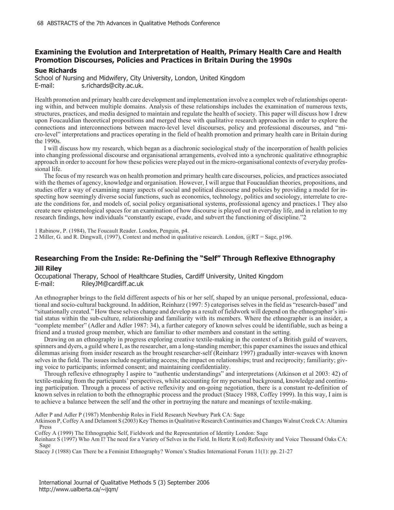# **Examining the Evolution and Interpretation of Health, Primary Health Care and Health Promotion Discourses, Policies and Practices in Britain During the 1990s**

#### **Sue Richards**

School of Nursing and Midwifery, City University, London, United Kingdom E-mail: s.richards@city.ac.uk.

Health promotion and primary health care development and implementation involve a complex web of relationships operating within, and between multiple domains. Analysis of these relationships includes the examination of numerous texts, structures, practices, and media designed to maintain and regulate the health of society. This paper will discuss how I drew upon Foucauldian theoretical propositions and merged these with qualitative research approaches in order to explore the connections and interconnections between macro-level level discourses, policy and professional discourses, and "micro-level" interpretations and practices operating in the field of health promotion and primary health care in Britain during the 1990s.

I will discuss how my research, which began as a diachronic sociological study of the incorporation of health policies into changing professional discourse and organisational arrangements, evolved into a synchronic qualitative ethnographic approach in order to account for how these policies were played out in the micro-organisational contexts of everyday professional life.

The focus of my research was on health promotion and primary health care discourses, policies, and practices associated with the themes of agency, knowledge and organisation. However, I will argue that Foucauldian theories, propositions, and studies offer a way of examining many aspects of social and political discourse and policies by providing a model for inspecting how seemingly diverse social functions, such as economics, technology, politics and sociology, interrelate to create the conditions for, and models of, social policy organisational systems, professional agency and practices.1 They also create new epistemological spaces for an examination of how discourse is played out in everyday life, and in relation to my research findings, how individuals "constantly escape, evade, and subvert the functioning of discipline."2

1 Rabinow, P. (1984), The Foucault Reader. London, Penguin, p4.

2 Miller, G. and R. Dingwall, (1997), Context and method in qualitative research. London, @RT = Sage, p196.

# **Researching From the Inside: Re-Defining the "Self" Through Reflexive Ethnography Jill Riley**

Occupational Therapy, School of Healthcare Studies, Cardiff University, United Kingdom E-mail: RileyJM@cardiff.ac.uk

An ethnographer brings to the field different aspects of his or her self, shaped by an unique personal, professional, educational and socio-cultural background. In addition, Reinharz (1997: 5) categorises selves in the field as "research-based" and "situationally created." How these selves change and develop as a result of fieldwork will depend on the ethnographer's initial status within the sub-culture, relationship and familiarity with its members. Where the ethnographer is an insider, a "complete member" (Adler and Adler 1987: 34), a further category of known selves could be identifiable, such as being a friend and a trusted group member, which are familiar to other members and constant in the setting.

Drawing on an ethnography in progress exploring creative textile-making in the context of a British guild of weavers, spinners and dyers, a guild where I, as the researcher, am a long-standing member; this paper examines the issues and ethical dilemmas arising from insider research as the brought researcher-self (Reinharz 1997) gradually inter-weaves with known selves in the field. The issues include negotiating access; the impact on relationships; trust and reciprocity; familiarity; giving voice to participants; informed consent; and maintaining confidentiality.

Through reflexive ethnography I aspire to "authentic understandings" and interpretations (Atkinson et al 2003: 42) of textile-making from the participants' perspectives, whilst accounting for my personal background, knowledge and continuing participation. Through a process of active reflexivity and on-going negotiation, there is a constant re-definition of known selves in relation to both the ethnographic process and the product (Stacey 1988, Coffey 1999). In this way, I aim is to achieve a balance between the self and the other in portraying the nature and meanings of textile-making.

Adler P and Adler P (1987) Membership Roles in Field Research Newbury Park CA: Sage

Atkinson P, Coffey A and Delamont S (2003) Key Themes in Qualitative Research Continuities and Changes Walnut Creek CA: Altamira Press

Coffey A (1999) The Ethnographic Self, Fieldwork and the Representation of Identity London: Sage

Reinharz S (1997) Who Am I? The need for a Variety of Selves in the Field. In Hertz R (ed) Reflexivity and Voice Thousand Oaks CA: Sage

Stacey J (1988) Can There be a Feminist Ethnography? Women's Studies International Forum 11(1): pp. 21-27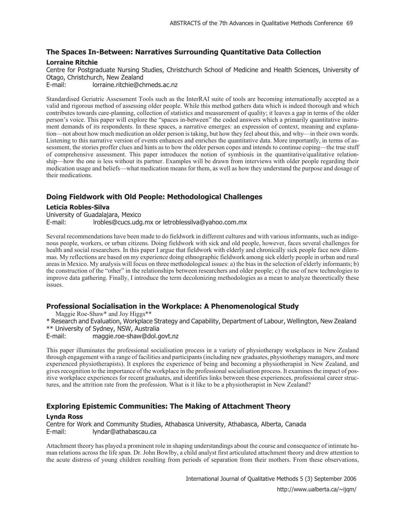# **The Spaces In-Between: Narratives Surrounding Quantitative Data Collection**

## **Lorraine Ritchie**

Centre for Postgraduate Nursing Studies, Christchurch School of Medicine and Health Sciences, University of Otago, Christchurch, New Zealand

E-mail: lorraine.ritchie@chmeds.ac.nz

Standardised Geriatric Assessment Tools such as the InterRAI suite of tools are becoming internationally accepted as a valid and rigorous method of assessing older people. While this method gathers data which is indeed thorough and which contributes towards care-planning, collection of statistics and measurement of quality; it leaves a gap in terms of the older person's voice. This paper will explore the "spaces in-between" the coded answers which a primarily quantitative instrument demands of its respondents. In these spaces, a narrative emerges: an expression of context, meaning and explanation—not about how much medication an older person is taking, but how they feel about this, and why—in their own words. Listening to this narrative version of events enhances and enriches the quantitative data. More importantly, in terms of assessment, the stories proffer clues and hints as to how the older person copes and intends to continue coping—the true stuff of comprehensive assessment. This paper introduces the notion of symbiosis in the quantitative/qualitative relationship—how the one is less without its partner. Examples will be drawn from interviews with older people regarding their medication usage and beliefs—what medication means for them, as well as how they understand the purpose and dosage of their medications.

# **Doing Fieldwork with Old People: Methodological Challenges**

## **Leticia Robles-Silva**

University of Guadalajara, Mexico E-mail: lrobles@cucs.udg.mx or letroblessilva@yahoo.com.mx

Several recommendations have been made to do fieldwork in different cultures and with various informants, such as indigenous people, workers, or urban citizens. Doing fieldwork with sick and old people, however, faces several challenges for health and social researchers. In this paper I argue that fieldwork with elderly and chronically sick people face new dilemmas. My reflections are based on my experience doing ethnographic fieldwork among sick elderly people in urban and rural areas in Mexico. My analysis will focus on three methodological issues: a) the bias in the selection of elderly informants; b) the construction of the "other" in the relationships between researchers and older people; c) the use of new technologies to improve data gathering. Finally, I introduce the term decolonizing methodologies as a mean to analyze theoretically these issues.

# **Professional Socialisation in the Workplace: A Phenomenological Study**

Maggie Roe-Shaw\* and Joy Higgs\*\*

\* Research and Evaluation, Workplace Strategy and Capability, Department of Labour, Wellington, New Zealand \*\* University of Sydney, NSW, Australia

E-mail: maggie.roe-shaw@dol.govt.nz

This paper illuminates the professional socialisation process in a variety of physiotherapy workplaces in New Zealand through engagement with a range of facilities and participants (including new graduates, physiotherapy managers, and more experienced physiotherapists). It explores the experience of being and becoming a physiotherapist in New Zealand, and gives recognition to the importance of the workplace in the professional socialisation process. It examines the impact of positive workplace experiences for recent graduates, and identifies links between these experiences, professional career structures, and the attrition rate from the profession. What is it like to be a physiotherapist in New Zealand?

# **Exploring Epistemic Communities: The Making of Attachment Theory**

#### **Lynda Ross**

Centre for Work and Community Studies, Athabasca University, Athabasca, Alberta, Canada E-mail: lyndar@athabascau.ca

Attachment theory has played a prominent role in shaping understandings about the course and consequence of intimate human relations across the life span. Dr. John Bowlby, a child analyst first articulated attachment theory and drew attention to the acute distress of young children resulting from periods of separation from their mothers. From these observations,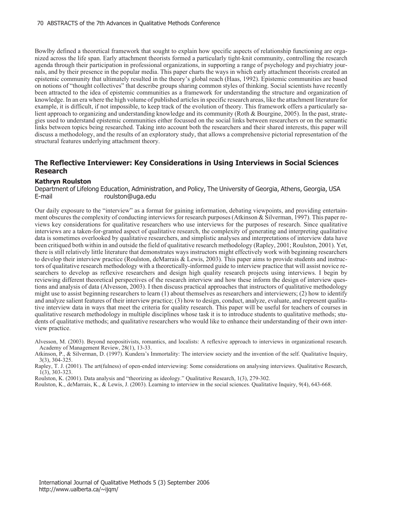Bowlby defined a theoretical framework that sought to explain how specific aspects of relationship functioning are organized across the life span. Early attachment theorists formed a particularly tight-knit community, controlling the research agenda through their participation in professional organizations, in supporting a range of psychology and psychiatry journals, and by their presence in the popular media. This paper charts the ways in which early attachment theorists created an epistemic community that ultimately resulted in the theory's global reach (Haas, 1992). Epistemic communities are based on notions of "thought collectives" that describe groups sharing common styles of thinking. Social scientists have recently been attracted to the idea of epistemic communities as a framework for understanding the structure and organization of knowledge. In an era where the high volume of published articles in specific research areas, like the attachment literature for example, it is difficult, if not impossible, to keep track of the evolution of theory. This framework offers a particularly salient approach to organizing and understanding knowledge and its community (Roth & Bourgine, 2005). In the past, strategies used to understand epistemic communities either focussed on the social links between researchers or on the semantic links between topics being researched. Taking into account both the researchers and their shared interests, this paper will discuss a methodology, and the results of an exploratory study, that allows a comprehensive pictorial representation of the structural features underlying attachment theory.

# **The Reflective Interviewer: Key Considerations in Using Interviews in Social Sciences Research**

#### **Kathryn Roulston**

Department of Lifelong Education, Administration, and Policy, The University of Georgia, Athens, Georgia, USA E-mail roulston@uga.edu

Our daily exposure to the "interview" as a format for gaining information, debating viewpoints, and providing entertainment obscures the complexity of conducting interviews for research purposes (Atkinson & Silverman, 1997). This paper reviews key considerations for qualitative researchers who use interviews for the purposes of research. Since qualitative interviews are a taken-for-granted aspect of qualitative research, the complexity of generating and interpreting qualitative data is sometimes overlooked by qualitative researchers, and simplistic analyses and interpretations of interview data have been critiqued both within in and outside the field of qualitative research methodology (Rapley, 2001; Roulston, 2001). Yet, there is still relatively little literature that demonstrates ways instructors might effectively work with beginning researchers to develop their interview practice (Roulston, deMarrais & Lewis, 2003). This paper aims to provide students and instructors of qualitative research methodology with a theoretically-informed guide to interview practice that will assist novice researchers to develop as reflexive researchers and design high quality research projects using interviews. I begin by reviewing different theoretical perspectives of the research interview and how these inform the design of interview questions and analysis of data (Alvesson, 2003). I then discuss practical approaches that instructors of qualitative methodology might use to assist beginning researchers to learn (1) about themselves as researchers and interviewers; (2) how to identify and analyze salient features of their interview practice; (3) how to design, conduct, analyze, evaluate, and represent qualitative interview data in ways that meet the criteria for quality research. This paper will be useful for teachers of courses in qualitative research methodology in multiple disciplines whose task it is to introduce students to qualitative methods; students of qualitative methods; and qualitative researchers who would like to enhance their understanding of their own interview practice.

Alvesson, M. (2003). Beyond neopositivists, romantics, and localists: A reflexive approach to interviews in organizational research. Academy of Management Review, 28(1), 13-33.

Atkinson, P., & Silverman, D. (1997). Kundera's Immortality: The interview society and the invention of the self. Qualitative Inquiry, 3(3), 304-325.

Rapley, T. J. (2001). The art(fulness) of open-ended interviewing: Some considerations on analysing interviews. Qualitative Research,  $1(3)$ , 303-323.

Roulston, K. (2001). Data analysis and "theorizing as ideology." Qualitative Research, 1(3), 279-302.

Roulston, K., deMarrais, K., & Lewis, J. (2003). Learning to interview in the social sciences. Qualitative Inquiry, 9(4), 643-668.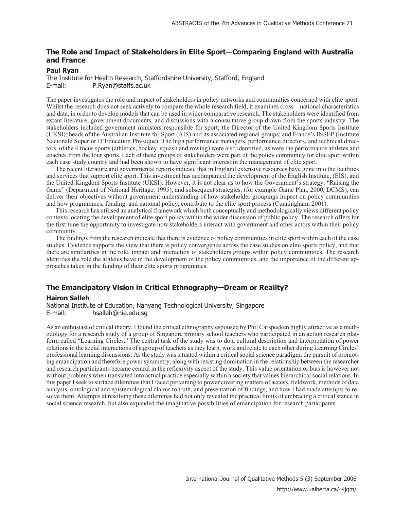# **The Role and Impact of Stakeholders in Elite Sport—Comparing England with Australia and France**

#### **Paul Ryan**

The Institute for Health Research, Staffordshire University, Stafford, England E-mail: P.Ryan@staffs.ac.uk

The paper investigates the role and impact of stakeholders in policy networks and communities concerned with elite sport. Whilst the research does not seek actively to compare the whole research field, it examines cross—national characteristics and data, in order to develop models that can be used in wider comparative research. The stakeholders were identified from extant literature, government documents, and discussions with a consultative group drawn from the sports industry. The stakeholders included government ministers responsible for sport; the Director of the United Kingdom Sports Institute (UKSI); heads of the Australian Institute for Sport (AIS) and its associated regional groups; and France's INSEP (Institute Nacionale Superior D'Education Physique). The high performance managers, performance directors, and technical directors, of the 4 focus sports (athletics, hockey, squash and rowing) were also identified, as were the performance athletes and coaches from the four sports. Each of these groups of stakeholders were part of the policy community for elite sport within each case study country and had been shown to have significant interest in the management of elite sport.

The recent literature and governmental reports indicate that in England extensive resources have gone into the facilities and services that support elite sport. This investment has accompanied the development of the English Institute, (EIS), and the United Kingdom Sports Institute (UKSI). However, it is not clear as to how the Government's strategy, "Raising the Game" (Department of National Heritage, 1995), and subsequent strategies, (for example Game Plan, 2000, DCMS), can deliver their objectives without government understanding of how stakeholder groupings impact on policy communities and how programmes, funding, and national policy, contribute to the elite sport process (Cunningham, 2001).

This research has utilised an analytical framework which both conceptually and methodologically views different policy contexts locating the development of elite sport policy within the wider discussion of public policy. The research offers for the first time the opportunity to investigate how stakeholders interact with government and other actors within their policy community.

The findings from the research indicate that there is evidence of policy communities in elite sport within each of the case studies. Evidence supports the view that there is policy convergence across the case studies on elite sports policy, and that there are similarities in the role, impact and interaction of stakeholders groups within policy communities. The research identifies the role the athletes have in the development of the policy communities, and the importance of the different approaches taken in the funding of their elite sports programmes.

## **The Emancipatory Vision in Critical Ethnography—Dream or Reality?**

#### **Hairon Salleh**

National Institute of Education, Nanyang Technological University, Singapore E-mail: hsalleh@nie.edu.sg

As an enthusiast of critical theory, I found the critical ethnography espoused by Phil Carspecken highly attractive as a methodology for a research study of a group of Singapore primary school teachers who participated in an action research platform called "Learning Circles." The central task of the study was to do a cultural description and interpretation of power relations in the social interactions of a group of teachers as they learn, work and relate to each other during Learning Circles' professional learning discussions. As the study was situated within a critical social science paradigm, the pursuit of promoting emancipation and therefore power symmetry, along with resisting domination in the relationship between the researcher and research participants became central in the reflexivity aspect of the study. This value orientation or bias is however not without problems when translated into actual practice especially within a society that values hierarchical social relations. In this paper I seek to surface dilemmas that I faced pertaining to power covering matters of access, fieldwork, methods of data analysis, ontological and epistemological claims to truth, and presentation of findings, and how I had made attempts to resolve them. Attempts at resolving these dilemmas had not only revealed the practical limits of embracing a critical stance in social science research, but also expanded the imaginative possibilities of emancipation for research participants.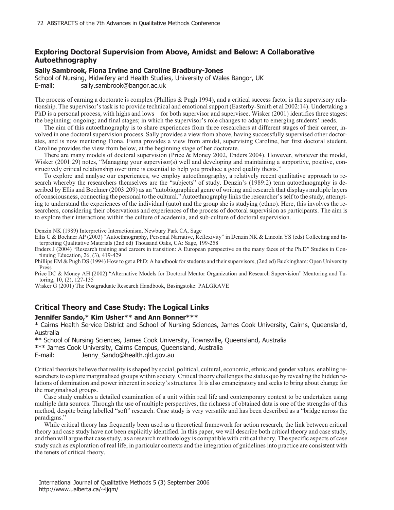# **Exploring Doctoral Supervision from Above, Amidst and Below: A Collaborative Autoethnography**

#### **Sally Sambrook, Fiona Irvine and Caroline Bradbury-Jones**

School of Nursing, Midwifery and Health Studies, University of Wales Bangor, UK E-mail: sally.sambrook@bangor.ac.uk

The process of earning a doctorate is complex (Phillips & Pugh 1994), and a critical success factor is the supervisory relationship. The supervisor's task is to provide technical and emotional support (Easterby-Smith et al 2002:14). Undertaking a PhD is a personal process, with highs and lows—for both supervisor and supervisee. Wisker (2001) identifies three stages: the beginning; ongoing; and final stages; in which the supervisor's role changes to adapt to emerging students' needs.

The aim of this autoethnography is to share experiences from three researchers at different stages of their career, involved in one doctoral supervision process. Sally provides a view from above, having successfully supervised other doctorates, and is now mentoring Fiona. Fiona provides a view from amidst, supervising Caroline, her first doctoral student. Caroline provides the view from below, at the beginning stage of her doctorate.

There are many models of doctoral supervision (Price & Money 2002, Enders 2004). However, whatever the model, Wisker (2001:29) notes, "Managing your supervisor(s) well and developing and maintaining a supportive, positive, constructively critical relationship over time is essential to help you produce a good quality thesis."

To explore and analyse our experiences, we employ autoethnography, a relatively recent qualitative approach to research whereby the researchers themselves are the "subjects" of study. Denzin's (1989:2) term autoethnography is described by Ellis and Bochner (2003:209) as an "autobiographical genre of writing and research that displays multiple layers of consciousness, connecting the personal to the cultural." Autoethnography links the researcher's self to the study, attempting to understand the experiences of the individual (auto) and the group she is studying (ethno). Here, this involves the researchers, considering their observations and experiences of the process of doctoral supervision as participants. The aim is to explore their interactions within the culture of academia, and sub-culture of doctoral supervision.

Denzin NK (1989) Interpretive Interactionism, Newbury Park CA, Sage

Ellis C & Bochner AP (2003) "Autoethnography, Personal Narrative, Reflexivity" in Denzin NK & Lincoln YS (eds) Collecting and Interpreting Qualitative Materials (2nd ed) Thousand Oaks, CA: Sage, 199-258

Enders J (2004) "Research training and careers in transition: A European perspective on the many faces of the Ph.D" Studies in Continuing Education, 26, (3), 419-429

Phillips EM & Pugh DS (1994) How to get a PhD: A handbook for students and their supervisors, (2nd ed) Buckingham: Open University Press

Price DC & Money AH (2002) "Alternative Models for Doctoral Mentor Organization and Research Supervision" Mentoring and Tutoring, 10, (2), 127-135

Wisker G (2001) The Postgraduate Research Handbook, Basingstoke: PALGRAVE

# **Critical Theory and Case Study: The Logical Links**

#### **Jennifer Sando,\* Kim Usher\*\* and Ann Bonner\*\*\***

\* Cairns Health Service District and School of Nursing Sciences, James Cook University, Cairns, Queensland, Australia

\*\* School of Nursing Sciences, James Cook University, Townsville, Queensland, Australia

\*\*\* James Cook University, Cairns Campus, Queensland, Australia

E-mail: Jenny\_Sando@health.qld.gov.au

Critical theorists believe that reality is shaped by social, political, cultural, economic, ethnic and gender values, enabling researchers to explore marginalised groups within society. Critical theory challenges the status quo by revealing the hidden relations of domination and power inherent in society's structures. It is also emancipatory and seeks to bring about change for the marginalised groups.

Case study enables a detailed examination of a unit within real life and contemporary context to be undertaken using multiple data sources. Through the use of multiple perspectives, the richness of obtained data is one of the strengths of this method, despite being labelled "soft" research. Case study is very versatile and has been described as a "bridge across the paradigms."

While critical theory has frequently been used as a theoretical framework for action research, the link between critical theory and case study have not been explicitly identified. In this paper, we will describe both critical theory and case study, and then will argue that case study, as a research methodology is compatible with critical theory. The specific aspects of case study such as exploration of real life, in particular contexts and the integration of guidelines into practice are consistent with the tenets of critical theory.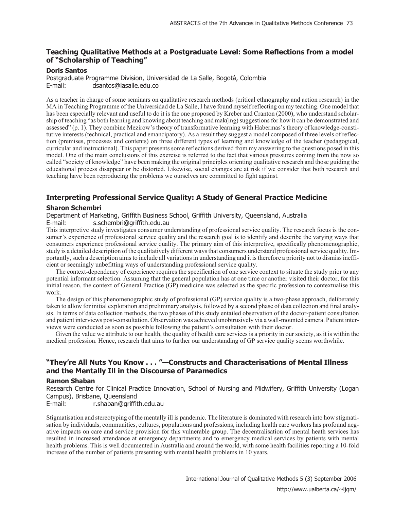# **Teaching Qualitative Methods at a Postgraduate Level: Some Reflections from a model of "Scholarship of Teaching"**

#### **Doris Santos**

Postgraduate Programme Division, Universidad de La Salle, Bogotá, Colombia E-mail: dsantos@lasalle.edu.co

As a teacher in charge of some seminars on qualitative research methods (critical ethnography and action research) in the MA in Teaching Programme of the Universidad de La Salle, I have found myself reflecting on my teaching. One model that has been especially relevant and useful to do it is the one proposed by Kreber and Cranton (2000), who understand scholarship of teaching "as both learning and knowing about teaching and mak(ing) suggestions for how it can be demonstrated and assessed" (p. 1). They combine Mezirow's theory of transformative learning with Habermas's theory of knowledge-constitutive interests (technical, practical and emancipatory). As a result they suggest a model composed of three levels of reflection (premises, processes and contents) on three different types of learning and knowledge of the teacher (pedagogical, curricular and instructional). This paper presents some reflections derived from my answering to the questions posed in this model. One of the main conclusions of this exercise is referred to the fact that various pressures coming from the now so called "society of knowledge" have been making the original principles orienting qualitative research and those guiding the educational process disappear or be distorted. Likewise, social changes are at risk if we consider that both research and teaching have been reproducing the problems we ourselves are committed to fight against.

## **Interpreting Professional Service Quality: A Study of General Practice Medicine**

#### **Sharon Schembri**

Department of Marketing, Griffith Business School, Griffith University, Queensland, Australia E-mail: s.schembri@griffith.edu.au

This interpretive study investigates consumer understanding of professional service quality. The research focus is the consumer's experience of professional service quality and the research goal is to identify and describe the varying ways that consumers experience professional service quality. The primary aim of this interpretive, specifically phenomenographic, study is a detailed description of the qualitatively different ways that consumers understand professional service quality. Importantly, such a description aims to include all variations in understanding and it is therefore a priority not to dismiss inefficient or seemingly unbefitting ways of understanding professional service quality.

The context-dependency of experience requires the specification of one service context to situate the study prior to any potential informant selection. Assuming that the general population has at one time or another visited their doctor, for this initial reason, the context of General Practice (GP) medicine was selected as the specific profession to contextualise this work.

The design of this phenomenographic study of professional (GP) service quality is a two-phase approach, deliberately taken to allow for initial exploration and preliminary analysis, followed by a second phase of data collection and final analysis. In terms of data collection methods, the two phases of this study entailed observation of the doctor-patient consultation and patient interviews post-consultation. Observation was achieved unobtrusively via a wall-mounted camera. Patient interviews were conducted as soon as possible following the patient's consultation with their doctor.

Given the value we attribute to our health, the quality of health care services is a priority in our society, as it is within the medical profession. Hence, research that aims to further our understanding of GP service quality seems worthwhile.

# **"They're All Nuts You Know... "—Constructs and Characterisations of Mental Illness and the Mentally Ill in the Discourse of Paramedics**

#### **Ramon Shaban**

Research Centre for Clinical Practice Innovation, School of Nursing and Midwifery, Griffith University (Logan Campus), Brisbane, Queensland

E-mail: r.shaban@griffith.edu.au

Stigmatisation and stereotyping of the mentally ill is pandemic. The literature is dominated with research into how stigmatisation by individuals, communities, cultures, populations and professions, including health care workers has profound negative impacts on care and service provision for this vulnerable group. The decentralisation of mental heath services has resulted in increased attendance at emergency departments and to emergency medical services by patients with mental health problems. This is well documented in Australia and around the world, with some health facilities reporting a 10-fold increase of the number of patients presenting with mental health problems in 10 years.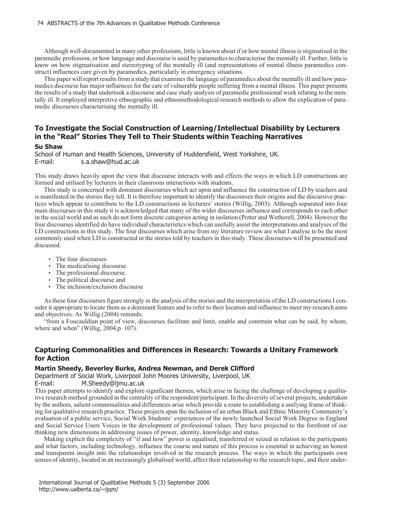Although well-documented in many other professions, little is known about if or how mental illness is stigmatised in the paramedic profession, or how language and discourse is used by paramedics to characterise the mentally ill. Further, little is know on how stigmatisation and stereotyping of the mentally ill (and representations of mental illness paramedics construct) influences care given by paramedics, particularly in emergency situations.

This paper will report results from a study that examines the language of paramedics about the mentally ill and how paramedics discourse has major influences for the care of vulnerable people suffering from a mental illness. This paper presents the results of a study that undertook a discourse and case study analysis of paramedic professional work relating to the mentally ill. It employed interpretive ethnographic and ethnomethodological research methods to allow the explication of paramedic discourses characterising the mentally ill.

# **To Investigate the Social Construction of Learning/Intellectual Disability by Lecturers in the "Real" Stories They Tell to Their Students within Teaching Narratives**

#### **Su Shaw**

School of Human and Health Sciences, University of Huddersfield, West Yorkshire, UK. E-mail: s.a.shaw@hud.ac.uk

This study draws heavily upon the view that discourse interacts with and effects the ways in which LD constructions are formed and utilised by lecturers in their classroom interactions with students.

This study is concerned with dominant discourses which act upon and influence the construction of LD by teachers and is manifested in the stories they tell. It is therefore important to identify the discourses their origins and the discursive practices which appear to contribute to the LD constructions in lecturers' stories (Willig, 2003). Although separated into four main discourses in this study it is acknowledged that many of the wider discourses influence and corresponds to each other in the social world and as such do not form discrete categories acting in isolation (Potter and Wetherell, 2004). However the four discourses identified do have individual characteristics which can usefully assist the interpretations and analyses of the LD constructions in this study. The four discourses which arise from my literature review are what I analyse to be the most commonly used when LD is constructed in the stories told by teachers in this study. These discourses will be presented and discussed.

- The four discourses
- The medicalising discourse.
- The professional discourse.
- The political discourse and
- The inclusion/exclusion discourse

As these four discourses figure strongly in the analysis of the stories and the interpretation of the LD constructions I consider it appropriate to locate them as a dominant feature and to refer to their location and influence to meet my research aims and objectives. As Willig (2004) reminds;

"from a Foucauldian point of view, discourses facilitate and limit, enable and constrain what can be said, by whom, where and when" (Willig, 2004, p. 107).

## **Capturing Commonalities and Differences in Research: Towards a Unitary Framework for Action**

#### **Martin Sheedy, Beverley Burke, Andrea Newman, and Derek Clifford**

Department of Social Work, Liverpool John Moores University, Liverpool, UK

E-mail: M.Sheedy@ljmu.ac.uk

This paper attempts to identify and explore significant themes, which arise in facing the challenge of developing a qualitative research method grounded in the centrality of the respondent/participant. In the diversity of several projects, undertaken by the authors, salient commonalities and differences arise which provide a route to establishing a unifying frame of thinking for qualitative research practice. These projects span the inclusion of an urban Black and Ethnic Minority Community's evaluation of a public service, Social Work Students' experiences of the newly launched Social Work Degree in England and Social Service Users Voices in the development of professional values. They have projected to the forefront of our thinking new dimensions in addressing issues of power, identity, knowledge and status.

Making explicit the complexity of "if and how" power is equalised, transferred or seized in relation to the participants and what factors, including technology, influence the course and nature of this process is essential in achieving an honest and transparent insight into the relationships involved in the research process. The ways in which the participants own senses of identity, located in an increasingly globalised world, affect their relationship to the research topic, and their under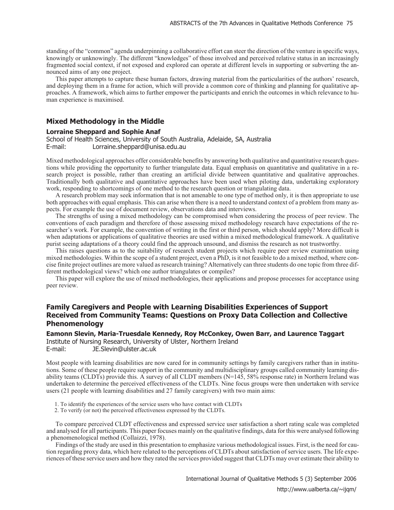standing of the "common" agenda underpinning a collaborative effort can steer the direction of the venture in specific ways, knowingly or unknowingly. The different "knowledges" of those involved and perceived relative status in an increasingly fragmented social context, if not exposed and explored can operate at different levels in supporting or subverting the announced aims of any one project.

This paper attempts to capture these human factors, drawing material from the particularities of the authors' research, and deploying them in a frame for action, which will provide a common core of thinking and planning for qualitative approaches. A framework, which aims to further empower the participants and enrich the outcomes in which relevance to human experience is maximised.

## **Mixed Methodology in the Middle**

#### **Lorraine Sheppard and Sophie Anaf**

School of Health Sciences, University of South Australia, Adelaide, SA, Australia E-mail: Lorraine.sheppard@unisa.edu.au

Mixed methodological approaches offer considerable benefits by answering both qualitative and quantitative research questions while providing the opportunity to further triangulate data. Equal emphasis on quantitative and qualitative in a research project is possible, rather than creating an artificial divide between quantitative and qualitative approaches. Traditionally both qualitative and quantitative approaches have been used when piloting data, undertaking exploratory work, responding to shortcomings of one method to the research question or triangulating data.

A research problem may seek information that is not amenable to one type of method only, it is then appropriate to use both approaches with equal emphasis. This can arise when there is a need to understand context of a problem from many aspects. For example the use of document review, observations data and interviews.

The strengths of using a mixed methodology can be compromised when considering the process of peer review. The conventions of each paradigm and therefore of those assessing mixed methodology research have expectations of the researcher's work. For example, the convention of writing in the first or third person, which should apply? More difficult is when adaptations or applications of qualitative theories are used within a mixed methodological framework. A qualitative purist seeing adaptations of a theory could find the approach unsound, and dismiss the research as not trustworthy.

This raises questions as to the suitability of research student projects which require peer review examination using mixed methodologies. Within the scope of a student project, even a PhD, is it not feasible to do a mixed method, where concise finite project outlines are more valued as research training? Alternatively can three students do one topic from three different methodological views? which one author triangulates or compiles?

This paper will explore the use of mixed methodologies, their applications and propose processes for acceptance using peer review.

# **Family Caregivers and People with Learning Disabilities Experiences of Support Received from Community Teams: Questions on Proxy Data Collection and Collective Phenomenology**

#### **Eamonn Slevin, Maria-Truesdale Kennedy, Roy McConkey, Owen Barr, and Laurence Taggart** Institute of Nursing Research, University of Ulster, Northern Ireland E-mail: JE.Slevin@ulster.ac.uk

Most people with learning disabilities are now cared for in community settings by family caregivers rather than in institutions. Some of these people require support in the community and multidisciplinary groups called community learning disability teams (CLDTs) provide this. A survey of all CLDT members (N=145, 58% response rate) in Northern Ireland was undertaken to determine the perceived effectiveness of the CLDTs. Nine focus groups were then undertaken with service users (21 people with learning disabilities and 27 family caregivers) with two main aims:

1. To identify the experiences of the service users who have contact with CLDTs

2. To verify (or not) the perceived effectiveness expressed by the CLDTs.

To compare perceived CLDT effectiveness and expressed service user satisfaction a short rating scale was completed and analysed for all participants. This paper focuses mainly on the qualitative findings, data for this were analysed following a phenomenological method (Collaizzi, 1978).

Findings of the study are used in this presentation to emphasize various methodological issues. First, is the need for caution regarding proxy data, which here related to the perceptions of CLDTs about satisfaction of service users. The life experiences of these service users and how they rated the services provided suggest that CLDTs may over estimate their ability to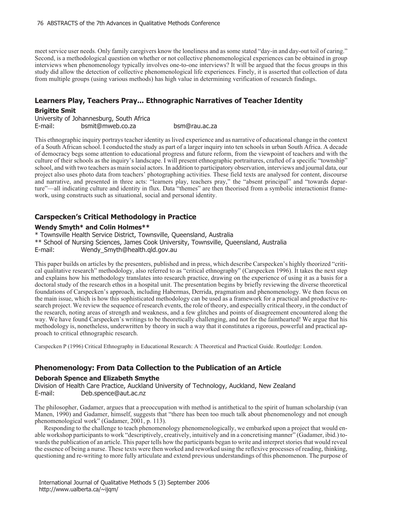meet service user needs. Only family caregivers know the loneliness and as some stated "day-in and day-out toil of caring." Second, is a methodological question on whether or not collective phenomenological experiences can be obtained in group interviews when phenomenology typically involves one-to-one interviews? It will be argued that the focus groups in this study did allow the detection of collective phenomenological life experiences. Finely, it is asserted that collection of data from multiple groups (using various methods) has high value in determining verification of research findings.

# **Learners Play, Teachers Pray... Ethnographic Narratives of Teacher Identity**

### **Brigitte Smit**

University of Johannesburg, South Africa E-mail: bsmit@mweb.co.za bsm@rau.ac.za

This ethnographic inquiry portrays teacher identity as lived experience and as narrative of educational change in the context of a South African school. I conducted the study as part of a larger inquiry into ten schools in urban South Africa. A decade of democracy begs some attention to educational progress and future reform, from the viewpoint of teachers and with the culture of their schools as the inquiry's landscape. I will present ethnographic portraitures, crafted of a specific "township" school, and with two teachers as main social actors. In addition to participatory observation, interviews and journal data, our project also uses photo data from teachers' photographing activities. These field texts are analysed for content, discourse and narrative, and presented in three acts: "learners play, teachers pray," the "absent principal" and "towards departure"—all indicating culture and identity in flux. Data "themes" are then theorised from a symbolic interactionist framework, using constructs such as situational, social and personal identity.

# **Carspecken's Critical Methodology in Practice**

#### **Wendy Smyth\* and Colin Holmes\*\***

\* Townsville Health Service District, Townsville, Queensland, Australia \*\* School of Nursing Sciences, James Cook University, Townsville, Queensland, Australia E-mail: Wendy\_Smyth@health.qld.gov.au

This paper builds on articles by the presenters, published and in press, which describe Carspecken's highly theorized "critical qualitative research" methodology, also referred to as "critical ethnography" (Carspecken 1996). It takes the next step and explains how his methodology translates into research practice, drawing on the experience of using it as a basis for a doctoral study of the research ethos in a hospital unit. The presentation begins by briefly reviewing the diverse theoretical foundations of Carspecken's approach, including Habermas, Derrida, pragmatism and phenomenology. We then focus on the main issue, which is how this sophisticated methodology can be used as a framework for a practical and productive research project. We review the sequence of research events, the role of theory, and especially critical theory, in the conduct of the research, noting areas of strength and weakness, and a few glitches and points of disagreement encountered along the way. We have found Carspecken's writings to be theoretically challenging, and not for the fainthearted! We argue that his methodology is, nonetheless, underwritten by theory in such a way that it constitutes a rigorous, powerful and practical approach to critical ethnographic research.

Carspecken P (1996) Critical Ethnography in Educational Research: A Theoretical and Practical Guide. Routledge: London.

## **Phenomenology: From Data Collection to the Publication of an Article**

### **Deborah Spence and Elizabeth Smythe**

Division of Health Care Practice, Auckland University of Technology, Auckland, New Zealand E-mail: Deb.spence@aut.ac.nz

The philosopher, Gadamer, argues that a preoccupation with method is antithetical to the spirit of human scholarship (van Manen, 1990) and Gadamer, himself, suggests that "there has been too much talk about phenomenology and not enough phenomenological work" (Gadamer, 2001, p. 113).

Responding to the challenge to teach phenomenology phenomenologically, we embarked upon a project that would enable workshop participants to work "descriptively, creatively, intuitively and in a concretising manner" (Gadamer, ibid.) towards the publication of an article. This paper tells how the participants began to write and interpret stories that would reveal the essence of being a nurse. These texts were then worked and reworked using the reflexive processes of reading, thinking, questioning and re-writing to more fully articulate and extend previous understandings of this phenomenon. The purpose of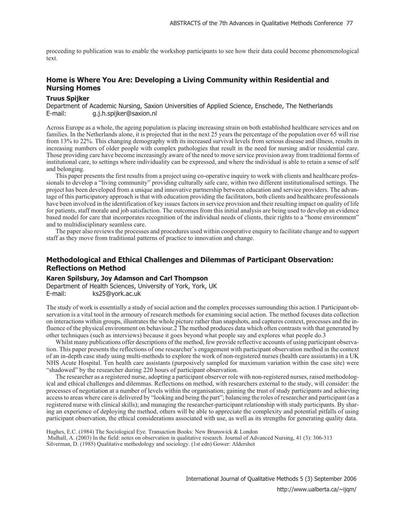proceeding to publication was to enable the workshop participants to see how their data could become phenomenological text.

# **Home is Where You Are: Developing a Living Community within Residential and Nursing Homes**

#### **Truus Spijker**

Department of Academic Nursing, Saxion Universities of Applied Science, Enschede, The Netherlands E-mail: g.j.h.spijker@saxion.nl

Across Europe as a whole, the ageing population is placing increasing strain on both established healthcare services and on families. In the Netherlands alone, it is projected that in the next 25 years the percentage of the population over 65 will rise from 13% to 22%. This changing demography with its increased survival levels from serious disease and illness, results in increasing numbers of older people with complex pathologies that result in the need for nursing and/or residential care. Those providing care have become increasingly aware of the need to move service provision away from traditional forms of institutional care, to settings where individuality can be expressed, and where the individual is able to retain a sense of self and belonging.

This paper presents the first results from a project using co-operative inquiry to work with clients and healthcare professionals to develop a "living community" providing culturally safe care, within two different institutionalised settings. The project has been developed from a unique and innovative partnership between education and service providers. The advantage of this participatory approach is that with education providing the facilitators, both clients and healthcare professionals have been involved in the identification of key issues factors in service provision and their resulting impact on quality of life for patients, staff morale and job satisfaction. The outcomes from this initial analysis are being used to develop an evidence based model for care that incorporates recognition of the individual needs of clients, their rights to a "home environment" and to multidisciplinary seamless care.

The paper also reviews the processes and procedures used within cooperative enquiry to facilitate change and to support staff as they move from traditional patterns of practice to innovation and change.

## **Methodological and Ethical Challenges and Dilemmas of Participant Observation: Reflections on Method**

#### **Karen Spilsbury, Joy Adamson and Carl Thompson**

Department of Health Sciences, University of York, York, UK E-mail: ks25@york.ac.uk

The study of work is essentially a study of social action and the complex processes surrounding this action.1 Participant observation is a vital tool in the armoury of research methods for examining social action. The method focuses data collection on interactions within groups, illustrates the whole picture rather than snapshots, and captures context, processes and the influence of the physical environment on behaviour.2 The method produces data which often contrasts with that generated by other techniques (such as interviews) because it goes beyond what people say and explores what people do.3

Whilst many publications offer descriptions of the method, few provide reflective accounts of using participant observation. This paper presents the reflections of one researcher's engagement with participant observation method in the context of an in-depth case study using multi-methods to explore the work of non-registered nurses (health care assistants) in a UK NHS Acute Hospital. Ten health care assistants (purposively sampled for maximum variation within the case site) were "shadowed" by the researcher during 220 hours of participant observation.

The researcher as a registered nurse, adopting a participant observer role with non-registered nurses, raised methodological and ethical challenges and dilemmas. Reflections on method, with researchers external to the study, will consider: the processes of negotiation at a number of levels within the organisation; gaining the trust of study participants and achieving access to areas where care is delivered by "looking and being the part"; balancing the roles of researcher and participant (as a registered nurse with clinical skills); and managing the researcher-participant relationship with study participants. By sharing an experience of deploying the method, others will be able to appreciate the complexity and potential pitfalls of using participant observation, the ethical considerations associated with use, as well as its strengths for generating quality data.

Hughes, E.C. (1984) The Sociological Eye. Transaction Books: New Brunswick & London

Mulhall, A. (2003) In the field: notes on observation in qualitative research. Journal of Advanced Nursing, 41 (3): 306-313 Silverman, D. (1985) Qualitative methodology and sociology. (1st edn) Gower: Aldershot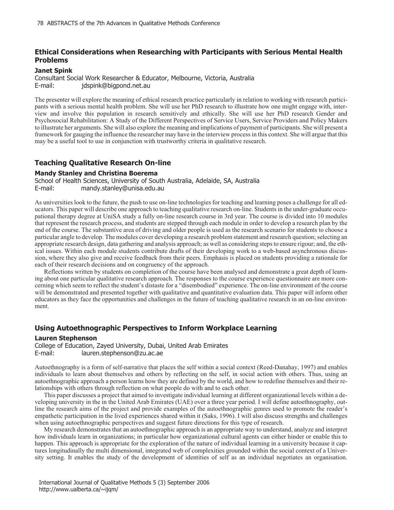# **Ethical Considerations when Researching with Participants with Serious Mental Health Problems**

#### **Janet Spink**

Consultant Social Work Researcher & Educator, Melbourne, Victoria, Australia E-mail: jdspink@bigpond.net.au

The presenter will explore the meaning of ethical research practice particularly in relation to working with research participants with a serious mental health problem. She will use her PhD research to illustrate how one might engage with, interview and involve this population in research sensitively and ethically. She will use her PhD research Gender and Psychosocial Rehabilitation: A Study of the Different Perspectives of Service Users, Service Providers and Policy Makers to illustrate her arguments. She will also explore the meaning and implications of payment of participants. She will present a framework for gauging the influence the researcher may have in the interview process in this context. She will argue that this may be a useful tool to use in conjunction with trustworthy criteria in qualitative research.

## **Teaching Qualitative Research On-line**

#### **Mandy Stanley and Christina Boerema**

School of Health Sciences, University of South Australia, Adelaide, SA, Australia E-mail: mandy.stanley@unisa.edu.au

As universities look to the future, the push to use on-line technologies for teaching and learning poses a challenge for all educators. This paper will describe one approach to teaching qualitative research on-line. Students in the under-graduate occupational therapy degree at UniSA study a fully on-line research course in 3rd year. The course is divided into 10 modules that represent the research process, and students are stepped through each module in order to develop a research plan by the end of the course. The substantive area of driving and older people is used as the research scenario for students to choose a particular angle to develop. The modules cover developing a research problem statement and research question; selecting an appropriate research design, data gathering and analysis approach; as well as considering steps to ensure rigour; and, the ethical issues. Within each module students contribute drafts of their developing work to a web-based asynchronous discussion, where they also give and receive feedback from their peers. Emphasis is placed on students providing a rationale for each of their research decisions and on congruency of the approach.

Reflections written by students on completion of the course have been analysed and demonstrate a great depth of learning about one particular qualitative research approach. The responses to the course experience questionnaire are more concerning which seem to reflect the student's distaste for a "disembodied" experience. The on-line environment of the course will be demonstrated and presented together with qualitative and quantitative evaluation data. This paper will inform other educators as they face the opportunities and challenges in the future of teaching qualitative research in an on-line environment.

### **Using Autoethnographic Perspectives to Inform Workplace Learning**

#### **Lauren Stephenson**

College of Education, Zayed University, Dubai, United Arab Emirates E-mail: lauren.stephenson@zu.ac.ae

Autoethnography is a form of self-narrative that places the self within a social context (Reed-Danahay, 1997) and enables individuals to learn about themselves and others by reflecting on the self, in social action with others. Thus, using an autoethnographic approach a person learns how they are defined by the world, and how to redefine themselves and their relationships with others through reflection on what people do with and to each other.

This paper discusses a project that aimed to investigate individual learning at different organizational levels within a developing university in the in the United Arab Emirates (UAE) over a three year period. I will define autoethnography, outline the research aims of the project and provide examples of the autoethnographic genres used to promote the reader's empathetic participation in the lived experiences shared within it (Saks, 1996). I will also discuss strengths and challenges when using autoethnographic perspectives and suggest future directions for this type of research.

My research demonstrates that an autoethnographic approach is an appropriate way to understand, analyze and interpret how individuals learn in organizations; in particular how organizational cultural agents can either hinder or enable this to happen. This approach is appropriate for the exploration of the nature of individual learning in a university because it captures longitudinally the multi dimensional, integrated web of complexities grounded within the social context of a University setting. It enables the study of the development of identities of self as an individual negotiates an organisation.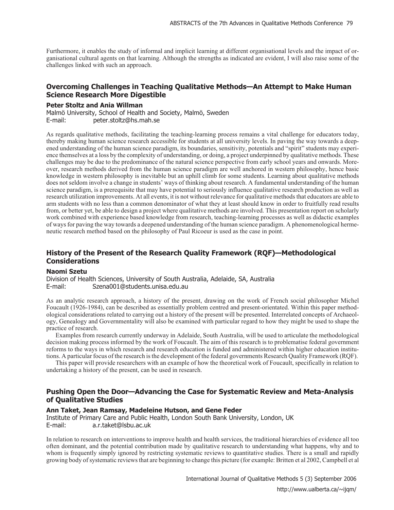Furthermore, it enables the study of informal and implicit learning at different organisational levels and the impact of organisational cultural agents on that learning. Although the strengths as indicated are evident, I will also raise some of the challenges linked with such an approach.

# **Overcoming Challenges in Teaching Qualitative Methods—An Attempt to Make Human Science Research More Digestible**

### **Peter Stoltz and Ania Willman**

Malmö University, School of Health and Society, Malmö, Sweden E-mail: peter.stoltz@hs.mah.se

As regards qualitative methods, facilitating the teaching-learning process remains a vital challenge for educators today, thereby making human science research accessible for students at all university levels. In paving the way towards a deepened understanding of the human science paradigm, its boundaries, sensitivity, potentials and "spirit" students may experience themselves at a loss by the complexity of understanding, or doing, a project underpinned by qualitative methods. These challenges may be due to the predominance of the natural science perspective from early school years and onwards. Moreover, research methods derived from the human science paradigm are well anchored in western philosophy, hence basic knowledge in western philosophy is inevitable but an uphill climb for some students. Learning about qualitative methods does not seldom involve a change in students' ways of thinking about research. A fundamental understanding of the human science paradigm, is a prerequisite that may have potential to seriously influence qualitative research production as well as research utilization improvements. At all events, it is not without relevance for qualitative methods that educators are able to arm students with no less than a common denominator of what they at least should know in order to fruitfully read results from, or better yet, be able to design a project where qualitative methods are involved. This presentation report on scholarly work combined with experience based knowledge from research, teaching-learning processes as well as didactic examples of ways for paving the way towards a deepened understanding of the human science paradigm. A phenomenological hermeneutic research method based on the philosophy of Paul Ricoeur is used as the case in point.

# **History of the Present of the Research Quality Framework (RQF)—Methodological Considerations**

#### **Naomi Szetu**

Division of Health Sciences, University of South Australia, Adelaide, SA, Australia Szena001@students.unisa.edu.au

As an analytic research approach, a history of the present, drawing on the work of French social philosopher Michel Foucault (1926-1984), can be described as essentially problem centred and present-orientated. Within this paper methodological considerations related to carrying out a history of the present will be presented. Interrelated concepts of Archaeology, Genealogy and Governmentality will also be examined with particular regard to how they might be used to shape the practice of research.

Examples from research currently underway in Adelaide, South Australia, will be used to articulate the methodological decision making process informed by the work of Foucault. The aim of this research is to problematise federal government reforms to the ways in which research and research education is funded and administered within higher education institutions. A particular focus of the research is the development of the federal governments Research Quality Framework (RQF).

This paper will provide researchers with an example of how the theoretical work of Foucault, specifically in relation to undertaking a history of the present, can be used in research.

## **Pushing Open the Door—Advancing the Case for Systematic Review and Meta-Analysis of Qualitative Studies**

#### **Ann Taket, Jean Ramsay, Madeleine Hutson, and Gene Feder**

Institute of Primary Care and Public Health, London South Bank University, London, UK E-mail: a.r.taket@lsbu.ac.uk

In relation to research on interventions to improve health and health services, the traditional hierarchies of evidence all too often dominant, and the potential contribution made by qualitative research to understanding what happens, why and to whom is frequently simply ignored by restricting systematic reviews to quantitative studies. There is a small and rapidly growing body of systematic reviews that are beginning to change this picture (for example: Britten et al 2002, Campbell et al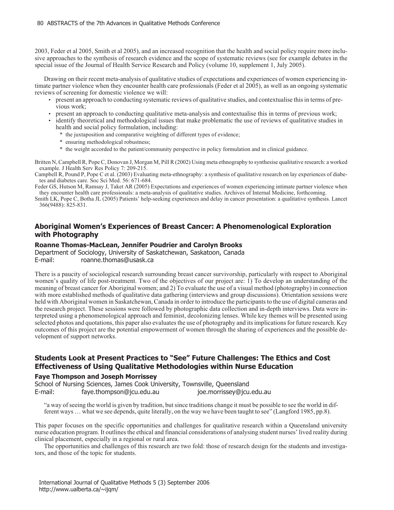2003, Feder et al 2005, Smith et al 2005), and an increased recognition that the health and social policy require more inclusive approaches to the synthesis of research evidence and the scope of systematic reviews (see for example debates in the special issue of the Journal of Health Service Research and Policy (volume 10, supplement 1, July 2005).

Drawing on their recent meta-analysis of qualitative studies of expectations and experiences of women experiencing intimate partner violence when they encounter health care professionals (Feder et al 2005), as well as an ongoing systematic reviews of screening for domestic violence we will:

- present an approach to conducting systematic reviews of qualitative studies, and contextualise this in terms of previous work;
- present an approach to conducting qualitative meta-analysis and contextualise this in terms of previous work;
- identify theoretical and methodological issues that make problematic the use of reviews of qualitative studies in health and social policy formulation, including:

the juxtaposition and comparative weighting of different types of evidence; ensuring methodological robustness;

the weight accorded to the patient/community perspective in policy formulation and in clinical guidance.

Britten N, Campbell R, Pope C, Donovan J, Morgan M, Pill R (2002) Using meta ethnography to synthesise qualitative research: a worked example. J Health Serv Res Policy 7: 209-215.

Campbell R, Pound P, Pope C et al. (2003) Evaluating meta-ethnography: a synthesis of qualitative research on lay experiences of diabetes and diabetes care. Soc Sci Med. 56: 671-684.

Feder GS, Hutson M, Ramsay J, Taket AR (2005) Expectations and experiences of women experiencing intimate partner violence when they encounter health care professionals: a meta-analysis of qualitative studies. Archives of Internal Medicine, forthcoming.

Smith LK, Pope C, Botha JL (2005) Patients' help-seeking experiences and delay in cancer presentation: a qualitative synthesis. Lancet 366(9488): 825-831.

## **Aboriginal Women's Experiences of Breast Cancer: A Phenomenological Exploration with Photography**

#### **Roanne Thomas-MacLean, Jennifer Poudrier and Carolyn Brooks**

Department of Sociology, University of Saskatchewan, Saskatoon, Canada E-mail: roanne.thomas@usask.ca

There is a paucity of sociological research surrounding breast cancer survivorship, particularly with respect to Aboriginal women's quality of life post-treatment. Two of the objectives of our project are: 1) To develop an understanding of the meaning of breast cancer for Aboriginal women; and 2) To evaluate the use of a visual method (photography) in connection with more established methods of qualitative data gathering (interviews and group discussions). Orientation sessions were held with Aboriginal women in Saskatchewan, Canada in order to introduce the participants to the use of digital cameras and the research project. These sessions were followed by photographic data collection and in-depth interviews. Data were interpreted using a phenomenological approach and feminist, decolonizing lenses. While key themes will be presented using selected photos and quotations, this paper also evaluates the use of photography and its implications for future research. Key outcomes of this project are the potential empowerment of women through the sharing of experiences and the possible development of support networks.

# **Students Look at Present Practices to "See" Future Challenges: The Ethics and Cost Effectiveness of Using Qualitative Methodologies within Nurse Education**

### **Faye Thompson and Joseph Morrissey**

School of Nursing Sciences, James Cook University, Townsville, Queensland E-mail: faye.thompson@jcu.edu.au joe.morrissey@jcu.edu.au

"a way of seeing the world is given by tradition, but since traditions change it must be possible to see the world in different ways ... what we see depends, quite literally, on the way we have been taught to see" (Langfor

This paper focuses on the specific opportunities and challenges for qualitative research within a Queensland university nurse education program. It outlines the ethical and financial considerations of analysing student nurses' lived reality during clinical placement, especially in a regional or rural area.

The opportunities and challenges of this research are two fold: those of research design for the students and investigators, and those of the topic for students.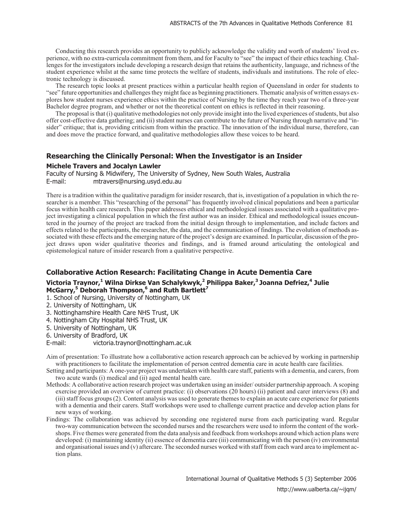Conducting this research provides an opportunity to publicly acknowledge the validity and worth of students' lived experience, with no extra-curricula commitment from them, and for Faculty to "see" the impact of their ethics teaching. Challenges for the investigators include developing a research design that retains the authenticity, language, and richness of the student experience whilst at the same time protects the welfare of students, individuals and institutions. The role of electronic technology is discussed.

The research topic looks at present practices within a particular health region of Queensland in order for students to "see" future opportunities and challenges they might face as beginning practitioners. Thematic analysis of written essays explores how student nurses experience ethics within the practice of Nursing by the time they reach year two of a three-year Bachelor degree program, and whether or not the theoretical content on ethics is reflected in their reasoning.

The proposal is that (i) qualitative methodologies not only provide insight into the lived experiences of students, but also offer cost-effective data gathering; and (ii) student nurses can contribute to the future of Nursing through narrative and "insider" critique; that is, providing criticism from within the practice. The innovation of the individual nurse, therefore, can and does move the practice forward, and qualitative methodologies allow these voices to be heard.

# **Researching the Clinically Personal: When the Investigator is an Insider**

## **Michele Travers and Jocalyn Lawler**

Faculty of Nursing & Midwifery, The University of Sydney, New South Wales, Australia E-mail: mtravers@nursing.usyd.edu.au

There is a tradition within the qualitative paradigm for insider research, that is, investigation of a population in which the researcher is a member. This "researching of the personal" has frequently involved clinical populations and been a particular focus within health care research. This paper addresses ethical and methodological issues associated with a qualitative project investigating a clinical population in which the first author was an insider. Ethical and methodological issues encountered in the journey of the project are tracked from the initial design through to implementation, and include factors and effects related to the participants, the researcher, the data, and the communication of findings. The evolution of methods associated with these effects and the emerging nature of the project's design are examined. In particular, discussion of the project draws upon wider qualitative theories and findings, and is framed around articulating the ontological and epistemological nature of insider research from a qualitative perspective.

# **Collaborative Action Research: Facilitating Change in Acute Dementia Care**

## **Victoria Traynor,<sup>1</sup> Wilna Dirkse Van Schalykwyk,<sup>2</sup> Philippa Baker,<sup>3</sup> Joanna Defriez,<sup>4</sup> Julie McGarry,<sup>5</sup> Deborah Thompson,<sup>6</sup> and Ruth Bartlett<sup>7</sup>**

1. School of Nursing, University of Nottingham, UK

2. University of Nottingham, UK

3. Nottinghamshire Health Care NHS Trust, UK

4. Nottingham City Hospital NHS Trust, UK

5. University of Nottingham, UK

6. University of Bradford, UK

E-mail: victoria.traynor@nottingham.ac.uk

Aim of presentation: To illustrate how a collaborative action research approach can be achieved by working in partnership with practitioners to facilitate the implementation of person centred dementia care in acute health care facilities.

Setting and participants: A one-year project was undertaken with health care staff, patients with a dementia, and carers, from two acute wards (i) medical and (ii) aged mental health care.

- Methods: A collaborative action research project was undertaken using an insider/ outsider partnership approach. A scoping exercise provided an overview of current practice: (i) observations (20 hours) (ii) patient and carer interviews (8) and (iii) staff focus groups (2). Content analysis was used to generate themes to explain an acute care experience for patients with a dementia and their carers. Staff workshops were used to challenge current practice and develop action plans for new ways of working.
- Findings: The collaboration was achieved by seconding one registered nurse from each participating ward. Regular two-way communication between the seconded nurses and the researchers were used to inform the content of the workshops. Five themes were generated from the data analysis and feedback from workshops around which action plans were developed: (i) maintaining identity (ii) essence of dementia care (iii) communicating with the person (iv) environmental and organisational issues and (v) aftercare. The seconded nurses worked with staff from each ward area to implement action plans.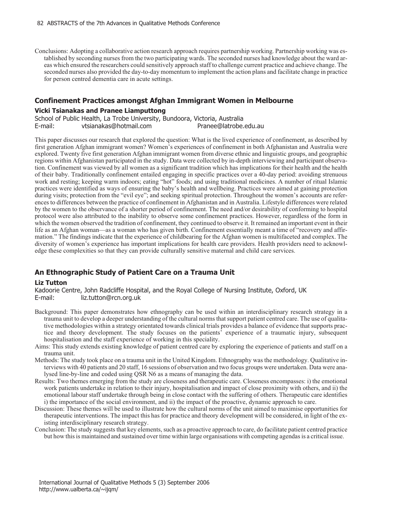Conclusions: Adopting a collaborative action research approach requires partnership working. Partnership working was established by seconding nurses from the two participating wards. The seconded nurses had knowledge about the ward areas which ensured the researchers could sensitively approach staff to challenge current practice and achieve change. The seconded nurses also provided the day-to-day momentum to implement the action plans and facilitate change in practice for person centred dementia care in acute settings.

# **Confinement Practices amongst Afghan Immigrant Women in Melbourne**

### **Vicki Tsianakas and Pranee Liamputtong**

School of Public Health, La Trobe University, Bundoora, Victoria, Australia E-mail: vtsianakas@hotmail.com Pranee@latrobe.edu.au

This paper discusses our research that explored the question: What is the lived experience of confinement, as described by first generation Afghan immigrant women? Women's experiences of confinement in both Afghanistan and Australia were explored. Twenty five first generation Afghan immigrant women from diverse ethnic and linguistic groups, and geographic regions within Afghanistan participated in the study. Data were collected by in-depth interviewing and participant observation. Confinement was viewed by all women as a significant tradition which has implications for their health and the health of their baby. Traditionally confinement entailed engaging in specific practices over a 40-day period: avoiding strenuous work and resting; keeping warm indoors; eating "hot" foods; and using traditional medicines. A number of ritual Islamic practices were identified as ways of ensuring the baby's health and wellbeing. Practices were aimed at gaining protection during visits; protection from the "evil eye"; and seeking spiritual protection. Throughout the women's accounts are references to differences between the practice of confinement in Afghanistan and in Australia. Lifestyle differences were related by the women to the observance of a shorter period of confinement. The need and/or desirability of conforming to hospital protocol were also attributed to the inability to observe some confinement practices. However, regardless of the form in which the women observed the tradition of confinement, they continued to observe it. It remained an important event in their life as an Afghan woman—as a woman who has given birth. Confinement essentially meant a time of "recovery and affirmation." The findings indicate that the experience of childbearing for the Afghan women is multifaceted and complex. The diversity of women's experience has important implications for health care providers. Health providers need to acknowledge these complexities so that they can provide culturally sensitive maternal and child care services.

# **An Ethnographic Study of Patient Care on a Trauma Unit**

### **Liz Tutton**

Kadoorie Centre, John Radcliffe Hospital, and the Royal College of Nursing Institute, Oxford, UK E-mail: liz.tutton@rcn.org.uk

- Background: This paper demonstrates how ethnography can be used within an interdisciplinary research strategy in a trauma unit to develop a deeper understanding of the cultural norms that support patient centred care. The use of qualitative methodologies within a strategy orientated towards clinical trials provides a balance of evidence that supports practice and theory development. The study focuses on the patients' experience of a traumatic injury, subsequent hospitalisation and the staff experience of working in this speciality.
- Aims: This study extends existing knowledge of patient centred care by exploring the experience of patients and staff on a trauma unit.
- Methods: The study took place on a trauma unit in the United Kingdom. Ethnography was the methodology. Qualitative interviews with 40 patients and 20 staff, 16 sessions of observation and two focus groups were undertaken. Data were analysed line-by-line and coded using QSR N6 as a means of managing the data.
- Results: Two themes emerging from the study are closeness and therapeutic care. Closeness encompasses: i) the emotional work patients undertake in relation to their injury, hospitalisation and impact of close proximity with others, and ii) the emotional labour staff undertake through being in close contact with the suffering of others. Therapeutic care identifies i) the importance of the social environment, and ii) the impact of the proactive, dynamic approach to care.
- Discussion: These themes will be used to illustrate how the cultural norms of the unit aimed to maximise opportunities for therapeutic interventions. The impact this has for practice and theory development will be considered, in light of the existing interdisciplinary research strategy.
- Conclusion: The study suggests that key elements, such as a proactive approach to care, do facilitate patient centred practice but how this is maintained and sustained over time within large organisations with competing agendas is a critical issue.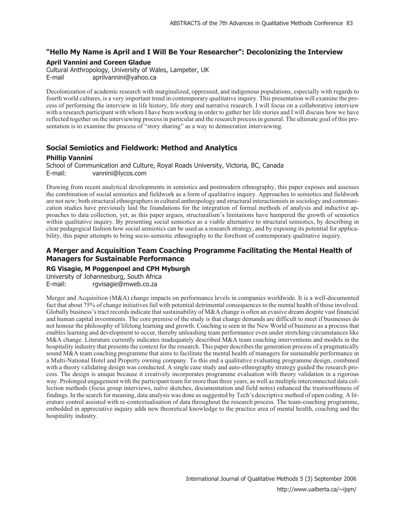# **"Hello My Name is April and I Will Be Your Researcher": Decolonizing the Interview**

### **April Vannini and Coreen Gladue**

Cultural Anthropology, University of Wales, Lampeter, UK E-mail aprilvannini@yahoo.ca

Decolonization of academic research with marginalized, oppressed, and indigenous populations, especially with regards to fourth world cultures, is a very important trend in contemporary qualitative inquiry. This presentation will examine the process of performing the interview in life history, life story and narrative research. I will focus on a collaborative interview with a research participant with whom I have been working in order to gather her life stories and I will discuss how we have reflected together on the interviewing process in particular and the research process in general. The ultimate goal of this presentation is to examine the process of "story sharing" as a way to democratize interviewing.

# **Social Semiotics and Fieldwork: Method and Analytics**

## **Phillip Vannini**

School of Communication and Culture, Royal Roads University, Victoria, BC, Canada E-mail: vannini@lycos.com

Drawing from recent analytical developments in semiotics and postmodern ethnography, this paper exposes and assesses the combination of social semiotics and fieldwork as a form of qualitative inquiry. Approaches to semiotics and fieldwork are not new; both structural ethnographers in cultural anthropology and structural interactionists in sociology and communication studies have previously laid the foundations for the integration of formal methods of analysis and inductive approaches to data collection, yet, as this paper argues, structuralism's limitations have hampered the growth of semiotics within qualitative inquiry. By presenting social semiotics as a viable alternative to structural semiotics, by describing in clear pedagogical fashion how social semiotics can be used as a research strategy, and by exposing its potential for applicability, this paper attempts to bring socio-semiotic ethnography to the forefront of contemporary qualitative inquiry.

# **A Merger and Acquisition Team Coaching Programme Facilitating the Mental Health of Managers for Sustainable Performance**

## **RG Visagie, M Poggenpoel and CPH Myburgh**

University of Johannesburg, South Africa E-mail: rgvisagie@mweb.co.za

Merger and Acquisition (M&A) change impacts on performance levels in companies worldwide. It is a well-documented fact that about 75% of change initiatives fail with potential detrimental consequences to the mental health of those involved. Globally business's tract records indicate that sustainability of M&A change is often an evasive dream despite vast financial and human capital investments. The core premise of the study is that change demands are difficult to meet if businesses do not honour the philosophy of lifelong learning and growth. Coaching is seen in the New World of business as a process that enables learning and development to occur, thereby unleashing team performance even under stretching circumstances like M&A change. Literature currently indicates inadequately described M&A team coaching interventions and models in the hospitality industry that presents the context for the research. This paper describes the generation process of a pragmatically sound M&A team coaching programme that aims to facilitate the mental health of managers for sustainable performance in a Multi-National Hotel and Property owning company. To this end a qualitative evaluating programme design, combined with a theory validating design was conducted. A single case study and auto-ethnography strategy guided the research process. The design is unique because it creatively incorporates programme evaluation with theory validation in a rigorous way. Prolonged engagement with the participant team for more than three years, as well as multiple interconnected data collection methods (focus group interviews, naïve sketches, documentation and field notes) enhanced the trustworthiness of findings. In the search for meaning, data analysis was done as suggested by Tech's descriptive method of open coding. A literature control assisted with re-contextualisation of data throughout the research process. The team-coaching programme, embedded in appreciative inquiry adds new theoretical knowledge to the practice area of mental health, coaching and the hospitality industry.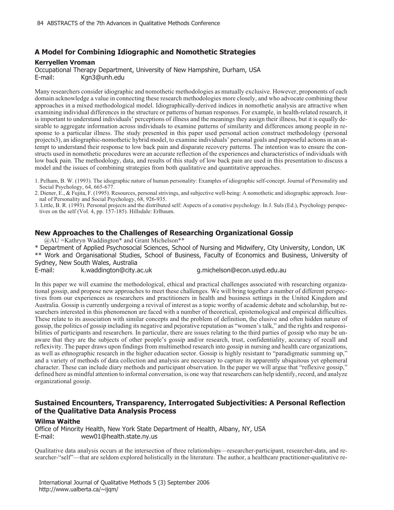# **A Model for Combining Idiographic and Nomothetic Strategies**

### **Kerryellen Vroman**

Occupational Therapy Department, University of New Hampshire, Durham, USA E-mail: Kgn3@unh.edu

Many researchers consider idiographic and nomothetic methodologies as mutually exclusive. However, proponents of each domain acknowledge a value in connecting these research methodologies more closely, and who advocate combining these approaches in a mixed methodological model. Idiographically-derived indices in nomothetic analysis are attractive when examining individual differences in the structure or patterns of human responses. For example, in health-related research, it is important to understand individuals' perceptions of illness and the meanings they assign their illness, but it is equally desirable to aggregate information across individuals to examine patterns of similarity and differences among people in response to a particular illness. The study presented in this paper used personal action construct methodology (personal projects3), an idiographic-nomothetic hybrid model, to examine individuals' personal goals and purposeful actions in an attempt to understand their response to low back pain and disparate recovery patterns. The intention was to ensure the constructs used in nomothetic procedures were an accurate reflection of the experiences and characteristics of individuals with low back pain. The methodology, data, and results of this study of low back pain are used in this presentation to discuss a model and the issues of combining strategies from both qualitative and quantitative approaches.

1. Pelham, B. W. (1993). The idiographic nature of human personality: Examples of idiographic self-concept. Journal of Personality and Social Psychology, 64, 665-677.

2. Diener, E., & Fujita, F. (1995). Resources, personal strivings, and subjective well-being: A nomothetic and idiographic approach. Journal of Personality and Social Psychology, 68, 926-935.

3. Little, B. R. (1993). Personal projects and the distributed self: Aspects of a conative psychology. In J. Suls (Ed.), Psychology perspectives on the self (Vol. 4, pp. 157-185). Hillsdale: Erlbaum.

# **New Approaches to the Challenges of Researching Organizational Gossip**

@AU =Kathryn Waddington\* and Grant Michelson\*\*

\* Department of Applied Psychosocial Sciences, School of Nursing and Midwifery, City University, London, UK \*\* Work and Organisational Studies, School of Business, Faculty of Economics and Business, University of Sydney, New South Wales, Australia

E-mail: k.waddington@city.ac.uk g.michelson@econ.usyd.edu.au

In this paper we will examine the methodological, ethical and practical challenges associated with researching organizational gossip, and propose new approaches to meet these challenges. We will bring together a number of different perspectives from our experiences as researchers and practitioners in health and business settings in the United Kingdom and Australia. Gossip is currently undergoing a revival of interest as a topic worthy of academic debate and scholarship, but researchers interested in this phenomenon are faced with a number of theoretical, epistemological and empirical difficulties. These relate to its association with similar concepts and the problem of definition, the elusive and often hidden nature of gossip, the politics of gossip including its negative and pejorative reputation as "women's talk," and the rights and responsibilities of participants and researchers. In particular, there are issues relating to the third parties of gossip who may be unaware that they are the subjects of other people's gossip and/or research, trust, confidentiality, accuracy of recall and reflexivity. The paper draws upon findings from multimethod research into gossip in nursing and health care organizations, as well as ethnographic research in the higher education sector. Gossip is highly resistant to "paradigmatic summing up," and a variety of methods of data collection and analysis are necessary to capture its apparently ubiquitous yet ephemeral character. These can include diary methods and participant observation. In the paper we will argue that "reflexive gossip," defined here as mindful attention to informal conversation, is one way that researchers can help identify, record, and analyze organizational gossip.

# **Sustained Encounters, Transparency, Interrogated Subjectivities: A Personal Reflection of the Qualitative Data Analysis Process**

## **Wilma Waithe**

Office of Minority Health, New York State Department of Health, Albany, NY, USA E-mail: wew01@health.state.ny.us

Qualitative data analysis occurs at the intersection of three relationships—researcher-participant, researcher-data, and researcher-"self"—that are seldom explored holistically in the literature. The author, a healthcare practitioner-qualitative re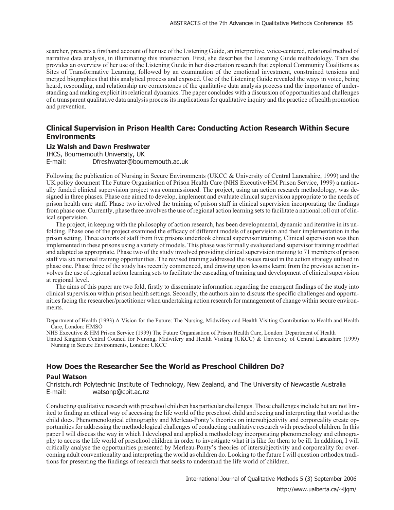searcher, presents a firsthand account of her use of the Listening Guide, an interpretive, voice-centered, relational method of narrative data analysis, in illuminating this intersection. First, she describes the Listening Guide methodology. Then she provides an overview of her use of the Listening Guide in her dissertation research that explored Community Coalitions as Sites of Transformative Learning, followed by an examination of the emotional investment, constrained tensions and merged biographies that this analytical process and exposed. Use of the Listening Guide revealed the ways in voice, being heard, responding, and relationship are cornerstones of the qualitative data analysis process and the importance of understanding and making explicit its relational dynamics. The paper concludes with a discussion of opportunities and challenges of a transparent qualitative data analysis process its implications for qualitative inquiry and the practice of health promotion and prevention.

## **Clinical Supervision in Prison Health Care: Conducting Action Research Within Secure Environments**

#### **Liz Walsh and Dawn Freshwater**

IHCS, Bournemouth University, UK E-mail: Dfreshwater@bournemouth.ac.uk

Following the publication of Nursing in Secure Environments (UKCC & University of Central Lancashire, 1999) and the UK policy document The Future Organisation of Prison Health Care (NHS Executive/HM Prison Service, 1999) a nationally funded clinical supervision project was commissioned. The project, using an action research methodology, was designed in three phases. Phase one aimed to develop, implement and evaluate clinical supervision appropriate to the needs of prison health care staff. Phase two involved the training of prison staff in clinical supervision incorporating the findings from phase one. Currently, phase three involves the use of regional action learning sets to facilitate a national roll out of clinical supervision.

The project, in keeping with the philosophy of action research, has been developmental, dynamic and iterative in its unfolding. Phase one of the project examined the efficacy of different models of supervision and their implementation in the prison setting. Three cohorts of staff from five prisons undertook clinical supervisor training. Clinical supervision was then implemented in these prisons using a variety of models. This phase was formally evaluated and supervisor training modified and adapted as appropriate. Phase two of the study involved providing clinical supervision training to 71 members of prison staff via six national training opportunities. The revised training addressed the issues raised in the action strategy utilised in phase one. Phase three of the study has recently commenced, and drawing upon lessons learnt from the previous action involves the use of regional action learning sets to facilitate the cascading of training and development of clinical supervision at regional level.

The aims of this paper are two fold, firstly to disseminate information regarding the emergent findings of the study into clinical supervision within prison health settings. Secondly, the authors aim to discuss the specific challenges and opportunities facing the researcher/practitioner when undertaking action research for management of change within secure environments.

Department of Health (1993) A Vision for the Future: The Nursing, Midwifery and Health Visiting Contribution to Health and Health Care, London: HMSO

NHS Executive & HM Prison Service (1999) The Future Organisation of Prison Health Care, London: Department of Health

United Kingdom Central Council for Nursing, Midwifery and Health Visiting (UKCC) & University of Central Lancashire (1999) Nursing in Secure Environments, London: UKCC

## **How Does the Researcher See the World as Preschool Children Do?**

#### **Paul Watson**

Christchurch Polytechnic Institute of Technology, New Zealand, and The University of Newcastle Australia E-mail: watsonp@cpit.ac.nz

Conducting qualitative research with preschool children has particular challenges. Those challenges include but are not limited to finding an ethical way of accessing the life world of the preschool child and seeing and interpreting that world as the child does. Phenomenological ethnography and Merleau-Ponty's theories on intersubjectivity and corporeality create opportunities for addressing the methodological challenges of conducting qualitative research with preschool children. In this paper I will discuss the way in which I developed and applied a methodology incorporating phenomenology and ethnography to access the life world of preschool children in order to investigate what it is like for them to be ill. In addition, I will critically analyse the opportunities presented by Merleau-Ponty's theories of intersubjectivity and corporeality for overcoming adult conventionality and interpreting the world as children do. Looking to the future I will question orthodox traditions for presenting the findings of research that seeks to understand the life world of children.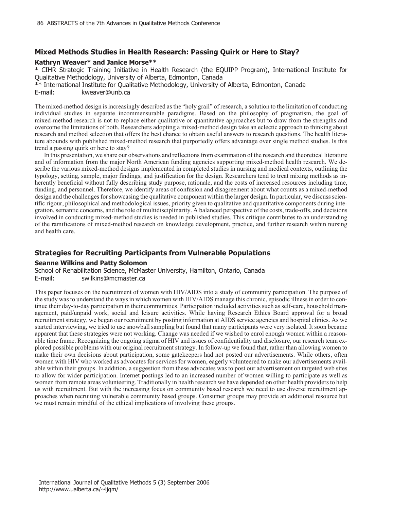## **Mixed Methods Studies in Health Research: Passing Quirk or Here to Stay?**

#### **Kathryn Weaver\* and Janice Morse\*\***

\* CIHR Strategic Training Initiative in Health Research (the EQUIPP Program), International Institute for Qualitative Methodology, University of Alberta, Edmonton, Canada

\*\* International Institute for Qualitative Methodology, University of Alberta, Edmonton, Canada E-mail: kweaver@unb.ca

The mixed-method design is increasingly described as the "holy grail" of research, a solution to the limitation of conducting individual studies in separate incommensurable paradigms. Based on the philosophy of pragmatism, the goal of mixed-method research is not to replace either qualitative or quantitative approaches but to draw from the strengths and overcome the limitations of both. Researchers adopting a mixed-method design take an eclectic approach to thinking about research and method selection that offers the best chance to obtain useful answers to research questions. The health literature abounds with published mixed-method research that purportedly offers advantage over single method studies. Is this trend a passing quirk or here to stay?

In this presentation, we share our observations and reflections from examination of the research and theoretical literature and of information from the major North American funding agencies supporting mixed-method health research. We describe the various mixed-method designs implemented in completed studies in nursing and medical contexts, outlining the typology, setting, sample, major findings, and justification for the design. Researchers tend to treat mixing methods as inherently beneficial without fully describing study purpose, rationale, and the costs of increased resources including time, funding, and personnel. Therefore, we identify areas of confusion and disagreement about what counts as a mixed-method design and the challenges for showcasing the qualitative component within the larger design. In particular, we discuss scientific rigour, philosophical and methodological issues, priority given to qualitative and quantitative components during integration, semantic concerns, and the role of multidisciplinarity. A balanced perspective of the costs, trade-offs, and decisions involved in conducting mixed-method studies is needed in published studies. This critique contributes to an understanding of the ramifications of mixed-method research on knowledge development, practice, and further research within nursing and health care.

#### **Strategies for Recruiting Participants from Vulnerable Populations**

#### **Seanne Wilkins and Patty Solomon**

School of Rehabilitation Science, McMaster University, Hamilton, Ontario, Canada E-mail: swilkins@mcmaster.ca

This paper focuses on the recruitment of women with HIV/AIDS into a study of community participation. The purpose of the study was to understand the ways in which women with HIV/AIDS manage this chronic, episodic illness in order to continue their day-to-day participation in their communities. Participation included activities such as self-care, household management, paid/unpaid work, social and leisure activities. While having Research Ethics Board approval for a broad recruitment strategy, we began our recruitment by posting information at AIDS service agencies and hospital clinics. As we started interviewing, we tried to use snowball sampling but found that many participants were very isolated. It soon became apparent that these strategies were not working. Change was needed if we wished to enrol enough women within a reasonable time frame. Recognizing the ongoing stigma of HIV and issues of confidentiality and disclosure, our research team explored possible problems with our original recruitment strategy. In follow-up we found that, rather than allowing women to make their own decisions about participation, some gatekeepers had not posted our advertisements. While others, often women with HIV who worked as advocates for services for women, eagerly volunteered to make our advertisements available within their groups. In addition, a suggestion from these advocates was to post our advertisement on targeted web sites to allow for wider participation. Internet postings led to an increased number of women willing to participate as well as women from remote areas volunteering. Traditionally in health research we have depended on other health providers to help us with recruitment. But with the increasing focus on community based research we need to use diverse recruitment approaches when recruiting vulnerable community based groups. Consumer groups may provide an additional resource but we must remain mindful of the ethical implications of involving these groups.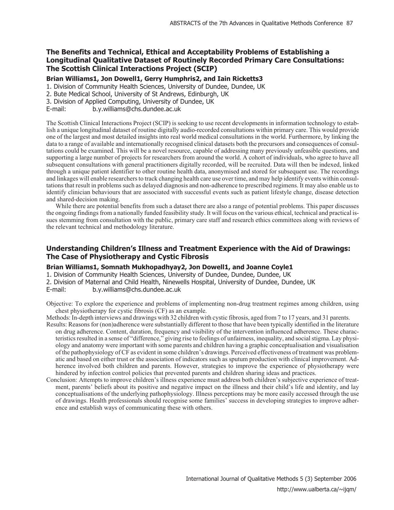# **The Benefits and Technical, Ethical and Acceptability Problems of Establishing a Longitudinal Qualitative Dataset of Routinely Recorded Primary Care Consultations: The Scottish Clinical Interactions Project (SCIP)**

**Brian Williams1, Jon Dowell1, Gerry Humphris2, and Iain Ricketts3**

- 1. Division of Community Health Sciences, University of Dundee, Dundee, UK
- 2. Bute Medical School, University of St Andrews, Edinburgh, UK
- 3. Division of Applied Computing, University of Dundee, UK
- E-mail: b.y.williams@chs.dundee.ac.uk

The Scottish Clinical Interactions Project (SCIP) is seeking to use recent developments in information technology to establish a unique longitudinal dataset of routine digitally audio-recorded consultations within primary care. This would provide one of the largest and most detailed insights into real world medical consultations in the world. Furthermore, by linking the data to a range of available and internationally recognised clinical datasets both the precursors and consequences of consultations could be examined. This will be a novel resource, capable of addressing many previously unfeasible questions, and supporting a large number of projects for researchers from around the world. A cohort of individuals, who agree to have all subsequent consultations with general practitioners digitally recorded, will be recruited. Data will then be indexed, linked through a unique patient identifier to other routine health data, anonymised and stored for subsequent use. The recordings and linkages will enable researchers to track changing health care use over time, and may help identify events within consultations that result in problems such as delayed diagnosis and non-adherence to prescribed regimens. It may also enable us to identify clinician behaviours that are associated with successful events such as patient lifestyle change, disease detection and shared-decision making.

While there are potential benefits from such a dataset there are also a range of potential problems. This paper discusses the ongoing findings from a nationally funded feasibility study. It will focus on the various ethical, technical and practical issues stemming from consultation with the public, primary care staff and research ethics committees along with reviews of the relevant technical and methodology literature.

# **Understanding Children's Illness and Treatment Experience with the Aid of Drawings: The Case of Physiotherapy and Cystic Fibrosis**

## **Brian Williams1, Somnath Mukhopadhyay2, Jon Dowell1, and Joanne Coyle1**

1. Division of Community Health Sciences, University of Dundee, Dundee, Dundee, UK

2. Division of Maternal and Child Health, Ninewells Hospital, University of Dundee, Dundee, UK

E-mail: b.y.williams@chs.dundee.ac.uk

Objective: To explore the experience and problems of implementing non-drug treatment regimes among children, using chest physiotherapy for cystic fibrosis (CF) as an example.

Methods: In-depth interviews and drawings with 32 children with cystic fibrosis, aged from 7 to 17 years, and 31 parents.

- Results: Reasons for (non)adherence were substantially different to those that have been typically identified in the literature on drug adherence. Content, duration, frequency and visibility of the intervention influenced adherence. These characteristics resulted in a sense of "difference," giving rise to feelings of unfairness, inequality, and social stigma. Lay physiology and anatomy were important with some parents and children having a graphic conceptualisation and visualisation of the pathophysiology of CF as evident in some children's drawings. Perceived effectiveness of treatment was problematic and based on either trust or the association of indicators such as sputum production with clinical improvement. Adherence involved both children and parents. However, strategies to improve the experience of physiotherapy were hindered by infection control policies that prevented parents and children sharing ideas and practices.
- Conclusion: Attempts to improve children's illness experience must address both children's subjective experience of treatment, parents' beliefs about its positive and negative impact on the illness and their child's life and identity, and lay conceptualisations of the underlying pathophysiology. Illness perceptions may be more easily accessed through the use of drawings. Health professionals should recognise some families' success in developing strategies to improve adherence and establish ways of communicating these with others.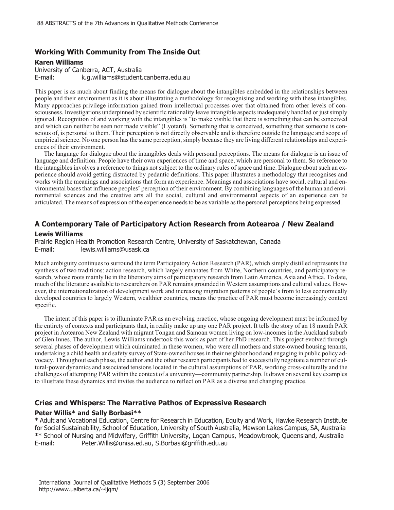# **Working With Community from The Inside Out**

## **Karen Williams**

University of Canberra, ACT, Australia E-mail: k.g.williams@student.canberra.edu.au

This paper is as much about finding the means for dialogue about the intangibles embedded in the relationships between people and their environment as it is about illustrating a methodology for recognising and working with these intangibles. Many approaches privilege information gained from intellectual processes over that obtained from other levels of consciousness. Investigations underpinned by scientific rationality leave intangible aspects inadequately handled or just simply ignored. Recognition of and working with the intangibles is "to make visible that there is something that can be conceived and which can neither be seen nor made visible" (Lyotard). Something that is conceived, something that someone is conscious of, is personal to them. Their perception is not directly observable and is therefore outside the language and scope of empirical science. No one person has the same perception, simply because they are living different relationships and experiences of their environment.

The language for dialogue about the intangibles deals with personal perceptions. The means for dialogue is an issue of language and definition. People have their own experiences of time and space, which are personal to them. So reference to the intangibles involves a reference to things not subject to the ordinary rules of space and time. Dialogue about such an experience should avoid getting distracted by pedantic definitions. This paper illustrates a methodology that recognises and works with the meanings and associations that form an experience. Meanings and associations have social, cultural and environmental bases that influence peoples' perception of their environment. By combining languages of the human and environmental sciences and the creative arts all the social, cultural and environmental aspects of an experience can be articulated. The means of expression of the experience needs to be as variable as the personal perceptions being expressed.

# **A Contemporary Tale of Participatory Action Research from Aotearoa / New Zealand**

## **Lewis Williams**

Prairie Region Health Promotion Research Centre, University of Saskatchewan, Canada E-mail: lewis.williams@usask.ca

Much ambiguity continues to surround the term Participatory Action Research (PAR), which simply distilled represents the synthesis of two traditions: action research, which largely emanates from White, Northern countries, and participatory research, whose roots mainly lie in the liberatory aims of participatory research from Latin America, Asia and Africa. To date, much of the literature available to researchers on PAR remains grounded in Western assumptions and cultural values. However, the internationalization of development work and increasing migration patterns of people's from to less economically developed countries to largely Western, wealthier countries, means the practice of PAR must become increasingly context specific.

The intent of this paper is to illuminate PAR as an evolving practice, whose ongoing development must be informed by the entirety of contexts and participants that, in reality make up any one PAR project. It tells the story of an 18 month PAR project in Aotearoa New Zealand with migrant Tongan and Samoan women living on low-incomes in the Auckland suburb of Glen Innes. The author, Lewis Williams undertook this work as part of her PhD research. This project evolved through several phases of development which culminated in these women, who were all mothers and state-owned housing tenants, undertaking a child health and safety survey of State-owned houses in their neighbor hood and engaging in public policy advocacy. Throughout each phase, the author and the other research participants had to successfully negotiate a number of cultural-power dynamics and associated tensions located in the cultural assumptions of PAR, working cross-culturally and the challenges of attempting PAR within the context of a university—community partnership. It draws on several key examples to illustrate these dynamics and invites the audience to reflect on PAR as a diverse and changing practice.

# **Cries and Whispers: The Narrative Pathos of Expressive Research**

## **Peter Willis\* and Sally Borbasi\*\***

\* Adult and Vocational Education, Centre for Research in Education, Equity and Work, Hawke Research Institute for Social Sustainability, School of Education, University of South Australia, Mawson Lakes Campus, SA, Australia \*\* School of Nursing and Midwifery, Griffith University, Logan Campus, Meadowbrook, Queensland, Australia E-mail: Peter.Willis@unisa.ed.au, S.Borbasi@griffith.edu.au